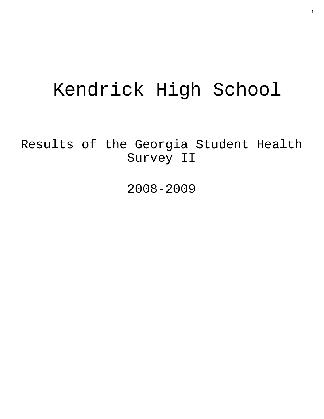# Kendrick High School

Results of the Georgia Student Health Survey II

2008-2009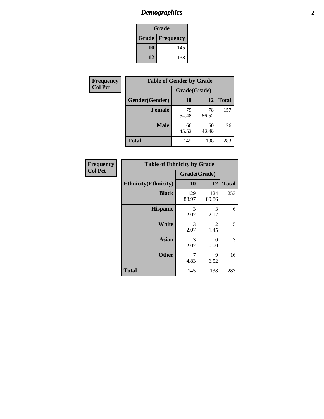# *Demographics* **2**

| Grade                    |     |  |  |  |
|--------------------------|-----|--|--|--|
| <b>Grade   Frequency</b> |     |  |  |  |
| 10                       | 145 |  |  |  |
| 12                       | 138 |  |  |  |

| <b>Frequency</b> | <b>Table of Gender by Grade</b> |              |             |              |  |
|------------------|---------------------------------|--------------|-------------|--------------|--|
| <b>Col Pct</b>   |                                 | Grade(Grade) |             |              |  |
|                  | Gender(Gender)                  | 10           | 12          | <b>Total</b> |  |
|                  | <b>Female</b>                   | 79<br>54.48  | 78<br>56.52 | 157          |  |
|                  | <b>Male</b>                     | 66<br>45.52  | 60<br>43.48 | 126          |  |
|                  | <b>Total</b>                    | 145          | 138         | 283          |  |

| <b>Frequency</b><br>Col Pct |
|-----------------------------|
|                             |

| <b>Table of Ethnicity by Grade</b> |              |              |              |  |  |  |
|------------------------------------|--------------|--------------|--------------|--|--|--|
|                                    | Grade(Grade) |              |              |  |  |  |
| <b>Ethnicity</b> (Ethnicity)       | 10           | 12           | <b>Total</b> |  |  |  |
| <b>Black</b>                       | 129<br>88.97 | 124<br>89.86 | 253          |  |  |  |
| <b>Hispanic</b>                    | 3<br>2.07    | 3<br>2.17    | 6            |  |  |  |
| <b>White</b>                       | 3<br>2.07    | 2<br>1.45    | 5            |  |  |  |
| Asian                              | 3<br>2.07    | 0<br>0.00    | 3            |  |  |  |
| <b>Other</b>                       | 7<br>4.83    | 9<br>6.52    | 16           |  |  |  |
| <b>Total</b>                       | 145          | 138          | 283          |  |  |  |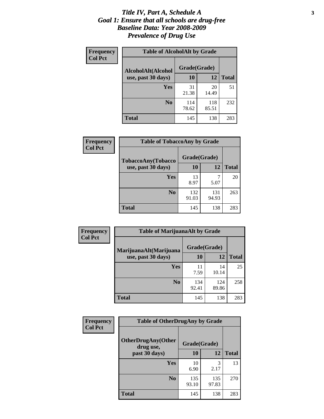### *Title IV, Part A, Schedule A* **3** *Goal 1: Ensure that all schools are drug-free Baseline Data: Year 2008-2009 Prevalence of Drug Use*

| Frequency<br><b>Col Pct</b> | <b>Table of AlcoholAlt by Grade</b> |              |              |              |  |  |
|-----------------------------|-------------------------------------|--------------|--------------|--------------|--|--|
|                             | AlcoholAlt(Alcohol                  | Grade(Grade) |              |              |  |  |
|                             | use, past 30 days)                  | <b>10</b>    | 12           | <b>Total</b> |  |  |
|                             | Yes                                 | 31<br>21.38  | 20<br>14.49  | 51           |  |  |
|                             | N <sub>0</sub>                      | 114<br>78.62 | 118<br>85.51 | 232          |  |  |
|                             | Total                               | 145          | 138          | 283          |  |  |

| <b>Frequency</b> | <b>Table of TobaccoAny by Grade</b> |              |              |              |  |
|------------------|-------------------------------------|--------------|--------------|--------------|--|
| <b>Col Pct</b>   | TobaccoAny(Tobacco                  | Grade(Grade) |              |              |  |
|                  | use, past 30 days)                  | 10           | 12           | <b>Total</b> |  |
|                  | Yes                                 | 13<br>8.97   | 7<br>5.07    | 20           |  |
|                  | N <sub>0</sub>                      | 132<br>91.03 | 131<br>94.93 | 263          |  |
|                  | Total                               | 145          | 138          | 283          |  |

| Frequency                                                      | <b>Table of MarijuanaAlt by Grade</b> |              |              |     |  |
|----------------------------------------------------------------|---------------------------------------|--------------|--------------|-----|--|
| <b>Col Pct</b><br>MarijuanaAlt(Marijuana<br>use, past 30 days) |                                       | Grade(Grade) |              |     |  |
|                                                                | 10                                    | 12           | <b>Total</b> |     |  |
|                                                                | <b>Yes</b>                            | 11<br>7.59   | 14<br>10.14  | 25  |  |
|                                                                | N <sub>0</sub>                        | 134<br>92.41 | 124<br>89.86 | 258 |  |
|                                                                | <b>Total</b>                          | 145          | 138          | 283 |  |

| <b>Frequency</b> | <b>Table of OtherDrugAny by Grade</b>  |              |              |              |  |
|------------------|----------------------------------------|--------------|--------------|--------------|--|
| <b>Col Pct</b>   | <b>OtherDrugAny(Other</b><br>drug use, | Grade(Grade) |              |              |  |
|                  | past 30 days)                          | 10           | 12           | <b>Total</b> |  |
|                  | <b>Yes</b>                             | 10<br>6.90   | 3<br>2.17    | 13           |  |
|                  | N <sub>0</sub>                         | 135<br>93.10 | 135<br>97.83 | 270          |  |
|                  | <b>Total</b>                           | 145          | 138          | 283          |  |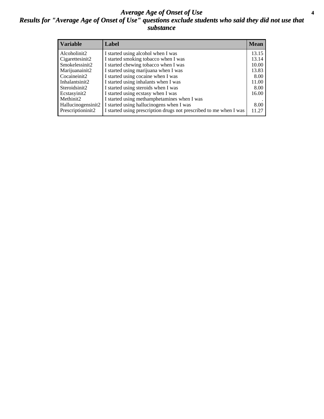### *Average Age of Onset of Use* **4** *Results for "Average Age of Onset of Use" questions exclude students who said they did not use that substance*

| <b>Variable</b>    | Label                                                              | <b>Mean</b> |
|--------------------|--------------------------------------------------------------------|-------------|
| Alcoholinit2       | I started using alcohol when I was                                 | 13.15       |
| Cigarettesinit2    | I started smoking tobacco when I was                               | 13.14       |
| Smokelessinit2     | I started chewing tobacco when I was                               | 10.00       |
| Marijuanainit2     | I started using marijuana when I was                               | 13.83       |
| Cocaineinit2       | I started using cocaine when I was                                 | 8.00        |
| Inhalantsinit2     | I started using inhalants when I was                               | 11.00       |
| Steroidsinit2      | I started using steroids when I was                                | 8.00        |
| Ecstasyinit2       | I started using ecstasy when I was                                 | 16.00       |
| Methinit2          | I started using methamphetamines when I was                        |             |
| Hallucinogensinit2 | I started using hallucinogens when I was                           | 8.00        |
| Prescriptioninit2  | I started using prescription drugs not prescribed to me when I was | 11.27       |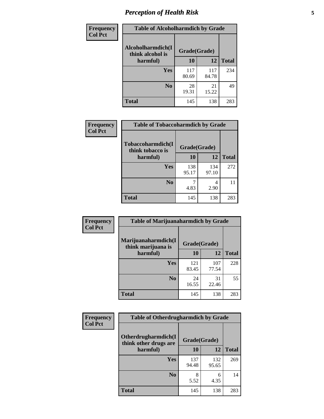# *Perception of Health Risk* **5**

| Frequency      | <b>Table of Alcoholharmdich by Grade</b> |              |              |              |  |
|----------------|------------------------------------------|--------------|--------------|--------------|--|
| <b>Col Pct</b> | Alcoholharmdich(I<br>think alcohol is    | Grade(Grade) |              |              |  |
|                | harmful)                                 | 10           | 12           | <b>Total</b> |  |
|                | Yes                                      | 117<br>80.69 | 117<br>84.78 | 234          |  |
|                | N <sub>0</sub>                           | 28<br>19.31  | 21<br>15.22  | 49           |  |
|                | <b>Total</b>                             | 145          | 138          | 283          |  |

| <b>Frequency</b> | <b>Table of Tobaccoharmdich by Grade</b>          |              |              |              |
|------------------|---------------------------------------------------|--------------|--------------|--------------|
| <b>Col Pct</b>   | Tobaccoharmdich(I<br>think tobacco is<br>harmful) | Grade(Grade) |              |              |
|                  |                                                   | 10           | 12           | <b>Total</b> |
|                  | Yes                                               | 138<br>95.17 | 134<br>97.10 | 272          |
|                  | N <sub>0</sub>                                    | 4.83         | 4<br>2.90    | 11           |
|                  | <b>Total</b>                                      | 145          | 138          | 283          |

| <b>Frequency</b> | <b>Table of Marijuanaharmdich by Grade</b> |              |              |              |  |
|------------------|--------------------------------------------|--------------|--------------|--------------|--|
| <b>Col Pct</b>   | Marijuanaharmdich(I<br>think marijuana is  | Grade(Grade) |              |              |  |
|                  | harmful)                                   | 10           | 12           | <b>Total</b> |  |
|                  | <b>Yes</b>                                 | 121<br>83.45 | 107<br>77.54 | 228          |  |
|                  | N <sub>0</sub>                             | 24<br>16.55  | 31<br>22.46  | 55           |  |
|                  | <b>Total</b>                               | 145          | 138          | 283          |  |

| <b>Frequency</b> | <b>Table of Otherdrugharmdich by Grade</b>   |              |              |              |  |  |
|------------------|----------------------------------------------|--------------|--------------|--------------|--|--|
| <b>Col Pct</b>   | Otherdrugharmdich(I<br>think other drugs are | Grade(Grade) |              |              |  |  |
|                  | harmful)                                     | <b>10</b>    | 12           | <b>Total</b> |  |  |
|                  | Yes                                          | 137<br>94.48 | 132<br>95.65 | 269          |  |  |
|                  | N <sub>0</sub>                               | 5.52         | 6<br>4.35    | 14           |  |  |
|                  | <b>Total</b>                                 | 145          | 138          | 283          |  |  |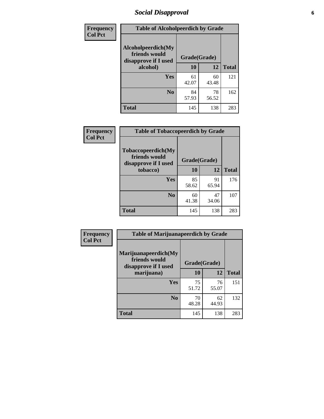# *Social Disapproval* **6**

| <b>Frequency</b> |                                                             | <b>Table of Alcoholpeerdich by Grade</b> |             |              |  |  |  |
|------------------|-------------------------------------------------------------|------------------------------------------|-------------|--------------|--|--|--|
| <b>Col Pct</b>   | Alcoholpeerdich(My<br>friends would<br>disapprove if I used | Grade(Grade)                             |             |              |  |  |  |
|                  | alcohol)                                                    | 10                                       | 12          | <b>Total</b> |  |  |  |
|                  | <b>Yes</b>                                                  | 61<br>42.07                              | 60<br>43.48 | 121          |  |  |  |
|                  | N <sub>0</sub>                                              | 84<br>57.93                              | 78<br>56.52 | 162          |  |  |  |
|                  | <b>Total</b>                                                | 145                                      | 138         | 283          |  |  |  |

| <b>Frequency</b> |
|------------------|
| <b>Col Pct</b>   |

|                                                                    | <b>Table of Tobaccopeerdich by Grade</b> |             |              |  |  |  |
|--------------------------------------------------------------------|------------------------------------------|-------------|--------------|--|--|--|
| <b>Tobaccopeerdich(My</b><br>friends would<br>disapprove if I used | Grade(Grade)                             |             |              |  |  |  |
| tobacco)                                                           | 10                                       | 12          | <b>Total</b> |  |  |  |
| Yes                                                                | 85<br>58.62                              | 91<br>65.94 | 176          |  |  |  |
| N <sub>0</sub>                                                     | 60<br>41.38                              | 47<br>34.06 | 107          |  |  |  |
| <b>Total</b>                                                       | 145                                      | 138         | 283          |  |  |  |

| <b>Frequency</b>                                                                                                                                                                            |              |             |             |              |
|---------------------------------------------------------------------------------------------------------------------------------------------------------------------------------------------|--------------|-------------|-------------|--------------|
| <b>Table of Marijuanapeerdich by Grade</b><br><b>Col Pct</b><br>Marijuanapeerdich(My<br>friends would<br>disapprove if I used<br>marijuana)<br><b>Yes</b><br>N <sub>0</sub><br><b>Total</b> | Grade(Grade) |             |             |              |
|                                                                                                                                                                                             |              | 10          | 12          | <b>Total</b> |
|                                                                                                                                                                                             |              | 75<br>51.72 | 76<br>55.07 | 151          |
|                                                                                                                                                                                             |              | 70<br>48.28 | 62<br>44.93 | 132          |
|                                                                                                                                                                                             |              | 145         | 138         | 283          |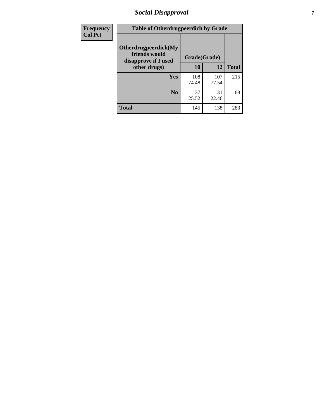# *Social Disapproval* **7**

| Frequency      | <b>Table of Otherdrugpeerdich by Grade</b>                    |              |              |              |  |  |  |
|----------------|---------------------------------------------------------------|--------------|--------------|--------------|--|--|--|
| <b>Col Pct</b> | Otherdrugpeerdich(My<br>friends would<br>disapprove if I used | Grade(Grade) |              |              |  |  |  |
|                | other drugs)                                                  | 10           | 12           | <b>Total</b> |  |  |  |
|                | Yes                                                           | 108<br>74.48 | 107<br>77.54 | 215          |  |  |  |
|                | N <sub>0</sub>                                                | 37<br>25.52  | 31<br>22.46  | 68           |  |  |  |
|                | <b>Total</b>                                                  | 145          | 138          | 283          |  |  |  |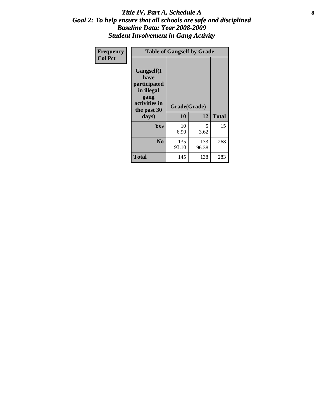### Title IV, Part A, Schedule A **8** *Goal 2: To help ensure that all schools are safe and disciplined Baseline Data: Year 2008-2009 Student Involvement in Gang Activity*

| Frequency      |                                                                                                           | <b>Table of Gangself by Grade</b> |              |              |
|----------------|-----------------------------------------------------------------------------------------------------------|-----------------------------------|--------------|--------------|
| <b>Col Pct</b> | <b>Gangself</b> (I<br>have<br>participated<br>in illegal<br>gang<br>activities in<br>the past 30<br>days) | Grade(Grade)<br>10                | 12           | <b>Total</b> |
|                | Yes                                                                                                       | 10<br>6.90                        | 5<br>3.62    | 15           |
|                | N <sub>0</sub>                                                                                            | 135<br>93.10                      | 133<br>96.38 | 268          |
|                | <b>Total</b>                                                                                              | 145                               | 138          | 283          |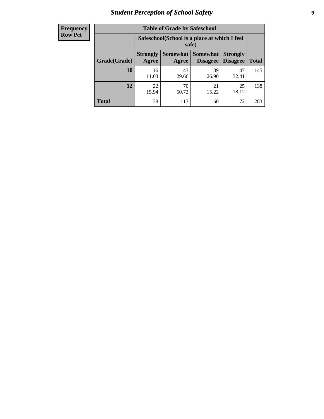# *Student Perception of School Safety* **9**

| <b>Frequency</b><br>Row Pct |
|-----------------------------|
|                             |

| <b>Table of Grade by Safeschool</b> |                          |                                                        |                               |                                    |              |  |  |
|-------------------------------------|--------------------------|--------------------------------------------------------|-------------------------------|------------------------------------|--------------|--|--|
|                                     |                          | Safeschool (School is a place at which I feel<br>safe) |                               |                                    |              |  |  |
| Grade(Grade)                        | <b>Strongly</b><br>Agree | Agree                                                  | Somewhat Somewhat<br>Disagree | <b>Strongly</b><br><b>Disagree</b> | <b>Total</b> |  |  |
| 10                                  | 16<br>11.03              | 43<br>29.66                                            | 39<br>26.90                   | 47<br>32.41                        | 145          |  |  |
| 12                                  | 22<br>15.94              | 70<br>50.72                                            | 21<br>15.22                   | 25<br>18.12                        | 138          |  |  |
| <b>Total</b>                        | 38                       | 113                                                    | 60                            | 72                                 | 283          |  |  |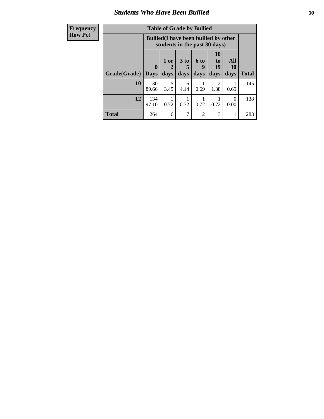### *Students Who Have Been Bullied* **10**

| <b>Frequency</b> | <b>Table of Grade by Bullied</b> |              |                                                                               |                 |                |                        |                  |              |
|------------------|----------------------------------|--------------|-------------------------------------------------------------------------------|-----------------|----------------|------------------------|------------------|--------------|
| <b>Row Pct</b>   |                                  |              | <b>Bullied</b> (I have been bullied by other<br>students in the past 30 days) |                 |                |                        |                  |              |
|                  |                                  | $\mathbf{0}$ | 1 or<br>2                                                                     | 3 <sub>to</sub> | 6 to<br>9      | <b>10</b><br>to<br>19  | All<br>30        |              |
|                  | Grade(Grade)                     | <b>Days</b>  | days                                                                          | days            | days           | days                   | days             | <b>Total</b> |
|                  | 10                               | 130<br>89.66 | 5<br>3.45                                                                     | 6<br>4.14       | 0.69           | $\mathfrak{D}$<br>1.38 | 0.69             | 145          |
|                  | 12                               | 134<br>97.10 | 0.72                                                                          | 0.72            | 0.72           | 0.72                   | $\Omega$<br>0.00 | 138          |
|                  | <b>Total</b>                     | 264          | 6                                                                             | $\mathcal{I}$   | $\mathfrak{D}$ | 3                      |                  | 283          |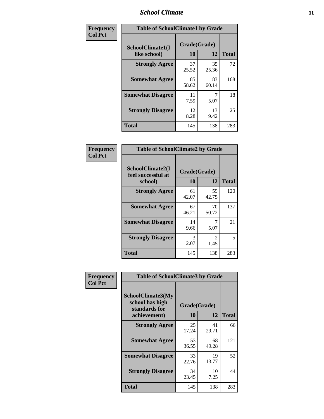### *School Climate* **11**

| Frequency      | <b>Table of SchoolClimate1 by Grade</b> |                    |             |              |  |
|----------------|-----------------------------------------|--------------------|-------------|--------------|--|
| <b>Col Pct</b> | SchoolClimate1(I<br>like school)        | Grade(Grade)<br>10 | 12          | <b>Total</b> |  |
|                | <b>Strongly Agree</b>                   | 37<br>25.52        | 35<br>25.36 | 72           |  |
|                | <b>Somewhat Agree</b>                   | 85<br>58.62        | 83<br>60.14 | 168          |  |
|                | <b>Somewhat Disagree</b>                | 11<br>7.59         | 5.07        | 18           |  |
|                | <b>Strongly Disagree</b>                | 12<br>8.28         | 13<br>9.42  | 25           |  |
|                | <b>Total</b>                            | 145                | 138         | 283          |  |

| Frequency<br>Col Pct |  |
|----------------------|--|
|                      |  |

|                                                   | <b>Table of SchoolClimate2 by Grade</b> |             |              |  |  |
|---------------------------------------------------|-----------------------------------------|-------------|--------------|--|--|
| SchoolClimate2(I<br>feel successful at<br>school) | Grade(Grade)<br>10                      | 12          | <b>Total</b> |  |  |
| <b>Strongly Agree</b>                             | 61<br>42.07                             | 59<br>42.75 | 120          |  |  |
| <b>Somewhat Agree</b>                             | 67<br>46.21                             | 70<br>50.72 | 137          |  |  |
| <b>Somewhat Disagree</b>                          | 14<br>9.66                              | 5.07        | 21           |  |  |
| <b>Strongly Disagree</b>                          | 3<br>2.07                               | 2<br>1.45   | 5            |  |  |
| <b>Total</b>                                      | 145                                     | 138         | 283          |  |  |

| Frequency      | <b>Table of SchoolClimate3 by Grade</b>                      |              |             |              |  |  |
|----------------|--------------------------------------------------------------|--------------|-------------|--------------|--|--|
| <b>Col Pct</b> | <b>SchoolClimate3(My</b><br>school has high<br>standards for | Grade(Grade) |             |              |  |  |
|                | achievement)                                                 | 10           | 12          | <b>Total</b> |  |  |
|                | <b>Strongly Agree</b>                                        | 25<br>17.24  | 41<br>29.71 | 66           |  |  |
|                | <b>Somewhat Agree</b>                                        | 53<br>36.55  | 68<br>49.28 | 121          |  |  |
|                | <b>Somewhat Disagree</b>                                     | 33<br>22.76  | 19<br>13.77 | 52           |  |  |
|                | <b>Strongly Disagree</b>                                     | 34<br>23.45  | 10<br>7.25  | 44           |  |  |
|                | Total                                                        | 145          | 138         | 283          |  |  |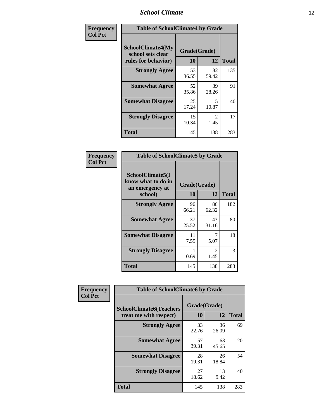### *School Climate* **12**

| Frequency      |                                                                      | <b>Table of SchoolClimate4 by Grade</b> |                       |              |  |
|----------------|----------------------------------------------------------------------|-----------------------------------------|-----------------------|--------------|--|
| <b>Col Pct</b> | <b>SchoolClimate4(My</b><br>school sets clear<br>rules for behavior) | Grade(Grade)<br>10                      | 12                    | <b>Total</b> |  |
|                | <b>Strongly Agree</b>                                                | 53<br>36.55                             | 82<br>59.42           | 135          |  |
|                | <b>Somewhat Agree</b>                                                | 52<br>35.86                             | 39<br>28.26           | 91           |  |
|                | <b>Somewhat Disagree</b>                                             | 25<br>17.24                             | 15<br>10.87           | 40           |  |
|                | <b>Strongly Disagree</b>                                             | 15<br>10.34                             | $\mathcal{L}$<br>1.45 | 17           |  |
|                | <b>Total</b>                                                         | 145                                     | 138                   | 283          |  |

| <b>Table of SchoolClimate5 by Grade</b>                              |                    |              |     |  |  |
|----------------------------------------------------------------------|--------------------|--------------|-----|--|--|
| SchoolClimate5(I<br>know what to do in<br>an emergency at<br>school) | Grade(Grade)<br>10 | <b>Total</b> |     |  |  |
| <b>Strongly Agree</b>                                                | 96<br>66.21        | 86<br>62.32  | 182 |  |  |
| <b>Somewhat Agree</b>                                                | 37<br>25.52        | 43<br>31.16  | 80  |  |  |
| <b>Somewhat Disagree</b>                                             | 11<br>7.59         | 7<br>5.07    | 18  |  |  |
| <b>Strongly Disagree</b>                                             | 0.69               | 2<br>1.45    | 3   |  |  |
| <b>Total</b>                                                         | 145                | 138          | 283 |  |  |

| Frequency      | <b>Table of SchoolClimate6 by Grade</b>                  |                    |             |              |
|----------------|----------------------------------------------------------|--------------------|-------------|--------------|
| <b>Col Pct</b> | <b>SchoolClimate6(Teachers</b><br>treat me with respect) | Grade(Grade)<br>10 | 12          | <b>Total</b> |
|                | <b>Strongly Agree</b>                                    | 33<br>22.76        | 36<br>26.09 | 69           |
|                | <b>Somewhat Agree</b>                                    | 57<br>39.31        | 63<br>45.65 | 120          |
|                | <b>Somewhat Disagree</b>                                 | 28<br>19.31        | 26<br>18.84 | 54           |
|                | <b>Strongly Disagree</b>                                 | 27<br>18.62        | 13<br>9.42  | 40           |
|                | <b>Total</b>                                             | 145                | 138         | 283          |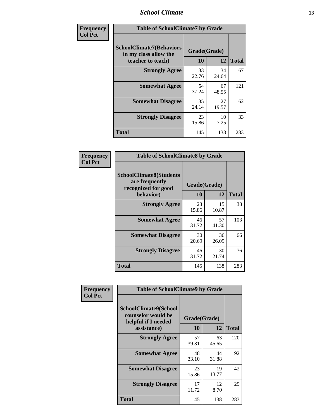### *School Climate* **13**

| Frequency      | <b>Table of SchoolClimate7 by Grade</b>                                       |                           |             |              |
|----------------|-------------------------------------------------------------------------------|---------------------------|-------------|--------------|
| <b>Col Pct</b> | <b>SchoolClimate7(Behaviors</b><br>in my class allow the<br>teacher to teach) | Grade(Grade)<br><b>10</b> | 12          | <b>Total</b> |
|                | <b>Strongly Agree</b>                                                         | 33<br>22.76               | 34<br>24.64 | 67           |
|                | <b>Somewhat Agree</b>                                                         | 54<br>37.24               | 67<br>48.55 | 121          |
|                | <b>Somewhat Disagree</b>                                                      | 35<br>24.14               | 27<br>19.57 | 62           |
|                | <b>Strongly Disagree</b>                                                      | 23<br>15.86               | 10<br>7.25  | 33           |
|                | <b>Total</b>                                                                  | 145                       | 138         | 283          |

| Frequency      | <b>Table of SchoolClimate8 by Grade</b>                                              |                    |             |              |
|----------------|--------------------------------------------------------------------------------------|--------------------|-------------|--------------|
| <b>Col Pct</b> | <b>SchoolClimate8(Students</b><br>are frequently<br>recognized for good<br>behavior) | Grade(Grade)<br>10 | 12          | <b>Total</b> |
|                | <b>Strongly Agree</b>                                                                | 23<br>15.86        | 15<br>10.87 | 38           |
|                | <b>Somewhat Agree</b>                                                                | 46<br>31.72        | 57<br>41.30 | 103          |
|                | <b>Somewhat Disagree</b>                                                             | 30<br>20.69        | 36<br>26.09 | 66           |
|                | <b>Strongly Disagree</b>                                                             | 46<br>31.72        | 30<br>21.74 | 76           |
|                | <b>Total</b>                                                                         | 145                | 138         | 283          |

| Frequency      | <b>Table of SchoolClimate9 by Grade</b>                                           |                    |             |              |
|----------------|-----------------------------------------------------------------------------------|--------------------|-------------|--------------|
| <b>Col Pct</b> | SchoolClimate9(School<br>counselor would be<br>helpful if I needed<br>assistance) | Grade(Grade)<br>10 | 12          | <b>Total</b> |
|                | <b>Strongly Agree</b>                                                             | 57<br>39.31        | 63<br>45.65 | 120          |
|                | <b>Somewhat Agree</b>                                                             | 48<br>33.10        | 44<br>31.88 | 92           |
|                | <b>Somewhat Disagree</b>                                                          | 23<br>15.86        | 19<br>13.77 | 42           |
|                | <b>Strongly Disagree</b>                                                          | 17<br>11.72        | 12<br>8.70  | 29           |
|                | Total                                                                             | 145                | 138         | 283          |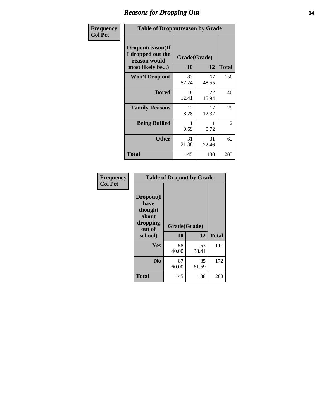### *Reasons for Dropping Out* **14**

| Frequency      | <b>Table of Dropoutreason by Grade</b>                                   |                    |             |              |
|----------------|--------------------------------------------------------------------------|--------------------|-------------|--------------|
| <b>Col Pct</b> | Dropoutreason(If<br>I dropped out the<br>reason would<br>most likely be) | Grade(Grade)<br>10 | 12          | <b>Total</b> |
|                | <b>Won't Drop out</b>                                                    | 83<br>57.24        | 67<br>48.55 | 150          |
|                | <b>Bored</b>                                                             | 18<br>12.41        | 22<br>15.94 | 40           |
|                | <b>Family Reasons</b>                                                    | 12<br>8.28         | 17<br>12.32 | 29           |
|                | <b>Being Bullied</b>                                                     | 0.69               | 0.72        | 2            |
|                | <b>Other</b>                                                             | 31<br>21.38        | 31<br>22.46 | 62           |
|                | <b>Total</b>                                                             | 145                | 138         | 283          |

| Frequency      | <b>Table of Dropout by Grade</b>                            |              |             |              |  |
|----------------|-------------------------------------------------------------|--------------|-------------|--------------|--|
| <b>Col Pct</b> | Dropout(I<br>have<br>thought<br>about<br>dropping<br>out of | Grade(Grade) |             |              |  |
|                | school)                                                     | 10           | 12          | <b>Total</b> |  |
|                | Yes                                                         | 58<br>40.00  | 53<br>38.41 | 111          |  |
|                | N <sub>0</sub>                                              | 87<br>60.00  | 85<br>61.59 | 172          |  |
|                | <b>Total</b>                                                | 145          | 138         | 283          |  |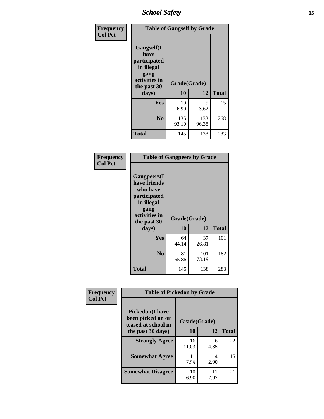*School Safety* **15**

| Frequency      | <b>Table of Gangself by Grade</b>                                                                 |                          |              |              |
|----------------|---------------------------------------------------------------------------------------------------|--------------------------|--------------|--------------|
| <b>Col Pct</b> | Gangself(I<br>have<br>participated<br>in illegal<br>gang<br>activities in<br>the past 30<br>days) | Grade(Grade)<br>10<br>12 |              | <b>Total</b> |
|                | Yes                                                                                               | 10                       | 5            | 15           |
|                |                                                                                                   | 6.90                     | 3.62         |              |
|                | N <sub>o</sub>                                                                                    | 135<br>93.10             | 133<br>96.38 | 268          |
|                | Total                                                                                             | 145                      | 138          | 283          |

| Frequency<br><b>Col Pct</b> | <b>Table of Gangpeers by Grade</b>                                                                                     |                    |              |              |
|-----------------------------|------------------------------------------------------------------------------------------------------------------------|--------------------|--------------|--------------|
|                             | Gangpeers(I<br>have friends<br>who have<br>participated<br>in illegal<br>gang<br>activities in<br>the past 30<br>days) | Grade(Grade)<br>10 | 12           | <b>Total</b> |
|                             | Yes                                                                                                                    | 64<br>44.14        | 37<br>26.81  | 101          |
|                             | N <sub>0</sub>                                                                                                         | 81<br>55.86        | 101<br>73.19 | 182          |
|                             | <b>Total</b>                                                                                                           | 145                | 138          | 283          |

| Frequency      | <b>Table of Pickedon by Grade</b>                                  |              |            |              |
|----------------|--------------------------------------------------------------------|--------------|------------|--------------|
| <b>Col Pct</b> | <b>Pickedon(I have</b><br>been picked on or<br>teased at school in | Grade(Grade) |            |              |
|                | the past 30 days)                                                  | 10           | 12         | <b>Total</b> |
|                | <b>Strongly Agree</b>                                              | 16<br>11.03  | 6<br>4.35  | 22           |
|                | <b>Somewhat Agree</b>                                              | 11<br>7.59   | 4<br>2.90  | 15           |
|                | <b>Somewhat Disagree</b>                                           | 10<br>6.90   | 11<br>7.97 | 21           |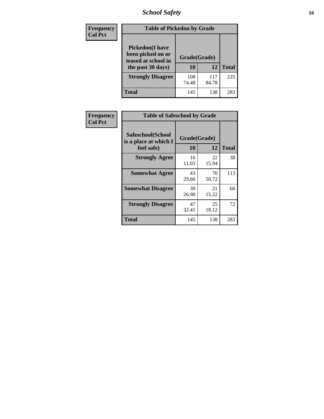# *School Safety* **16**

| <b>Frequency</b> | <b>Table of Pickedon by Grade</b>                                                       |                    |              |              |
|------------------|-----------------------------------------------------------------------------------------|--------------------|--------------|--------------|
| <b>Col Pct</b>   | <b>Pickedon(I have</b><br>been picked on or<br>teased at school in<br>the past 30 days) | Grade(Grade)<br>10 | 12           | <b>Total</b> |
|                  | <b>Strongly Disagree</b>                                                                | 108<br>74.48       | 117<br>84.78 | 225          |
|                  | Total                                                                                   | 145                | 138          | 283          |

| Frequency      | <b>Table of Safeschool by Grade</b>                      |                           |             |              |
|----------------|----------------------------------------------------------|---------------------------|-------------|--------------|
| <b>Col Pct</b> | Safeschool(School<br>is a place at which I<br>feel safe) | Grade(Grade)<br><b>10</b> | 12          | <b>Total</b> |
|                | <b>Strongly Agree</b>                                    | 16<br>11.03               | 22<br>15.94 | 38           |
|                | <b>Somewhat Agree</b>                                    | 43<br>29.66               | 70<br>50.72 | 113          |
|                | <b>Somewhat Disagree</b>                                 | 39<br>26.90               | 21<br>15.22 | 60           |
|                | <b>Strongly Disagree</b>                                 | 47<br>32.41               | 25<br>18.12 | 72           |
|                | <b>Total</b>                                             | 145                       | 138         | 283          |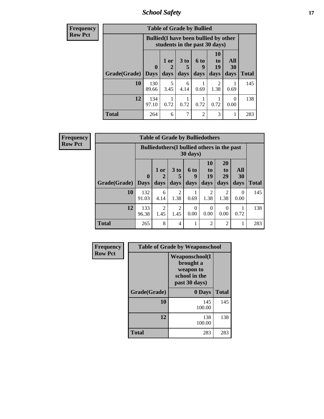*School Safety* **17**

| <b>Frequency</b> | <b>Table of Grade by Bullied</b> |              |                                                                               |                      |                |                                   |                  |              |  |  |  |
|------------------|----------------------------------|--------------|-------------------------------------------------------------------------------|----------------------|----------------|-----------------------------------|------------------|--------------|--|--|--|
| <b>Row Pct</b>   |                                  |              | <b>Bullied</b> (I have been bullied by other<br>students in the past 30 days) |                      |                |                                   |                  |              |  |  |  |
|                  |                                  | $\mathbf 0$  | 1 or<br>$\mathbf 2$                                                           | 3 <sub>to</sub><br>5 | 6 to<br>9      | <b>10</b><br>t <sub>0</sub><br>19 | All<br>30        |              |  |  |  |
|                  | Grade(Grade)                     | $\vert$ Days | days                                                                          | days                 | days           | days                              | days             | <b>Total</b> |  |  |  |
|                  | 10                               | 130<br>89.66 | 5<br>3.45                                                                     | 6<br>4.14            | 0.69           | $\mathfrak{D}$<br>1.38            | 0.69             | 145          |  |  |  |
|                  | 12                               | 134<br>97.10 | 0.72                                                                          | 0.72                 | 0.72           | 0.72                              | $\Omega$<br>0.00 | 138          |  |  |  |
|                  | <b>Total</b>                     | 264          | 6                                                                             | 7                    | $\overline{2}$ | 3                                 | 1                | 283          |  |  |  |

| <b>Frequency</b> |
|------------------|
| <b>Row Pct</b>   |

| <b>Table of Grade by Bulliedothers</b>                                                                                                                                           |              |                                                                  |           |      |                |                |           |              |  |  |  |
|----------------------------------------------------------------------------------------------------------------------------------------------------------------------------------|--------------|------------------------------------------------------------------|-----------|------|----------------|----------------|-----------|--------------|--|--|--|
|                                                                                                                                                                                  |              | Bulliedothers (I bullied others in the past<br>$30 \text{ days}$ |           |      |                |                |           |              |  |  |  |
| <b>10</b><br>20<br>3 <sub>to</sub><br>All<br>$1$ or<br><b>6 to</b><br>to<br>$\mathbf{t}$ <sup><math>\mathbf{0}</math></sup><br>19<br>29<br>30<br>$\boldsymbol{0}$<br>2<br>5<br>9 |              |                                                                  |           |      |                |                |           |              |  |  |  |
| <b>Grade</b> (Grade) Days                                                                                                                                                        |              | days                                                             | days      | days | days           | days           | days      | <b>Total</b> |  |  |  |
| 10                                                                                                                                                                               | 132<br>91.03 | 6<br>4.14                                                        | 2<br>1.38 | 0.69 | 2<br>1.38      | 2<br>1.38      | 0<br>0.00 | 145          |  |  |  |
| 12<br>$\overline{2}$<br>133<br>2<br>$\Omega$<br>0<br>0<br>1.45<br>96.38<br>1.45<br>0.00<br>0.00<br>0.72<br>0.00                                                                  |              |                                                                  |           |      |                |                |           |              |  |  |  |
| <b>Total</b>                                                                                                                                                                     | 265          | 8                                                                | 4         |      | $\overline{2}$ | $\overline{2}$ |           | 283          |  |  |  |

| Frequency      | <b>Table of Grade by Weaponschool</b> |                                                                                    |              |  |  |  |  |
|----------------|---------------------------------------|------------------------------------------------------------------------------------|--------------|--|--|--|--|
| <b>Row Pct</b> |                                       | <b>Weaponschool</b> (I<br>brought a<br>weapon to<br>school in the<br>past 30 days) |              |  |  |  |  |
|                | Grade(Grade)                          | 0 Days                                                                             | <b>Total</b> |  |  |  |  |
|                | 10                                    | 145<br>100.00                                                                      | 145          |  |  |  |  |
|                | 12                                    | 138<br>100.00                                                                      | 138          |  |  |  |  |
|                | <b>Total</b>                          | 283                                                                                | 283          |  |  |  |  |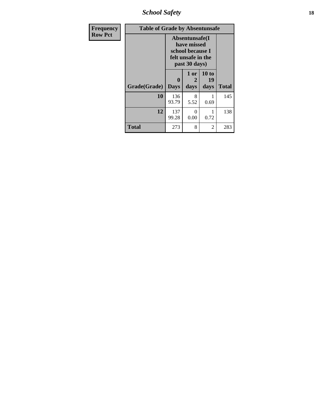*School Safety* **18**

| <b>Frequency</b> | <b>Table of Grade by Absentunsafe</b> |                  |                                                                                           |                     |              |  |  |  |
|------------------|---------------------------------------|------------------|-------------------------------------------------------------------------------------------|---------------------|--------------|--|--|--|
| <b>Row Pct</b>   |                                       |                  | Absentunsafe(I)<br>have missed<br>school because I<br>felt unsafe in the<br>past 30 days) |                     |              |  |  |  |
|                  | Grade(Grade)                          | 0<br><b>Days</b> | 1 or<br>2<br>days                                                                         | 10 to<br>19<br>days | <b>Total</b> |  |  |  |
|                  | 10                                    | 136<br>93.79     | 8<br>5.52                                                                                 | 0.69                | 145          |  |  |  |
|                  | 12                                    | 137<br>99.28     | 0<br>0.00                                                                                 | 1<br>0.72           | 138          |  |  |  |
|                  | <b>Total</b>                          | 273              | 8                                                                                         | $\overline{2}$      | 283          |  |  |  |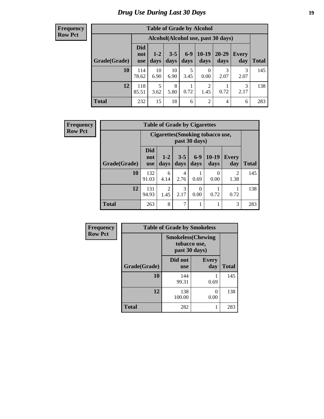# *Drug Use During Last 30 Days* **19**

#### **Frequency Row Pct**

| <b>Table of Grade by Alcohol</b> |                                 |                                    |                 |               |                        |               |              |              |  |  |
|----------------------------------|---------------------------------|------------------------------------|-----------------|---------------|------------------------|---------------|--------------|--------------|--|--|
|                                  |                                 | Alcohol(Alcohol use, past 30 days) |                 |               |                        |               |              |              |  |  |
| Grade(Grade)                     | <b>Did</b><br>not<br><b>use</b> | $1-2$<br>days                      | $3 - 5$<br>days | $6-9$<br>days | $10-19$<br>days        | 20-29<br>days | Every<br>day | <b>Total</b> |  |  |
| 10                               | 114<br>78.62                    | 10<br>6.90                         | 10<br>6.90      | 5<br>3.45     | $\theta$<br>0.00       | 3<br>2.07     | 3<br>2.07    | 145          |  |  |
| 12                               | 118<br>85.51                    | 5<br>3.62                          | 8<br>5.80       | 0.72          | $\overline{2}$<br>1.45 | 0.72          | 3<br>2.17    | 138          |  |  |
| <b>Total</b>                     | 232                             | 15                                 | 18              | 6             | $\overline{2}$         | 4             | 6            | 283          |  |  |

| <b>Frequency</b> |              | <b>Table of Grade by Cigarettes</b>               |               |                 |                  |                  |                        |              |  |
|------------------|--------------|---------------------------------------------------|---------------|-----------------|------------------|------------------|------------------------|--------------|--|
| <b>Row Pct</b>   |              | Cigarettes (Smoking tobacco use,<br>past 30 days) |               |                 |                  |                  |                        |              |  |
|                  | Grade(Grade) | <b>Did</b><br>not<br><b>use</b>                   | $1-2$<br>days | $3 - 5$<br>days | $6-9$<br>days    | $10-19$<br>days  | <b>Every</b><br>day    | <b>Total</b> |  |
|                  | 10           | 132<br>91.03                                      | 6<br>4.14     | 4<br>2.76       | 0.69             | $\Omega$<br>0.00 | $\overline{2}$<br>1.38 | 145          |  |
|                  | 12           | 131<br>94.93                                      | 2<br>1.45     | 3<br>2.17       | $\Omega$<br>0.00 | 0.72             | 0.72                   | 138          |  |
|                  | <b>Total</b> | 263                                               | 8             | 7               |                  |                  | 3                      | 283          |  |

| Frequency      | <b>Table of Grade by Smokeless</b> |                                                           |                     |              |
|----------------|------------------------------------|-----------------------------------------------------------|---------------------|--------------|
| <b>Row Pct</b> |                                    | <b>Smokeless(Chewing</b><br>tobacco use,<br>past 30 days) |                     |              |
|                | Grade(Grade)                       | Did not<br><b>use</b>                                     | <b>Every</b><br>day | <b>Total</b> |
|                | 10                                 | 144<br>99.31                                              | 0.69                | 145          |
|                | 12                                 | 138<br>100.00                                             | 0<br>0.00           | 138          |
|                | <b>Total</b>                       | 282                                                       | 1                   | 283          |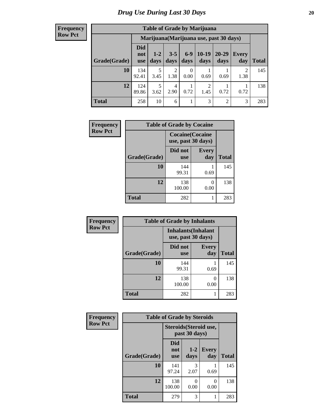#### **Frequency Row Pct**

| <b>Table of Grade by Marijuana</b> |                          |                                         |                 |                 |                 |               |                        |       |  |  |
|------------------------------------|--------------------------|-----------------------------------------|-----------------|-----------------|-----------------|---------------|------------------------|-------|--|--|
|                                    |                          | Marijuana (Marijuana use, past 30 days) |                 |                 |                 |               |                        |       |  |  |
| Grade(Grade)                       | Did<br>not<br><b>use</b> | $1 - 2$<br>days                         | $3 - 5$<br>days | $6 - 9$<br>days | $10-19$<br>days | 20-29<br>days | Every<br>day           | Total |  |  |
| 10                                 | 134<br>92.41             | 5<br>3.45                               | 2<br>1.38       | 0<br>0.00       | 0.69            | 0.69          | $\overline{2}$<br>1.38 | 145   |  |  |
| 12                                 | 124<br>89.86             | 5<br>3.62                               | 4<br>2.90       | 0.72            | 2<br>1.45       | 0.72          | 0.72                   | 138   |  |  |
| <b>Total</b>                       | 258                      | 10                                      | 6               |                 | 3               | 2             | 3                      | 283   |  |  |

| Frequency      | <b>Table of Grade by Cocaine</b> |                                               |                      |              |
|----------------|----------------------------------|-----------------------------------------------|----------------------|--------------|
| <b>Row Pct</b> |                                  | <b>Cocaine</b> (Cocaine<br>use, past 30 days) |                      |              |
|                | Grade(Grade)                     | Did not<br><b>use</b>                         | <b>Every</b><br>day  | <b>Total</b> |
|                | 10                               | 144<br>99.31                                  | 0.69                 | 145          |
|                | 12                               | 138<br>100.00                                 | $\mathbf{0}$<br>0.00 | 138          |
|                | <b>Total</b>                     | 282                                           | 1                    | 283          |

| Frequency      | <b>Table of Grade by Inhalants</b>               |                       |                           |              |
|----------------|--------------------------------------------------|-----------------------|---------------------------|--------------|
| <b>Row Pct</b> | <b>Inhalants</b> (Inhalant<br>use, past 30 days) |                       |                           |              |
|                | Grade(Grade)                                     | Did not<br><b>use</b> | <b>Every</b><br>day       | <b>Total</b> |
|                | 10                                               | 144<br>99.31          | 0.69                      | 145          |
|                | 12                                               | 138<br>100.00         | $\mathbf{\Omega}$<br>0.00 | 138          |
|                | <b>Total</b>                                     | 282                   |                           | 283          |

| Frequency      |              | <b>Table of Grade by Steroids</b> |                 |                        |              |
|----------------|--------------|-----------------------------------|-----------------|------------------------|--------------|
| <b>Row Pct</b> |              |                                   | past 30 days)   | Steroids (Steroid use, |              |
|                | Grade(Grade) | <b>Did</b><br>not<br><b>use</b>   | $1 - 2$<br>days | <b>Every</b><br>day    | <b>Total</b> |
|                | 10           | 141<br>97.24                      | 3<br>2.07       | 0.69                   | 145          |
|                | 12           | 138<br>100.00                     | 0<br>0.00       | ∩<br>0.00              | 138          |
|                | <b>Total</b> | 279                               | 3               |                        | 283          |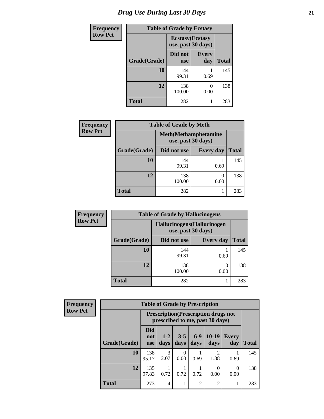# *Drug Use During Last 30 Days* **21**

| <b>Frequency</b> | <b>Table of Grade by Ecstasy</b> |                                               |                     |              |
|------------------|----------------------------------|-----------------------------------------------|---------------------|--------------|
| <b>Row Pct</b>   |                                  | <b>Ecstasy</b> (Ecstasy<br>use, past 30 days) |                     |              |
|                  | Grade(Grade)                     | Did not<br><b>use</b>                         | <b>Every</b><br>day | <b>Total</b> |
|                  | 10                               | 144<br>99.31                                  | 0.69                | 145          |
|                  | 12                               | 138<br>100.00                                 | $\Omega$<br>0.00    | 138          |
|                  | Total                            | 282                                           |                     | 283          |

| <b>Frequency</b> | <b>Table of Grade by Meth</b> |               |                  |              |  |
|------------------|-------------------------------|---------------|------------------|--------------|--|
| <b>Row Pct</b>   |                               |               |                  |              |  |
|                  | Grade(Grade)                  | Did not use   | <b>Every day</b> | <b>Total</b> |  |
|                  | 10                            | 144<br>99.31  | 0.69             | 145          |  |
|                  | 12                            | 138<br>100.00 | 0.00             | 138          |  |
|                  | <b>Total</b>                  | 282           |                  | 283          |  |

| <b>Frequency</b> |              | <b>Table of Grade by Hallucinogens</b>            |                  |              |
|------------------|--------------|---------------------------------------------------|------------------|--------------|
| <b>Row Pct</b>   |              | Hallucinogens (Hallucinogen<br>use, past 30 days) |                  |              |
|                  | Grade(Grade) | Did not use                                       | <b>Every day</b> | <b>Total</b> |
|                  | 10           | 144<br>99.31                                      | 0.69             | 145          |
|                  | 12           | 138<br>100.00                                     | 0.00             | 138          |
|                  | Total        | 282                                               |                  | 283          |

| <b>Frequency</b> |
|------------------|
| <b>Row Pct</b>   |

| <b>Table of Grade by Prescription</b> |                                 |                                                                                |                 |                |                        |                  |              |
|---------------------------------------|---------------------------------|--------------------------------------------------------------------------------|-----------------|----------------|------------------------|------------------|--------------|
|                                       |                                 | <b>Prescription</b> (Prescription drugs not<br>prescribed to me, past 30 days) |                 |                |                        |                  |              |
| Grade(Grade)                          | <b>Did</b><br>not<br><b>use</b> | $1-2$<br>days                                                                  | $3 - 5$<br>days | $6-9$<br>days  | $10-19$<br>days        | Every<br>day     | <b>Total</b> |
| 10                                    | 138<br>95.17                    | 3<br>2.07                                                                      | 0<br>0.00       | 0.69           | $\mathfrak{D}$<br>1.38 | 0.69             | 145          |
| 12                                    | 135<br>97.83                    | 0.72                                                                           | 0.72            | 0.72           | 0.00                   | $\theta$<br>0.00 | 138          |
| <b>Total</b>                          | 273                             | 4                                                                              |                 | $\overline{2}$ | $\overline{c}$         |                  | 283          |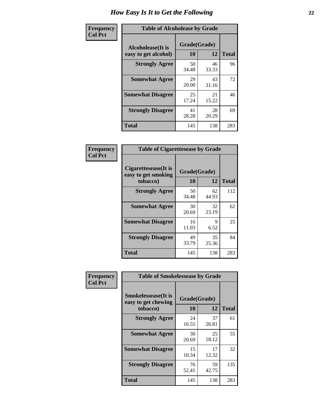| Frequency      | <b>Table of Alcoholease by Grade</b>              |                    |             |              |  |
|----------------|---------------------------------------------------|--------------------|-------------|--------------|--|
| <b>Col Pct</b> | <b>Alcoholease</b> (It is<br>easy to get alcohol) | Grade(Grade)<br>10 | 12          | <b>Total</b> |  |
|                | <b>Strongly Agree</b>                             | 50<br>34.48        | 46<br>33.33 | 96           |  |
|                | <b>Somewhat Agree</b>                             | 29<br>20.00        | 43<br>31.16 | 72           |  |
|                | <b>Somewhat Disagree</b>                          | 25<br>17.24        | 21<br>15.22 | 46           |  |
|                | <b>Strongly Disagree</b>                          | 41<br>28.28        | 28<br>20.29 | 69           |  |
|                | <b>Total</b>                                      | 145                | 138         | 283          |  |

| <b>Frequency</b> |  |
|------------------|--|
| <b>Col Pct</b>   |  |

| <b>Table of Cigarettesease by Grade</b>                  |             |                    |              |  |
|----------------------------------------------------------|-------------|--------------------|--------------|--|
| Cigarettesease (It is<br>easy to get smoking<br>tobacco) | 10          | Grade(Grade)<br>12 | <b>Total</b> |  |
| <b>Strongly Agree</b>                                    | 50<br>34.48 | 62<br>44.93        | 112          |  |
| <b>Somewhat Agree</b>                                    | 30<br>20.69 | 32<br>23.19        | 62           |  |
| <b>Somewhat Disagree</b>                                 | 16<br>11.03 | 9<br>6.52          | 25           |  |
| <b>Strongly Disagree</b>                                 | 49<br>33.79 | 35<br>25.36        | 84           |  |
| Total                                                    | 145         | 138                | 283          |  |

| Frequency      | <b>Table of Smokelessease by Grade</b>                         |                    |             |              |  |  |  |
|----------------|----------------------------------------------------------------|--------------------|-------------|--------------|--|--|--|
| <b>Col Pct</b> | <b>Smokelessease</b> (It is<br>easy to get chewing<br>tobacco) | Grade(Grade)<br>10 | 12          | <b>Total</b> |  |  |  |
|                | <b>Strongly Agree</b>                                          | 24<br>16.55        | 37<br>26.81 | 61           |  |  |  |
|                | <b>Somewhat Agree</b>                                          | 30<br>20.69        | 25<br>18.12 | 55           |  |  |  |
|                | <b>Somewhat Disagree</b>                                       | 15<br>10.34        | 17<br>12.32 | 32           |  |  |  |
|                | <b>Strongly Disagree</b>                                       | 76<br>52.41        | 59<br>42.75 | 135          |  |  |  |
|                | <b>Total</b>                                                   | 145                | 138         | 283          |  |  |  |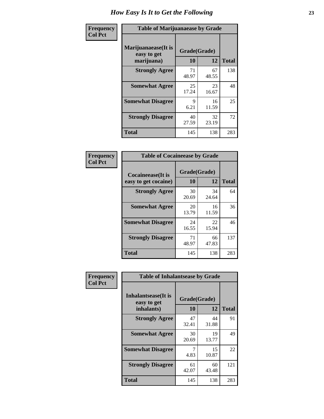| Frequency      | <b>Table of Marijuanaease by Grade</b>           |                    |             |              |  |  |  |  |  |  |
|----------------|--------------------------------------------------|--------------------|-------------|--------------|--|--|--|--|--|--|
| <b>Col Pct</b> | Marijuanaease(It is<br>easy to get<br>marijuana) | Grade(Grade)<br>10 | 12          | <b>Total</b> |  |  |  |  |  |  |
|                | <b>Strongly Agree</b>                            | 71<br>48.97        | 67<br>48.55 | 138          |  |  |  |  |  |  |
|                | <b>Somewhat Agree</b>                            | 25<br>17.24        | 23<br>16.67 | 48           |  |  |  |  |  |  |
|                | <b>Somewhat Disagree</b>                         | 9<br>6.21          | 16<br>11.59 | 25           |  |  |  |  |  |  |
|                | <b>Strongly Disagree</b>                         | 40<br>27.59        | 32<br>23.19 | 72           |  |  |  |  |  |  |
|                | <b>Total</b>                                     | 145                | 138         | 283          |  |  |  |  |  |  |

| <b>Table of Cocaineease by Grade</b>      |                    |              |     |  |  |  |  |  |  |  |
|-------------------------------------------|--------------------|--------------|-----|--|--|--|--|--|--|--|
| Cocaineease(It is<br>easy to get cocaine) | Grade(Grade)<br>10 | <b>Total</b> |     |  |  |  |  |  |  |  |
| <b>Strongly Agree</b>                     | 30<br>20.69        | 34<br>24.64  | 64  |  |  |  |  |  |  |  |
| <b>Somewhat Agree</b>                     | 20<br>13.79        | 16<br>11.59  | 36  |  |  |  |  |  |  |  |
| <b>Somewhat Disagree</b>                  | 24<br>16.55        | 22<br>15.94  | 46  |  |  |  |  |  |  |  |
| <b>Strongly Disagree</b>                  | 71<br>48.97        | 66<br>47.83  | 137 |  |  |  |  |  |  |  |
| <b>Total</b>                              | 145                | 138          | 283 |  |  |  |  |  |  |  |

| Frequency      | <b>Table of Inhalantsease by Grade</b>           |                           |             |              |  |  |  |  |  |
|----------------|--------------------------------------------------|---------------------------|-------------|--------------|--|--|--|--|--|
| <b>Col Pct</b> | Inhalantsease(It is<br>easy to get<br>inhalants) | Grade(Grade)<br><b>10</b> | 12          | <b>Total</b> |  |  |  |  |  |
|                | <b>Strongly Agree</b>                            | 47<br>32.41               | 44<br>31.88 | 91           |  |  |  |  |  |
|                | <b>Somewhat Agree</b>                            | 30<br>20.69               | 19<br>13.77 | 49           |  |  |  |  |  |
|                | <b>Somewhat Disagree</b>                         | 7<br>4.83                 | 15<br>10.87 | 22           |  |  |  |  |  |
|                | <b>Strongly Disagree</b>                         | 61<br>42.07               | 60<br>43.48 | 121          |  |  |  |  |  |
|                | <b>Total</b>                                     | 145                       | 138         | 283          |  |  |  |  |  |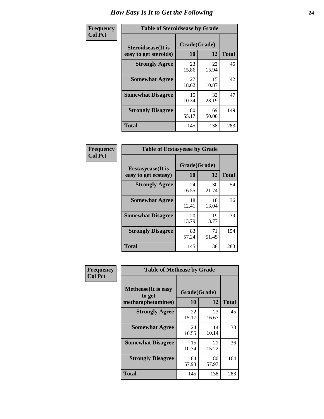| Frequency      | <b>Table of Steroidsease by Grade</b>               |                    |              |     |  |  |  |  |  |
|----------------|-----------------------------------------------------|--------------------|--------------|-----|--|--|--|--|--|
| <b>Col Pct</b> | <b>Steroidsease</b> (It is<br>easy to get steroids) | Grade(Grade)<br>10 | <b>Total</b> |     |  |  |  |  |  |
|                | <b>Strongly Agree</b>                               | 23<br>15.86        | 22<br>15.94  | 45  |  |  |  |  |  |
|                | <b>Somewhat Agree</b>                               | 27<br>18.62        | 15<br>10.87  | 42  |  |  |  |  |  |
|                | <b>Somewhat Disagree</b>                            | 15<br>10.34        | 32<br>23.19  | 47  |  |  |  |  |  |
|                | <b>Strongly Disagree</b>                            | 80<br>55.17        | 69<br>50.00  | 149 |  |  |  |  |  |
|                | <b>Total</b>                                        | 145                | 138          | 283 |  |  |  |  |  |

| Frequency      | <b>Table of Ecstasyease by Grade</b>              |                    |              |     |  |  |  |  |  |
|----------------|---------------------------------------------------|--------------------|--------------|-----|--|--|--|--|--|
| <b>Col Pct</b> | <b>Ecstasyease</b> (It is<br>easy to get ecstasy) | Grade(Grade)<br>10 | <b>Total</b> |     |  |  |  |  |  |
|                | <b>Strongly Agree</b>                             | 24<br>16.55        | 30<br>21.74  | 54  |  |  |  |  |  |
|                | <b>Somewhat Agree</b>                             | 18<br>12.41        | 18<br>13.04  | 36  |  |  |  |  |  |
|                | <b>Somewhat Disagree</b>                          | 20<br>13.79        | 19<br>13.77  | 39  |  |  |  |  |  |
|                | <b>Strongly Disagree</b>                          | 83<br>57.24        | 71<br>51.45  | 154 |  |  |  |  |  |
|                | <b>Total</b>                                      | 145                | 138          | 283 |  |  |  |  |  |

| Frequency      | <b>Table of Methease by Grade</b>                          |                    |             |              |
|----------------|------------------------------------------------------------|--------------------|-------------|--------------|
| <b>Col Pct</b> | <b>Methease</b> (It is easy<br>to get<br>methamphetamines) | Grade(Grade)<br>10 | 12          | <b>Total</b> |
|                | <b>Strongly Agree</b>                                      | 22<br>15.17        | 23<br>16.67 | 45           |
|                | <b>Somewhat Agree</b>                                      | 24<br>16.55        | 14<br>10.14 | 38           |
|                | <b>Somewhat Disagree</b>                                   | 15<br>10.34        | 21<br>15.22 | 36           |
|                | <b>Strongly Disagree</b>                                   | 84<br>57.93        | 80<br>57.97 | 164          |
|                | Total                                                      | 145                | 138         | 283          |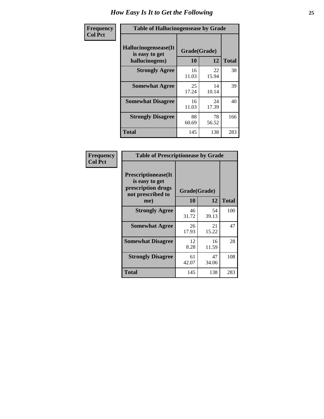| <b>Frequency</b> | <b>Table of Hallucinogensease by Grade</b>               |                    |             |              |  |  |  |  |  |
|------------------|----------------------------------------------------------|--------------------|-------------|--------------|--|--|--|--|--|
| <b>Col Pct</b>   | Hallucinogensease(It<br>is easy to get<br>hallucinogens) | Grade(Grade)<br>10 | 12          | <b>Total</b> |  |  |  |  |  |
|                  | <b>Strongly Agree</b>                                    | 16<br>11.03        | 22<br>15.94 | 38           |  |  |  |  |  |
|                  | <b>Somewhat Agree</b>                                    | 25<br>17.24        | 14<br>10.14 | 39           |  |  |  |  |  |
|                  | <b>Somewhat Disagree</b>                                 | 16<br>11.03        | 24<br>17.39 | 40           |  |  |  |  |  |
|                  | <b>Strongly Disagree</b>                                 | 88<br>60.69        | 78<br>56.52 | 166          |  |  |  |  |  |
|                  | <b>Total</b>                                             | 145                | 138         | 283          |  |  |  |  |  |

| Frequency<br>  Col Pct |
|------------------------|

| <b>Table of Prescriptionease by Grade</b>                                                |             |              |              |  |  |  |  |  |  |  |
|------------------------------------------------------------------------------------------|-------------|--------------|--------------|--|--|--|--|--|--|--|
| <b>Prescriptionease</b> (It<br>is easy to get<br>prescription drugs<br>not prescribed to |             | Grade(Grade) |              |  |  |  |  |  |  |  |
| me)                                                                                      | 10          | 12           | <b>Total</b> |  |  |  |  |  |  |  |
| <b>Strongly Agree</b>                                                                    | 46<br>31.72 | 54<br>39.13  | 100          |  |  |  |  |  |  |  |
| <b>Somewhat Agree</b>                                                                    | 26<br>17.93 | 21<br>15.22  | 47           |  |  |  |  |  |  |  |
| <b>Somewhat Disagree</b>                                                                 | 12<br>8.28  | 16<br>11.59  | 28           |  |  |  |  |  |  |  |
| <b>Strongly Disagree</b>                                                                 | 61<br>42.07 | 47<br>34.06  | 108          |  |  |  |  |  |  |  |
| Total                                                                                    | 145         | 138          | 283          |  |  |  |  |  |  |  |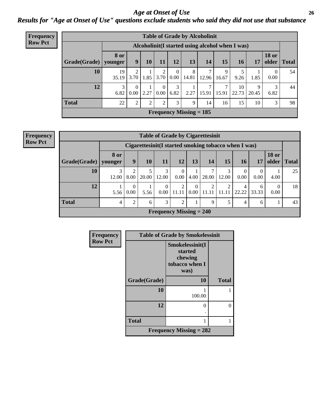*Age at Onset of Use* **26** *Results for "Age at Onset of Use" questions exclude students who said they did not use that substance*

| <b>Frequency</b> | <b>Table of Grade by Alcoholinit</b> |                        |                                                 |      |                  |                  |                           |                        |            |             |            |                       |              |
|------------------|--------------------------------------|------------------------|-------------------------------------------------|------|------------------|------------------|---------------------------|------------------------|------------|-------------|------------|-----------------------|--------------|
| <b>Row Pct</b>   |                                      |                        | Alcoholinit(I started using alcohol when I was) |      |                  |                  |                           |                        |            |             |            |                       |              |
|                  | Grade(Grade)                         | <b>8 or</b><br>younger | 9                                               | 10   | 11               | 12               | 13                        | 14                     | 15         | 16          | 17         | <b>18 or</b><br>older | <b>Total</b> |
|                  | 10                                   | 19<br>35.19            | $\overline{2}$<br>3.70                          |      | $1.85$ 3.70      | $\left($<br>0.00 | 8<br>14.81                | ⇁<br>12.96             | 9<br>16.67 | 9.26        | 1.85       | $\theta$<br>0.00      | 54           |
|                  | 12                                   | 3<br>6.82              | $\theta$<br>0.00                                | 2.27 | $\Omega$<br>0.00 | 3<br>6.82        | 2.27                      | $\mathcal{I}$<br>15.91 | ⇁<br>15.91 | 10<br>22.73 | 9<br>20.45 | 3<br>6.82             | 44           |
|                  | <b>Total</b>                         | 22                     | 2                                               | 2    | $\overline{2}$   | 3                | 9                         | 14                     | 16         | 15          | 10         | 3                     | 98           |
|                  |                                      |                        |                                                 |      |                  |                  | Frequency Missing $= 185$ |                        |            |             |            |                       |              |

| <b>Frequency</b> |
|------------------|
| <b>Row Pct</b>   |

| <b>Table of Grade by Cigarettesinit</b> |                 |                                                       |            |                  |                           |                  |       |                |                  |                  |                       |              |
|-----------------------------------------|-----------------|-------------------------------------------------------|------------|------------------|---------------------------|------------------|-------|----------------|------------------|------------------|-----------------------|--------------|
|                                         |                 | Cigarettesinit (I started smoking tobacco when I was) |            |                  |                           |                  |       |                |                  |                  |                       |              |
| Grade(Grade)                            | 8 or<br>younger | 9                                                     | 10         | 11               | 12                        | 13               | 14    | 15             | 16               | 17               | <b>18 or</b><br>older | <b>Total</b> |
| 10                                      | 3<br>12.00      | ◠<br>8.00                                             | 5<br>20.00 | 3<br>12.00       | 0<br>0.00                 | 4.00             | 28.00 | 3<br>12.00     | $\theta$<br>0.00 | $\theta$<br>0.00 | 4.00                  | 25           |
| 12                                      | 5.56            | $\Omega$<br>0.00                                      | 5.56       | $\Omega$<br>0.00 | $\overline{2}$<br>11.11   | $\theta$<br>0.00 | 11.11 | 2<br>-11<br>11 | 4<br>22.22       | 6<br>33.33       | 0<br>0.00             | 18           |
| <b>Total</b>                            | 4               | $\overline{2}$                                        | 6          | 3                | $\overline{2}$            |                  | 9     | 5              | $\overline{4}$   | 6                |                       | 43           |
|                                         |                 |                                                       |            |                  | Frequency Missing $= 240$ |                  |       |                |                  |                  |                       |              |

| Frequency      | <b>Table of Grade by Smokelessinit</b> |                                                                 |              |  |
|----------------|----------------------------------------|-----------------------------------------------------------------|--------------|--|
| <b>Row Pct</b> |                                        | Smokelessinit(I<br>started<br>chewing<br>tobacco when I<br>was) |              |  |
|                | Grade(Grade)                           | 10                                                              | <b>Total</b> |  |
|                | 10                                     | 100.00                                                          |              |  |
|                | 12                                     | 0                                                               |              |  |
|                | <b>Total</b>                           |                                                                 |              |  |
|                |                                        | Frequency Missing $= 282$                                       |              |  |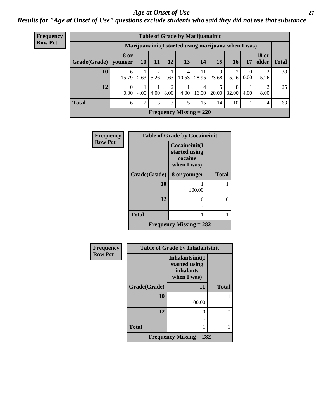### *Age at Onset of Use* **27**

*Results for "Age at Onset of Use" questions exclude students who said they did not use that substance*

| Frequency      | <b>Table of Grade by Marijuanainit</b>               |             |           |                 |      |            |                                |            |            |                  |                       |              |
|----------------|------------------------------------------------------|-------------|-----------|-----------------|------|------------|--------------------------------|------------|------------|------------------|-----------------------|--------------|
| <b>Row Pct</b> | Marijuanainit (I started using marijuana when I was) |             |           |                 |      |            |                                |            |            |                  |                       |              |
|                | Grade(Grade)   younger                               | <b>8 or</b> | <b>10</b> | 11 <sup>1</sup> | 12   | 13         | 14                             | 15         | 16         | 17               | <b>18 or</b><br>older | <b>Total</b> |
|                | 10                                                   | 6<br>15.79  | 2.63      | 5.26            | 2.63 | 4<br>10.53 | 11<br>28.95                    | 9<br>23.68 | ∍<br>5.26  | $\left($<br>0.00 | 2<br>5.26             | 38           |
|                | 12                                                   | $0.00\,$    | 4.00      | 4.00            | 8.00 | 4.00       | 4<br>16.00                     | 5<br>20.00 | 8<br>32.00 | 4.00             | 2<br>8.00             | 25           |
|                | <b>Total</b>                                         | 6           | 2         | 3               | 3    | 5          | 15                             | 14         | 10         |                  | 4                     | 63           |
|                |                                                      |             |           |                 |      |            | <b>Frequency Missing = 220</b> |            |            |                  |                       |              |

| Frequency      | <b>Table of Grade by Cocaineinit</b> |                                                          |              |  |  |
|----------------|--------------------------------------|----------------------------------------------------------|--------------|--|--|
| <b>Row Pct</b> |                                      | Cocaineinit(I<br>started using<br>cocaine<br>when I was) |              |  |  |
|                | Grade(Grade)                         | 8 or younger                                             | <b>Total</b> |  |  |
|                | 10                                   | 100.00                                                   |              |  |  |
|                | 12                                   | 0                                                        | 0            |  |  |
|                | <b>Total</b>                         |                                                          |              |  |  |
|                |                                      | Frequency Missing $= 282$                                |              |  |  |

| Frequency      | <b>Table of Grade by Inhalantsinit</b> |                                                              |                  |  |  |
|----------------|----------------------------------------|--------------------------------------------------------------|------------------|--|--|
| <b>Row Pct</b> |                                        | Inhalantsinit(I<br>started using<br>inhalants<br>when I was) |                  |  |  |
|                | Grade(Grade)                           | 11                                                           | <b>Total</b>     |  |  |
|                | 10                                     | 100.00                                                       |                  |  |  |
|                | 12                                     | 0                                                            | $\left( \right)$ |  |  |
|                | <b>Total</b>                           |                                                              |                  |  |  |
|                |                                        | Frequency Missing $= 282$                                    |                  |  |  |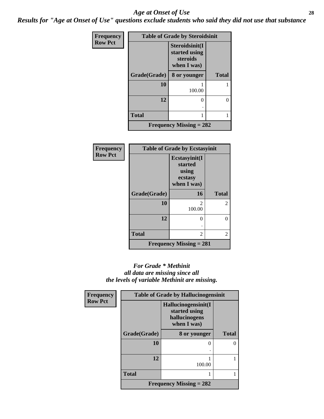#### *Age at Onset of Use* **28**

*Results for "Age at Onset of Use" questions exclude students who said they did not use that substance*

| Frequency      |              | <b>Table of Grade by Steroidsinit</b>                      |              |
|----------------|--------------|------------------------------------------------------------|--------------|
| <b>Row Pct</b> |              | Steroidsinit(I<br>started using<br>steroids<br>when I was) |              |
|                | Grade(Grade) | 8 or younger                                               | <b>Total</b> |
|                | 10           | 100.00                                                     |              |
|                | 12           | 0                                                          | 0            |
|                | <b>Total</b> |                                                            |              |
|                |              | Frequency Missing $= 282$                                  |              |

| <b>Frequency</b> | <b>Table of Grade by Ecstasyinit</b> |                                                             |              |  |
|------------------|--------------------------------------|-------------------------------------------------------------|--------------|--|
| <b>Row Pct</b>   |                                      | Ecstasyinit(I<br>started<br>using<br>ecstasy<br>when I was) |              |  |
|                  | Grade(Grade)                         | 16                                                          | <b>Total</b> |  |
|                  | 10                                   | 2<br>100.00                                                 | 2            |  |
|                  | 12                                   | $\theta$                                                    | 0            |  |
|                  |                                      |                                                             |              |  |
|                  | <b>Total</b>                         | 2                                                           | 2            |  |
|                  |                                      | Frequency Missing $= 281$                                   |              |  |

### *For Grade \* Methinit all data are missing since all the levels of variable Methinit are missing.*

| Frequency      | <b>Table of Grade by Hallucinogensinit</b> |                                                                      |              |  |
|----------------|--------------------------------------------|----------------------------------------------------------------------|--------------|--|
| <b>Row Pct</b> |                                            | Hallucinogensinit(I<br>started using<br>hallucinogens<br>when I was) |              |  |
|                | Grade(Grade)                               | 8 or younger                                                         | <b>Total</b> |  |
|                | 10                                         | 0                                                                    |              |  |
|                |                                            |                                                                      |              |  |
|                | 12                                         | 100.00                                                               |              |  |
|                | <b>Total</b>                               |                                                                      |              |  |
|                |                                            | Frequency Missing $= 282$                                            |              |  |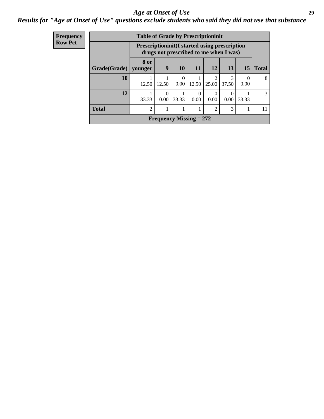### *Age at Onset of Use* **29**

*Results for "Age at Onset of Use" questions exclude students who said they did not use that substance*

| Frequency      | <b>Table of Grade by Prescriptioninit</b> |       |                                                                                                 |                  |                  |                |           |                  |              |
|----------------|-------------------------------------------|-------|-------------------------------------------------------------------------------------------------|------------------|------------------|----------------|-----------|------------------|--------------|
| <b>Row Pct</b> |                                           |       | <b>Prescriptioninit (I started using prescription</b><br>drugs not prescribed to me when I was) |                  |                  |                |           |                  |              |
|                | Grade(Grade)   younger                    | 8 or  | 9                                                                                               | <b>10</b>        | <b>11</b>        | <b>12</b>      | <b>13</b> | <b>15</b>        | <b>Total</b> |
|                | 10                                        | 12.50 | 12.50                                                                                           | $\Omega$<br>0.00 | 12.50            | 25.00          | 37.50     | $\theta$<br>0.00 | 8            |
|                | 12                                        | 33.33 | 0<br>0.00                                                                                       | 33.33            | $\theta$<br>0.00 | 0.00           | 0.00      | 33.33            | 3            |
|                | <b>Total</b>                              | 2     |                                                                                                 |                  |                  | $\mathfrak{D}$ | 3         |                  | 11           |
|                |                                           |       | Frequency Missing $= 272$                                                                       |                  |                  |                |           |                  |              |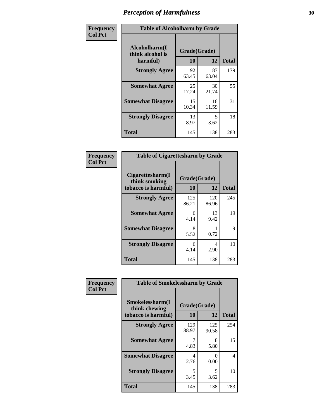| Frequency      | <b>Table of Alcoholharm by Grade</b>          |                    |             |              |  |
|----------------|-----------------------------------------------|--------------------|-------------|--------------|--|
| <b>Col Pct</b> | Alcoholharm(I<br>think alcohol is<br>harmful) | Grade(Grade)<br>10 | 12          | <b>Total</b> |  |
|                | <b>Strongly Agree</b>                         | 92<br>63.45        | 87<br>63.04 | 179          |  |
|                | <b>Somewhat Agree</b>                         | 25<br>17.24        | 30<br>21.74 | 55           |  |
|                | <b>Somewhat Disagree</b>                      | 15<br>10.34        | 16<br>11.59 | 31           |  |
|                | <b>Strongly Disagree</b>                      | 13<br>8.97         | 5<br>3.62   | 18           |  |
|                | <b>Total</b>                                  | 145                | 138         | 283          |  |

| <b>Table of Cigarettesharm by Grade</b>                  |                    |              |              |  |  |
|----------------------------------------------------------|--------------------|--------------|--------------|--|--|
| Cigarettesharm(I<br>think smoking<br>tobacco is harmful) | Grade(Grade)<br>10 | 12           | <b>Total</b> |  |  |
| <b>Strongly Agree</b>                                    | 125<br>86.21       | 120<br>86.96 | 245          |  |  |
| <b>Somewhat Agree</b>                                    | 6<br>4.14          | 13<br>9.42   | 19           |  |  |
| <b>Somewhat Disagree</b>                                 | 8<br>5.52          | 0.72         | 9            |  |  |
| <b>Strongly Disagree</b>                                 | 6<br>4.14          | 4<br>2.90    | 10           |  |  |
| <b>Total</b>                                             | 145                | 138          | 283          |  |  |

| Frequency      | <b>Table of Smokelessharm by Grade</b>                  |                    |              |              |  |  |
|----------------|---------------------------------------------------------|--------------------|--------------|--------------|--|--|
| <b>Col Pct</b> | Smokelessharm(I<br>think chewing<br>tobacco is harmful) | Grade(Grade)<br>10 | 12           | <b>Total</b> |  |  |
|                | <b>Strongly Agree</b>                                   | 129<br>88.97       | 125<br>90.58 | 254          |  |  |
|                | <b>Somewhat Agree</b>                                   | 4.83               | 8<br>5.80    | 15           |  |  |
|                | <b>Somewhat Disagree</b>                                | 4<br>2.76          | 0<br>0.00    | 4            |  |  |
|                | <b>Strongly Disagree</b>                                | 5<br>3.45          | 5<br>3.62    | 10           |  |  |
|                | <b>Total</b>                                            | 145                | 138          | 283          |  |  |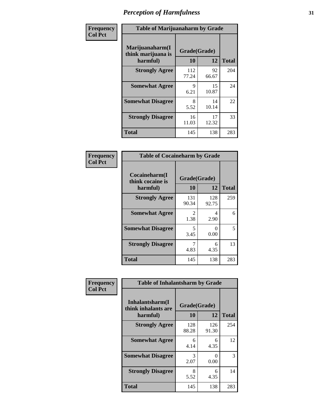| Frequency      |                                                   | <b>Table of Marijuanaharm by Grade</b> |                    |              |  |  |
|----------------|---------------------------------------------------|----------------------------------------|--------------------|--------------|--|--|
| <b>Col Pct</b> | Marijuanaharm(I<br>think marijuana is<br>harmful) | 10                                     | Grade(Grade)<br>12 | <b>Total</b> |  |  |
|                | <b>Strongly Agree</b>                             | 112<br>77.24                           | 92<br>66.67        | 204          |  |  |
|                | <b>Somewhat Agree</b>                             | 9<br>6.21                              | 15<br>10.87        | 24           |  |  |
|                | <b>Somewhat Disagree</b>                          | 8<br>5.52                              | 14<br>10.14        | 22           |  |  |
|                | <b>Strongly Disagree</b>                          | 16<br>11.03                            | 17<br>12.32        | 33           |  |  |
|                | <b>Total</b>                                      | 145                                    | 138                | 283          |  |  |

| <b>Table of Cocaineharm by Grade</b>          |                    |              |     |  |  |
|-----------------------------------------------|--------------------|--------------|-----|--|--|
| Cocaineharm(I<br>think cocaine is<br>harmful) | Grade(Grade)<br>10 | <b>Total</b> |     |  |  |
| <b>Strongly Agree</b>                         | 131<br>90.34       | 128<br>92.75 | 259 |  |  |
| <b>Somewhat Agree</b>                         | 2<br>1.38          | 4<br>2.90    | 6   |  |  |
| <b>Somewhat Disagree</b>                      | 5<br>3.45          | 0<br>0.00    | 5   |  |  |
| <b>Strongly Disagree</b>                      | 7<br>4.83          | 6<br>4.35    | 13  |  |  |
| <b>Total</b>                                  | 145                | 138          | 283 |  |  |

| Frequency      | <b>Table of Inhalantsharm by Grade</b>              |                    |              |              |
|----------------|-----------------------------------------------------|--------------------|--------------|--------------|
| <b>Col Pct</b> | Inhalantsharm(I)<br>think inhalants are<br>harmful) | Grade(Grade)<br>10 | 12           | <b>Total</b> |
|                | <b>Strongly Agree</b>                               | 128<br>88.28       | 126<br>91.30 | 254          |
|                | <b>Somewhat Agree</b>                               | 6<br>4.14          | 6<br>4.35    | 12           |
|                | <b>Somewhat Disagree</b>                            | 3<br>2.07          | 0<br>0.00    | 3            |
|                | <b>Strongly Disagree</b>                            | 8<br>5.52          | 6<br>4.35    | 14           |
|                | <b>Total</b>                                        | 145                | 138          | 283          |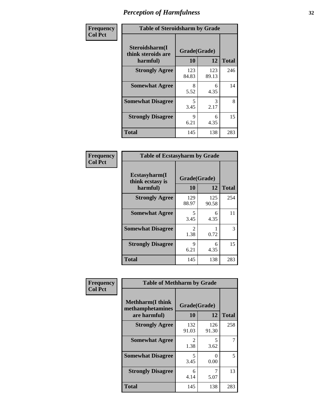| Frequency      | <b>Table of Steroidsharm by Grade</b>            |                    |              |              |
|----------------|--------------------------------------------------|--------------------|--------------|--------------|
| <b>Col Pct</b> | Steroidsharm(I<br>think steroids are<br>harmful) | Grade(Grade)<br>10 | 12           | <b>Total</b> |
|                | <b>Strongly Agree</b>                            | 123<br>84.83       | 123<br>89.13 | 246          |
|                | <b>Somewhat Agree</b>                            | 8<br>5.52          | 6<br>4.35    | 14           |
|                | <b>Somewhat Disagree</b>                         | 5<br>3.45          | 3<br>2.17    | 8            |
|                | <b>Strongly Disagree</b>                         | 9<br>6.21          | 6<br>4.35    | 15           |
|                | <b>Total</b>                                     | 145                | 138          | 283          |

| <b>Table of Ecstasyharm by Grade</b>          |                    |              |     |  |  |
|-----------------------------------------------|--------------------|--------------|-----|--|--|
| Ecstasyharm(I<br>think ecstasy is<br>harmful) | Grade(Grade)<br>10 | <b>Total</b> |     |  |  |
| <b>Strongly Agree</b>                         | 129<br>88.97       | 125<br>90.58 | 254 |  |  |
| <b>Somewhat Agree</b>                         | 5<br>3.45          | 6<br>4.35    | 11  |  |  |
| <b>Somewhat Disagree</b>                      | 2<br>1.38          | 0.72         | 3   |  |  |
| <b>Strongly Disagree</b>                      | 9<br>6.21          | 6<br>4.35    | 15  |  |  |
| Total                                         | 145                | 138          | 283 |  |  |

| Frequency      | <b>Table of Methharm by Grade</b>                            |                    |              |              |
|----------------|--------------------------------------------------------------|--------------------|--------------|--------------|
| <b>Col Pct</b> | <b>Methharm</b> (I think<br>methamphetamines<br>are harmful) | Grade(Grade)<br>10 | 12           | <b>Total</b> |
|                | <b>Strongly Agree</b>                                        | 132<br>91.03       | 126<br>91.30 | 258          |
|                | <b>Somewhat Agree</b>                                        | 2<br>1.38          | 5<br>3.62    |              |
|                | <b>Somewhat Disagree</b>                                     | 5<br>3.45          | 0<br>0.00    | 5            |
|                | <b>Strongly Disagree</b>                                     | 6<br>4.14          | 5.07         | 13           |
|                | <b>Total</b>                                                 | 145                | 138          | 283          |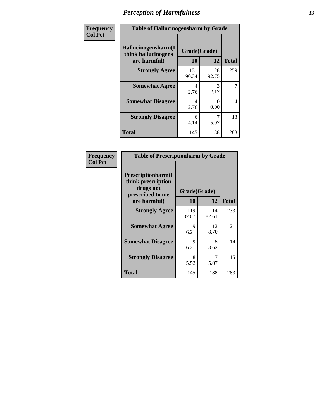| Frequency | <b>Table of Hallucinogensharm by Grade</b>                 |                    |              |              |
|-----------|------------------------------------------------------------|--------------------|--------------|--------------|
| Col Pct   | Hallucinogensharm(I<br>think hallucinogens<br>are harmful) | Grade(Grade)<br>10 | 12           | <b>Total</b> |
|           | <b>Strongly Agree</b>                                      | 131<br>90.34       | 128<br>92.75 | 259          |
|           | <b>Somewhat Agree</b>                                      | 4<br>2.76          | 3<br>2.17    | 7            |
|           | <b>Somewhat Disagree</b>                                   | 4<br>2.76          | 0<br>0.00    | 4            |
|           | <b>Strongly Disagree</b>                                   | 6<br>4.14          | 7<br>5.07    | 13           |
|           | <b>Total</b>                                               | 145                | 138          | 283          |

| <b>Table of Prescriptionharm by Grade</b>                                         |              |              |              |  |  |
|-----------------------------------------------------------------------------------|--------------|--------------|--------------|--|--|
| <b>Prescriptionharm</b> (I<br>think prescription<br>drugs not<br>prescribed to me | Grade(Grade) |              |              |  |  |
| are harmful)                                                                      | 10           | 12           | <b>Total</b> |  |  |
| <b>Strongly Agree</b>                                                             | 119<br>82.07 | 114<br>82.61 | 233          |  |  |
| <b>Somewhat Agree</b>                                                             | 9<br>6.21    | 12<br>8.70   | 21           |  |  |
| <b>Somewhat Disagree</b>                                                          | 9<br>6.21    | 5<br>3.62    | 14           |  |  |
| <b>Strongly Disagree</b>                                                          | 8<br>5.52    | 7<br>5.07    | 15           |  |  |
| <b>Total</b>                                                                      | 145          | 138          | 283          |  |  |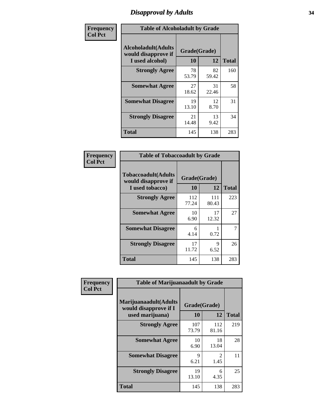# *Disapproval by Adults* **34**

| Frequency      |                                                                       | <b>Table of Alcoholadult by Grade</b> |             |              |  |
|----------------|-----------------------------------------------------------------------|---------------------------------------|-------------|--------------|--|
| <b>Col Pct</b> | <b>Alcoholadult</b> (Adults<br>would disapprove if<br>I used alcohol) | Grade(Grade)<br>10                    | 12          | <b>Total</b> |  |
|                | <b>Strongly Agree</b>                                                 | 78<br>53.79                           | 82<br>59.42 | 160          |  |
|                | <b>Somewhat Agree</b>                                                 | 27<br>18.62                           | 31<br>22.46 | 58           |  |
|                | <b>Somewhat Disagree</b>                                              | 19<br>13.10                           | 12<br>8.70  | 31           |  |
|                | <b>Strongly Disagree</b>                                              | 21<br>14.48                           | 13<br>9.42  | 34           |  |
|                | <b>Total</b>                                                          | 145                                   | 138         | 283          |  |

| <b>Table of Tobaccoadult by Grade</b>                                 |                    |              |              |  |  |
|-----------------------------------------------------------------------|--------------------|--------------|--------------|--|--|
| <b>Tobaccoadult</b> (Adults<br>would disapprove if<br>I used tobacco) | Grade(Grade)<br>10 | 12           | <b>Total</b> |  |  |
| <b>Strongly Agree</b>                                                 | 112<br>77.24       | 111<br>80.43 | 223          |  |  |
| <b>Somewhat Agree</b>                                                 | 10<br>6.90         | 17<br>12.32  | 27           |  |  |
| <b>Somewhat Disagree</b>                                              | 6<br>4.14          | 0.72         | 7            |  |  |
| <b>Strongly Disagree</b>                                              | 17<br>11.72        | 9<br>6.52    | 26           |  |  |
| <b>Total</b>                                                          | 145                | 138          | 283          |  |  |

| Frequency<br><b>Col Pct</b> | <b>Table of Marijuanaadult by Grade</b>                           |                    |                                     |              |
|-----------------------------|-------------------------------------------------------------------|--------------------|-------------------------------------|--------------|
|                             | Marijuanaadult(Adults<br>would disapprove if I<br>used marijuana) | Grade(Grade)<br>10 | 12                                  | <b>Total</b> |
|                             | <b>Strongly Agree</b>                                             | 107<br>73.79       | 112<br>81.16                        | 219          |
|                             | <b>Somewhat Agree</b>                                             | 10<br>6.90         | 18<br>13.04                         | 28           |
|                             | <b>Somewhat Disagree</b>                                          | 9<br>6.21          | $\mathcal{D}_{\mathcal{A}}$<br>1.45 | 11           |
|                             | <b>Strongly Disagree</b>                                          | 19<br>13.10        | 6<br>4.35                           | 25           |
|                             | <b>Total</b>                                                      | 145                | 138                                 | 283          |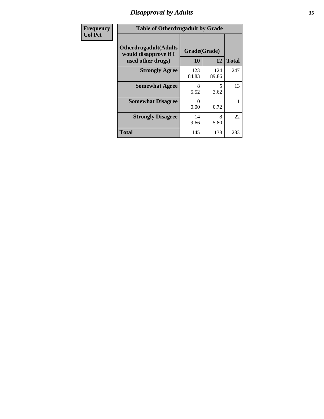# *Disapproval by Adults* **35**

| <b>Frequency</b> | <b>Table of Otherdrugadult by Grade</b>                |                  |              |              |
|------------------|--------------------------------------------------------|------------------|--------------|--------------|
| <b>Col Pct</b>   | <b>Otherdrugadult</b> (Adults<br>would disapprove if I | Grade(Grade)     |              |              |
|                  | used other drugs)                                      | 10               | 12           | <b>Total</b> |
|                  | <b>Strongly Agree</b>                                  | 123<br>84.83     | 124<br>89.86 | 247          |
|                  | <b>Somewhat Agree</b>                                  | 8<br>5.52        | 5<br>3.62    | 13           |
|                  | <b>Somewhat Disagree</b>                               | $\Omega$<br>0.00 | 0.72         |              |
|                  | <b>Strongly Disagree</b>                               | 14<br>9.66       | 8<br>5.80    | 22           |
|                  | <b>Total</b>                                           | 145              | 138          | 283          |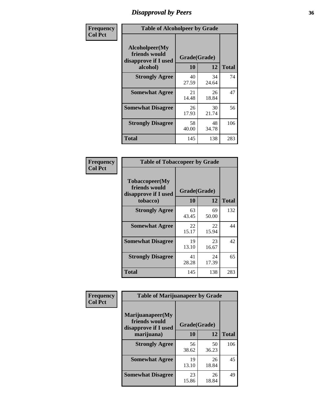# *Disapproval by Peers* **36**

| Frequency      | <b>Table of Alcoholpeer by Grade</b>                    |              |             |              |
|----------------|---------------------------------------------------------|--------------|-------------|--------------|
| <b>Col Pct</b> | Alcoholpeer(My<br>friends would<br>disapprove if I used | Grade(Grade) |             |              |
|                | alcohol)                                                | 10           | 12          | <b>Total</b> |
|                | <b>Strongly Agree</b>                                   | 40<br>27.59  | 34<br>24.64 | 74           |
|                | <b>Somewhat Agree</b>                                   | 21<br>14.48  | 26<br>18.84 | 47           |
|                | <b>Somewhat Disagree</b>                                | 26<br>17.93  | 30<br>21.74 | 56           |
|                | <b>Strongly Disagree</b>                                | 58<br>40.00  | 48<br>34.78 | 106          |
|                | Total                                                   | 145          | 138         | 283          |

| Frequency      | <b>Table of Tobaccopeer by Grade</b>                                |                    |             |              |  |
|----------------|---------------------------------------------------------------------|--------------------|-------------|--------------|--|
| <b>Col Pct</b> | Tobaccopeer(My<br>friends would<br>disapprove if I used<br>tobacco) | Grade(Grade)<br>10 | 12          | <b>Total</b> |  |
|                | <b>Strongly Agree</b>                                               | 63<br>43.45        | 69<br>50.00 | 132          |  |
|                | <b>Somewhat Agree</b>                                               | 22<br>15.17        | 22<br>15.94 | 44           |  |
|                | <b>Somewhat Disagree</b>                                            | 19<br>13.10        | 23<br>16.67 | 42           |  |
|                | <b>Strongly Disagree</b>                                            | 41<br>28.28        | 24<br>17.39 | 65           |  |
|                | <b>Total</b>                                                        | 145                | 138         | 283          |  |

| Frequency      | <b>Table of Marijuanapeer by Grade</b>                    |              |             |              |  |
|----------------|-----------------------------------------------------------|--------------|-------------|--------------|--|
| <b>Col Pct</b> | Marijuanapeer(My<br>friends would<br>disapprove if I used | Grade(Grade) |             |              |  |
|                | marijuana)                                                | 10           | 12          | <b>Total</b> |  |
|                | <b>Strongly Agree</b>                                     | 56<br>38.62  | 50<br>36.23 | 106          |  |
|                | <b>Somewhat Agree</b>                                     | 19<br>13.10  | 26<br>18.84 | 45           |  |
|                | <b>Somewhat Disagree</b>                                  | 23<br>15.86  | 26<br>18.84 | 49           |  |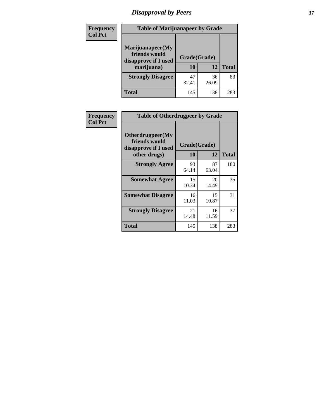# *Disapproval by Peers* **37**

| <b>Frequency</b> | <b>Table of Marijuanapeer by Grade</b>                                  |                    |             |              |  |
|------------------|-------------------------------------------------------------------------|--------------------|-------------|--------------|--|
| <b>Col Pct</b>   | Marijuanapeer(My<br>friends would<br>disapprove if I used<br>marijuana) | Grade(Grade)<br>10 | 12          | <b>Total</b> |  |
|                  | <b>Strongly Disagree</b>                                                | 47<br>32.41        | 36<br>26.09 | 83           |  |
|                  | <b>Total</b>                                                            | 145                | 138         | 283          |  |

| <b>Frequency</b> | <b>Table of Otherdrugpeer by Grade</b>                    |              |             |              |
|------------------|-----------------------------------------------------------|--------------|-------------|--------------|
|                  |                                                           |              |             |              |
| <b>Col Pct</b>   | Otherdrugpeer(My<br>friends would<br>disapprove if I used | Grade(Grade) |             |              |
|                  | other drugs)                                              | 10           | 12          | <b>Total</b> |
|                  | <b>Strongly Agree</b>                                     | 93<br>64.14  | 87<br>63.04 | 180          |
|                  | <b>Somewhat Agree</b>                                     | 15<br>10.34  | 20<br>14.49 | 35           |
|                  | <b>Somewhat Disagree</b>                                  | 16<br>11.03  | 15<br>10.87 | 31           |
|                  | <b>Strongly Disagree</b>                                  | 21<br>14.48  | 16<br>11.59 | 37           |
|                  | <b>Total</b>                                              | 145          | 138         | 283          |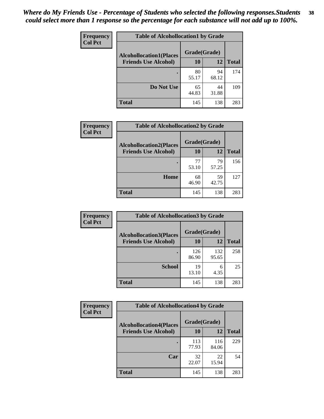| Frequency<br><b>Col Pct</b> | <b>Table of Alcohollocation1 by Grade</b> |              |             |              |
|-----------------------------|-------------------------------------------|--------------|-------------|--------------|
|                             | <b>Alcohollocation1(Places</b>            | Grade(Grade) |             |              |
|                             | <b>Friends Use Alcohol)</b>               | 10           | 12          | <b>Total</b> |
|                             |                                           | 80<br>55.17  | 94<br>68.12 | 174          |
|                             | Do Not Use                                | 65<br>44.83  | 44<br>31.88 | 109          |
|                             | <b>Total</b>                              | 145          | 138         | 283          |

| Frequency      | <b>Table of Alcohollocation2 by Grade</b>                     |                    |             |              |  |
|----------------|---------------------------------------------------------------|--------------------|-------------|--------------|--|
| <b>Col Pct</b> | <b>Alcohollocation2(Places</b><br><b>Friends Use Alcohol)</b> | Grade(Grade)<br>10 | 12          | <b>Total</b> |  |
|                |                                                               | 77<br>53.10        | 79<br>57.25 | 156          |  |
|                | Home                                                          | 68<br>46.90        | 59<br>42.75 | 127          |  |
|                | Total                                                         | 145                | 138         | 283          |  |

| Frequency<br><b>Col Pct</b> | <b>Table of Alcohollocation 3 by Grade</b>                    |                    |              |              |
|-----------------------------|---------------------------------------------------------------|--------------------|--------------|--------------|
|                             | <b>Alcohollocation3(Places</b><br><b>Friends Use Alcohol)</b> | Grade(Grade)<br>10 | 12           | <b>Total</b> |
|                             |                                                               |                    |              |              |
|                             |                                                               | 126<br>86.90       | 132<br>95.65 | 258          |
|                             | <b>School</b>                                                 | 19<br>13.10        | 6<br>4.35    | 25           |
|                             | <b>Total</b>                                                  | 145                | 138          | 283          |

| Frequency      | <b>Table of Alcohollocation4 by Grade</b> |              |              |              |  |
|----------------|-------------------------------------------|--------------|--------------|--------------|--|
| <b>Col Pct</b> | <b>Alcohollocation4(Places</b>            | Grade(Grade) |              |              |  |
|                | <b>Friends Use Alcohol)</b>               | 10           | 12           | <b>Total</b> |  |
|                |                                           | 113<br>77.93 | 116<br>84.06 | 229          |  |
|                | Car                                       | 32<br>22.07  | 22<br>15.94  | 54           |  |
|                | <b>Total</b>                              | 145          | 138          | 283          |  |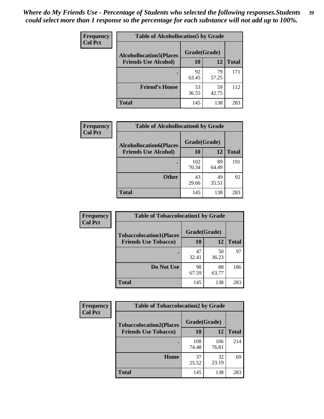| Frequency<br><b>Col Pct</b> | <b>Table of Alcohollocation5 by Grade</b> |              |             |              |  |
|-----------------------------|-------------------------------------------|--------------|-------------|--------------|--|
|                             | <b>Alcohollocation5(Places</b>            | Grade(Grade) |             |              |  |
|                             | <b>Friends Use Alcohol)</b>               | 10           | 12          | <b>Total</b> |  |
|                             |                                           | 92<br>63.45  | 79<br>57.25 | 171          |  |
|                             | <b>Friend's House</b>                     | 53<br>36.55  | 59<br>42.75 | 112          |  |
|                             | <b>Total</b>                              | 145          | 138         | 283          |  |

| Frequency      | <b>Table of Alcohollocation6 by Grade</b>                     |                           |             |              |
|----------------|---------------------------------------------------------------|---------------------------|-------------|--------------|
| <b>Col Pct</b> | <b>Alcohollocation6(Places</b><br><b>Friends Use Alcohol)</b> | Grade(Grade)<br><b>10</b> | 12          | <b>Total</b> |
|                |                                                               | 102<br>70.34              | 89<br>64.49 | 191          |
|                | <b>Other</b>                                                  | 43<br>29.66               | 49<br>35.51 | 92           |
|                | Total                                                         | 145                       | 138         | 283          |

| Frequency      | <b>Table of Tobaccolocation1 by Grade</b> |              |             |              |
|----------------|-------------------------------------------|--------------|-------------|--------------|
| <b>Col Pct</b> | <b>Tobaccolocation1(Places</b>            | Grade(Grade) |             |              |
|                | <b>Friends Use Tobacco)</b>               | 10           | <b>12</b>   | <b>Total</b> |
|                |                                           | 47<br>32.41  | 50<br>36.23 | 97           |
|                | Do Not Use                                | 98<br>67.59  | 88<br>63.77 | 186          |
|                | <b>Total</b>                              | 145          | 138         | 283          |

| Frequency      | <b>Table of Tobaccolocation2 by Grade</b> |              |              |              |  |
|----------------|-------------------------------------------|--------------|--------------|--------------|--|
| <b>Col Pct</b> | <b>Tobaccolocation2(Places</b>            | Grade(Grade) |              |              |  |
|                | <b>Friends Use Tobacco)</b>               | 10           | 12           | <b>Total</b> |  |
|                |                                           | 108<br>74.48 | 106<br>76.81 | 214          |  |
|                | Home                                      | 37<br>25.52  | 32<br>23.19  | 69           |  |
|                | <b>Total</b>                              | 145          | 138          | 283          |  |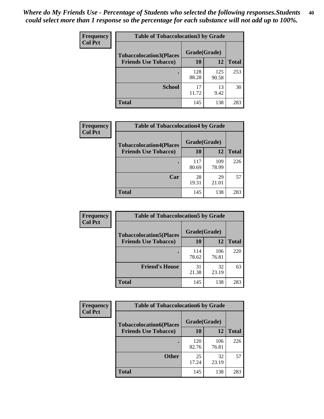| Frequency      | <b>Table of Tobaccolocation 3 by Grade</b> |              |              |              |
|----------------|--------------------------------------------|--------------|--------------|--------------|
| <b>Col Pct</b> | <b>Tobaccolocation3(Places</b>             | Grade(Grade) |              |              |
|                | <b>Friends Use Tobacco)</b>                | 10           | 12           | <b>Total</b> |
|                |                                            | 128<br>88.28 | 125<br>90.58 | 253          |
|                | <b>School</b>                              | 17<br>11.72  | 13<br>9.42   | 30           |
|                | <b>Total</b>                               | 145          | 138          | 283          |

| Frequency<br><b>Col Pct</b> | <b>Table of Tobaccolocation4 by Grade</b> |              |              |              |
|-----------------------------|-------------------------------------------|--------------|--------------|--------------|
|                             | <b>Tobaccolocation4(Places</b>            | Grade(Grade) |              |              |
|                             | <b>Friends Use Tobacco)</b>               | 10           | 12           | <b>Total</b> |
|                             |                                           | 117<br>80.69 | 109<br>78.99 | 226          |
|                             | Car                                       | 28<br>19.31  | 29<br>21.01  | 57           |
|                             | <b>Total</b>                              | 145          | 138          | 283          |

| Frequency<br><b>Col Pct</b> | <b>Table of Tobaccolocation5 by Grade</b> |              |              |              |
|-----------------------------|-------------------------------------------|--------------|--------------|--------------|
|                             | <b>Tobaccolocation5(Places</b>            | Grade(Grade) |              |              |
|                             | <b>Friends Use Tobacco)</b>               | 10           | 12           | <b>Total</b> |
|                             |                                           | 114<br>78.62 | 106<br>76.81 | 220          |
|                             | <b>Friend's House</b>                     | 31<br>21.38  | 32<br>23.19  | 63           |
|                             | <b>Total</b>                              | 145          | 138          | 283          |

| <b>Frequency</b> | <b>Table of Tobaccolocation6 by Grade</b> |              |              |              |  |
|------------------|-------------------------------------------|--------------|--------------|--------------|--|
| <b>Col Pct</b>   | <b>Tobaccolocation6(Places</b>            | Grade(Grade) |              |              |  |
|                  | <b>Friends Use Tobacco)</b>               | 10           | 12           | <b>Total</b> |  |
|                  |                                           | 120<br>82.76 | 106<br>76.81 | 226          |  |
|                  | <b>Other</b>                              | 25<br>17.24  | 32<br>23.19  | 57           |  |
|                  | <b>Total</b>                              | 145          | 138          | 283          |  |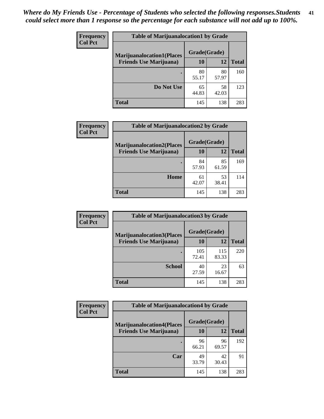| Frequency<br><b>Col Pct</b> | <b>Table of Marijuanalocation1 by Grade</b> |              |             |              |
|-----------------------------|---------------------------------------------|--------------|-------------|--------------|
|                             | <b>Marijuanalocation1(Places</b>            | Grade(Grade) |             |              |
|                             | <b>Friends Use Marijuana</b> )              | 10           | 12          | <b>Total</b> |
|                             |                                             | 80<br>55.17  | 80<br>57.97 | 160          |
|                             | Do Not Use                                  | 65<br>44.83  | 58<br>42.03 | 123          |
|                             | <b>Total</b>                                | 145          | 138         | 283          |

| Frequency<br><b>Col Pct</b> | <b>Table of Marijuanalocation2 by Grade</b> |              |             |              |
|-----------------------------|---------------------------------------------|--------------|-------------|--------------|
|                             | <b>Marijuanalocation2(Places</b>            | Grade(Grade) |             |              |
|                             | <b>Friends Use Marijuana</b> )              | 10           | 12          | <b>Total</b> |
|                             |                                             | 84<br>57.93  | 85<br>61.59 | 169          |
|                             | Home                                        | 61<br>42.07  | 53<br>38.41 | 114          |
|                             | <b>Total</b>                                | 145          | 138         | 283          |

| Frequency      | <b>Table of Marijuanalocation3 by Grade</b> |              |              |       |
|----------------|---------------------------------------------|--------------|--------------|-------|
| <b>Col Pct</b> | <b>Marijuanalocation3</b> (Places           | Grade(Grade) |              |       |
|                | <b>Friends Use Marijuana</b> )              | 10           | 12           | Total |
|                |                                             | 105<br>72.41 | 115<br>83.33 | 220   |
|                | <b>School</b>                               | 40<br>27.59  | 23<br>16.67  | 63    |
|                | <b>Total</b>                                | 145          | 138          | 283   |

| <b>Frequency</b> | <b>Table of Marijuanalocation4 by Grade</b> |              |             |              |  |
|------------------|---------------------------------------------|--------------|-------------|--------------|--|
| <b>Col Pct</b>   | <b>Marijuanalocation4(Places</b>            | Grade(Grade) |             |              |  |
|                  | <b>Friends Use Marijuana</b> )              | 10           | 12          | <b>Total</b> |  |
|                  |                                             | 96<br>66.21  | 96<br>69.57 | 192          |  |
|                  | Car                                         | 49<br>33.79  | 42<br>30.43 | 91           |  |
|                  | <b>Total</b>                                | 145          | 138         | 283          |  |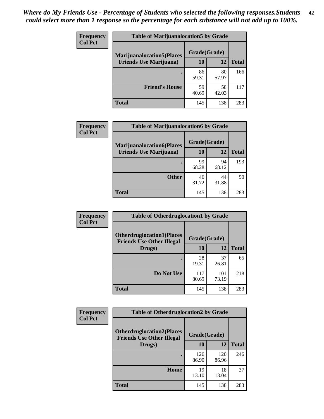| <b>Frequency</b> | <b>Table of Marijuanalocation5 by Grade</b> |              |             |              |
|------------------|---------------------------------------------|--------------|-------------|--------------|
| <b>Col Pct</b>   | <b>Marijuanalocation5</b> (Places           | Grade(Grade) |             |              |
|                  | <b>Friends Use Marijuana</b> )              | 10           | 12          | <b>Total</b> |
|                  |                                             | 86<br>59.31  | 80<br>57.97 | 166          |
|                  | <b>Friend's House</b>                       | 59<br>40.69  | 58<br>42.03 | 117          |
|                  | <b>Total</b>                                | 145          | 138         | 283          |

| <b>Frequency</b><br><b>Col Pct</b> | <b>Table of Marijuanalocation6 by Grade</b>                        |                    |             |              |
|------------------------------------|--------------------------------------------------------------------|--------------------|-------------|--------------|
|                                    | <b>Marijuanalocation6(Places</b><br><b>Friends Use Marijuana</b> ) | Grade(Grade)<br>10 | 12          | <b>Total</b> |
|                                    |                                                                    | 99                 | 94          | 193          |
|                                    |                                                                    | 68.28              | 68.12       |              |
|                                    | <b>Other</b>                                                       | 46<br>31.72        | 44<br>31.88 | 90           |
|                                    | <b>Total</b>                                                       | 145                | 138         | 283          |

| <b>Frequency</b> | <b>Table of Otherdruglocation1 by Grade</b>                          |              |              |              |
|------------------|----------------------------------------------------------------------|--------------|--------------|--------------|
| <b>Col Pct</b>   | <b>Otherdruglocation1(Places</b><br><b>Friends Use Other Illegal</b> | Grade(Grade) |              |              |
|                  | Drugs)                                                               | 10           | 12           | <b>Total</b> |
|                  |                                                                      | 28<br>19.31  | 37<br>26.81  | 65           |
|                  | Do Not Use                                                           | 117<br>80.69 | 101<br>73.19 | 218          |
|                  | <b>Total</b>                                                         | 145          | 138          | 283          |

| <b>Frequency</b> | <b>Table of Otherdruglocation2 by Grade</b>                          |              |              |              |
|------------------|----------------------------------------------------------------------|--------------|--------------|--------------|
| <b>Col Pct</b>   | <b>Otherdruglocation2(Places</b><br><b>Friends Use Other Illegal</b> | Grade(Grade) |              |              |
|                  | Drugs)                                                               | 10           | 12           | <b>Total</b> |
|                  |                                                                      | 126<br>86.90 | 120<br>86.96 | 246          |
|                  | Home                                                                 | 19<br>13.10  | 18<br>13.04  | 37           |
|                  | <b>Total</b>                                                         | 145          | 138          | 283          |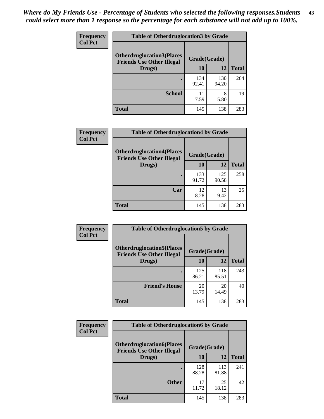| <b>Frequency</b> | <b>Table of Otherdruglocation3 by Grade</b>                          |              |              |              |
|------------------|----------------------------------------------------------------------|--------------|--------------|--------------|
| <b>Col Pct</b>   | <b>Otherdruglocation3(Places</b><br><b>Friends Use Other Illegal</b> | Grade(Grade) |              |              |
|                  | Drugs)                                                               | <b>10</b>    | 12           | <b>Total</b> |
|                  |                                                                      | 134<br>92.41 | 130<br>94.20 | 264          |
|                  | <b>School</b>                                                        | 11<br>7.59   | 8<br>5.80    | 19           |
|                  | <b>Total</b>                                                         | 145          | 138          | 283          |

| <b>Frequency</b> | <b>Table of Otherdruglocation4 by Grade</b>                          |              |              |              |
|------------------|----------------------------------------------------------------------|--------------|--------------|--------------|
| <b>Col Pct</b>   | <b>Otherdruglocation4(Places</b><br><b>Friends Use Other Illegal</b> | Grade(Grade) |              |              |
|                  | Drugs)                                                               | 10           | 12           | <b>Total</b> |
|                  |                                                                      | 133<br>91.72 | 125<br>90.58 | 258          |
|                  | Car                                                                  | 12<br>8.28   | 13<br>9.42   | 25           |
|                  | <b>Total</b>                                                         | 145          | 138          | 283          |

| <b>Frequency</b> | <b>Table of Otherdruglocation5 by Grade</b>                          |              |              |              |
|------------------|----------------------------------------------------------------------|--------------|--------------|--------------|
| <b>Col Pct</b>   | <b>Otherdruglocation5(Places</b><br><b>Friends Use Other Illegal</b> | Grade(Grade) |              |              |
|                  | Drugs)                                                               | 10           | 12           | <b>Total</b> |
|                  |                                                                      | 125<br>86.21 | 118<br>85.51 | 243          |
|                  | <b>Friend's House</b>                                                | 20<br>13.79  | 20<br>14.49  | 40           |
|                  | <b>Total</b>                                                         | 145          | 138          | 283          |

| <b>Frequency</b> | <b>Table of Otherdruglocation6 by Grade</b>                          |              |              |              |
|------------------|----------------------------------------------------------------------|--------------|--------------|--------------|
| <b>Col Pct</b>   | <b>Otherdruglocation6(Places</b><br><b>Friends Use Other Illegal</b> | Grade(Grade) |              |              |
|                  | Drugs)                                                               | 10           | 12           | <b>Total</b> |
|                  |                                                                      | 128<br>88.28 | 113<br>81.88 | 241          |
|                  | <b>Other</b>                                                         | 17<br>11.72  | 25<br>18.12  | 42           |
|                  | <b>Total</b>                                                         | 145          | 138          | 283          |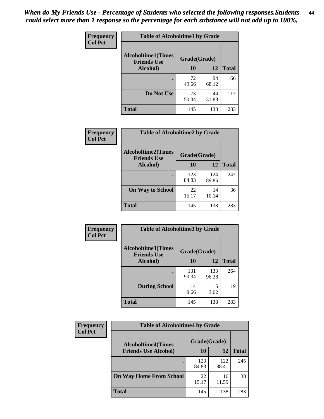| Frequency      | <b>Table of Alcoholtime1 by Grade</b> |              |             |              |
|----------------|---------------------------------------|--------------|-------------|--------------|
| <b>Col Pct</b> | <b>Alcoholtime1(Times</b>             | Grade(Grade) |             |              |
|                | <b>Friends Use</b><br>Alcohol)        | 10           | <b>12</b>   | <b>Total</b> |
|                |                                       | 72<br>49.66  | 94<br>68.12 | 166          |
|                | Do Not Use                            | 73<br>50.34  | 44<br>31.88 | 117          |
|                | <b>Total</b>                          | 145          | 138         | 283          |

| Frequency      | <b>Table of Alcoholtime2 by Grade</b>           |              |              |              |  |
|----------------|-------------------------------------------------|--------------|--------------|--------------|--|
| <b>Col Pct</b> | <b>Alcoholtime2(Times</b><br><b>Friends Use</b> | Grade(Grade) |              |              |  |
|                | Alcohol)                                        | 10           | 12           | <b>Total</b> |  |
|                |                                                 | 123<br>84.83 | 124<br>89.86 | 247          |  |
|                | <b>On Way to School</b>                         | 22<br>15.17  | 14<br>10.14  | 36           |  |
|                | <b>Total</b>                                    | 145          | 138          | 283          |  |

| <b>Frequency</b> | <b>Table of Alcoholtime3 by Grade</b>           |              |              |              |  |
|------------------|-------------------------------------------------|--------------|--------------|--------------|--|
| <b>Col Pct</b>   | <b>Alcoholtime3(Times</b><br><b>Friends Use</b> | Grade(Grade) |              |              |  |
|                  | Alcohol)                                        | 10           | 12           | <b>Total</b> |  |
|                  |                                                 | 131<br>90.34 | 133<br>96.38 | 264          |  |
|                  | <b>During School</b>                            | 14<br>9.66   | 5<br>3.62    | 19           |  |
|                  | <b>Total</b>                                    | 145          | 138          | 283          |  |

| <b>Frequency</b><br><b>Col Pct</b> | <b>Table of Alcoholtime4 by Grade</b> |              |              |              |  |
|------------------------------------|---------------------------------------|--------------|--------------|--------------|--|
|                                    | <b>Alcoholtime4(Times</b>             | Grade(Grade) |              |              |  |
|                                    | <b>Friends Use Alcohol)</b>           | 10           | 12           | <b>Total</b> |  |
|                                    |                                       | 123<br>84.83 | 122<br>88.41 | 245          |  |
|                                    | <b>On Way Home From School</b>        | 22<br>15.17  | 16<br>11.59  | 38           |  |
|                                    | <b>Total</b>                          | 145          | 138          | 283          |  |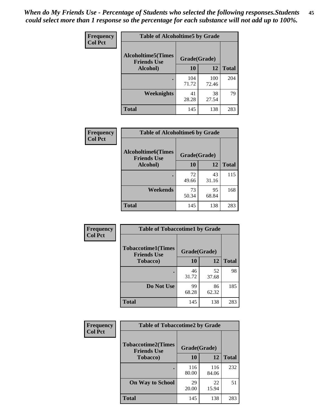*When do My Friends Use - Percentage of Students who selected the following responses.Students could select more than 1 response so the percentage for each substance will not add up to 100%.* **45**

| Frequency      | <b>Table of Alcoholtime5 by Grade</b> |                                    |              |              |
|----------------|---------------------------------------|------------------------------------|--------------|--------------|
| <b>Col Pct</b> | <b>Alcoholtime5(Times</b>             | Grade(Grade)<br><b>Friends Use</b> |              |              |
|                | Alcohol)                              | 10                                 | <b>12</b>    | <b>Total</b> |
|                |                                       | 104<br>71.72                       | 100<br>72.46 | 204          |
|                | Weeknights                            | 41<br>28.28                        | 38<br>27.54  | 79           |
|                | <b>Total</b>                          | 145                                | 138          | 283          |

| <b>Frequency</b> | <b>Table of Alcoholtime6 by Grade</b>           |              |             |              |  |
|------------------|-------------------------------------------------|--------------|-------------|--------------|--|
| <b>Col Pct</b>   | <b>Alcoholtime6(Times</b><br><b>Friends Use</b> | Grade(Grade) |             |              |  |
|                  | Alcohol)                                        | 10           | 12          | <b>Total</b> |  |
|                  |                                                 | 72<br>49.66  | 43<br>31.16 | 115          |  |
|                  | Weekends                                        | 73<br>50.34  | 95<br>68.84 | 168          |  |
|                  | <b>Total</b>                                    | 145          | 138         | 283          |  |

| Frequency      | <b>Table of Tobaccotime1 by Grade</b>           |              |             |              |  |
|----------------|-------------------------------------------------|--------------|-------------|--------------|--|
| <b>Col Pct</b> | <b>Tobaccotime1(Times</b><br><b>Friends Use</b> | Grade(Grade) |             |              |  |
|                | <b>Tobacco</b> )                                | 10           | 12          | <b>Total</b> |  |
|                | ٠                                               | 46<br>31.72  | 52<br>37.68 | 98           |  |
|                | Do Not Use                                      | 99<br>68.28  | 86<br>62.32 | 185          |  |
|                | <b>Total</b>                                    | 145          | 138         | 283          |  |

| <b>Frequency</b> | <b>Table of Tobaccotime2 by Grade</b>           |              |              |              |
|------------------|-------------------------------------------------|--------------|--------------|--------------|
| <b>Col Pct</b>   | <b>Tobaccotime2(Times</b><br><b>Friends Use</b> | Grade(Grade) |              |              |
|                  | <b>Tobacco</b> )                                | 10           | 12           | <b>Total</b> |
|                  |                                                 | 116<br>80.00 | 116<br>84.06 | 232          |
|                  | <b>On Way to School</b>                         | 29<br>20.00  | 22<br>15.94  | 51           |
|                  | Total                                           | 145          | 138          | 283          |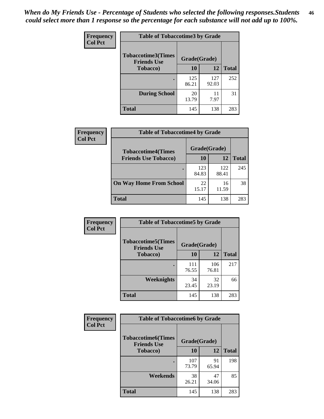*When do My Friends Use - Percentage of Students who selected the following responses.Students could select more than 1 response so the percentage for each substance will not add up to 100%.* **46**

| <b>Frequency</b> | <b>Table of Tobaccotime3 by Grade</b>           |              |              |              |  |
|------------------|-------------------------------------------------|--------------|--------------|--------------|--|
| <b>Col Pct</b>   | <b>Tobaccotime3(Times</b><br><b>Friends Use</b> | Grade(Grade) |              |              |  |
|                  | <b>Tobacco</b> )                                | 10           | 12           | <b>Total</b> |  |
|                  |                                                 | 125<br>86.21 | 127<br>92.03 | 252          |  |
|                  | <b>During School</b>                            | 20<br>13.79  | 11<br>7.97   | 31           |  |
|                  | <b>Total</b>                                    | 145          | 138          | 283          |  |

| Frequency<br><b>Col Pct</b> | <b>Table of Tobaccotime4 by Grade</b> |              |              |              |  |
|-----------------------------|---------------------------------------|--------------|--------------|--------------|--|
|                             | <b>Tobaccotime4(Times</b>             | Grade(Grade) |              |              |  |
|                             | <b>Friends Use Tobacco)</b>           | 10           | 12           | <b>Total</b> |  |
|                             |                                       | 123<br>84.83 | 122<br>88.41 | 245          |  |
|                             | <b>On Way Home From School</b>        | 22<br>15.17  | 16<br>11.59  | 38           |  |
|                             | Total                                 | 145          | 138          | 283          |  |

| <b>Frequency</b> | <b>Table of Tobaccotime5 by Grade</b>           |              |              |              |
|------------------|-------------------------------------------------|--------------|--------------|--------------|
| <b>Col Pct</b>   | <b>Tobaccotime5(Times</b><br><b>Friends Use</b> | Grade(Grade) |              |              |
|                  | <b>Tobacco</b> )                                | 10           | 12           | <b>Total</b> |
|                  |                                                 | 111<br>76.55 | 106<br>76.81 | 217          |
|                  | Weeknights                                      | 34<br>23.45  | 32<br>23.19  | 66           |
|                  | <b>Total</b>                                    | 145          | 138          | 283          |

| Frequency      | <b>Table of Tobaccotime6 by Grade</b>           |              |             |              |
|----------------|-------------------------------------------------|--------------|-------------|--------------|
| <b>Col Pct</b> | <b>Tobaccotime6(Times</b><br><b>Friends Use</b> | Grade(Grade) |             |              |
|                | <b>Tobacco</b> )                                | 10           | <b>12</b>   | <b>Total</b> |
|                |                                                 | 107<br>73.79 | 91<br>65.94 | 198          |
|                | Weekends                                        | 38<br>26.21  | 47<br>34.06 | 85           |
|                | <b>Total</b>                                    | 145          | 138         | 283          |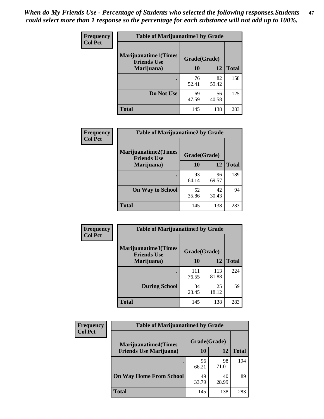| Frequency      | <b>Table of Marijuanatime1 by Grade</b>           |              |             |              |  |
|----------------|---------------------------------------------------|--------------|-------------|--------------|--|
| <b>Col Pct</b> | <b>Marijuanatime1(Times</b><br><b>Friends Use</b> | Grade(Grade) |             |              |  |
|                | Marijuana)                                        | 10           | 12          | <b>Total</b> |  |
|                |                                                   | 76<br>52.41  | 82<br>59.42 | 158          |  |
|                | Do Not Use                                        | 69<br>47.59  | 56<br>40.58 | 125          |  |
|                | <b>Total</b>                                      | 145          | 138         | 283          |  |

| <b>Frequency</b> | <b>Table of Marijuanatime2 by Grade</b>           |              |              |     |
|------------------|---------------------------------------------------|--------------|--------------|-----|
| <b>Col Pct</b>   | <b>Marijuanatime2(Times</b><br><b>Friends Use</b> | Grade(Grade) |              |     |
| Marijuana)       | 10                                                | 12           | <b>Total</b> |     |
|                  |                                                   | 93<br>64.14  | 96<br>69.57  | 189 |
|                  | <b>On Way to School</b>                           | 52<br>35.86  | 42<br>30.43  | 94  |
|                  | <b>Total</b>                                      | 145          | 138          | 283 |

| <b>Frequency</b> | <b>Table of Marijuanatime3 by Grade</b>    |              |              |              |  |
|------------------|--------------------------------------------|--------------|--------------|--------------|--|
| <b>Col Pct</b>   | Marijuanatime3(Times<br><b>Friends Use</b> | Grade(Grade) |              |              |  |
|                  | Marijuana)                                 | 10           | 12           | <b>Total</b> |  |
|                  |                                            | 111<br>76.55 | 113<br>81.88 | 224          |  |
|                  | <b>During School</b>                       | 34<br>23.45  | 25<br>18.12  | 59           |  |
|                  | <b>Total</b>                               | 145          | 138          | 283          |  |

| <b>Frequency</b><br><b>Col Pct</b> | <b>Table of Marijuanatime4 by Grade</b> |              |             |              |
|------------------------------------|-----------------------------------------|--------------|-------------|--------------|
|                                    | <b>Marijuanatime4(Times</b>             | Grade(Grade) |             |              |
|                                    | <b>Friends Use Marijuana</b> )          | 10           | 12          | <b>Total</b> |
|                                    |                                         | 96<br>66.21  | 98<br>71.01 | 194          |
|                                    | <b>On Way Home From School</b>          | 49<br>33.79  | 40<br>28.99 | 89           |
|                                    | <b>Total</b>                            | 145          | 138         | 283          |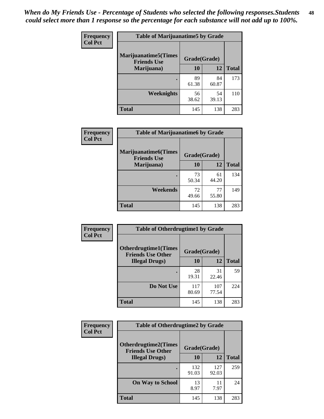| Frequency      | <b>Table of Marijuanatime5 by Grade</b>            |              |             |              |  |
|----------------|----------------------------------------------------|--------------|-------------|--------------|--|
| <b>Col Pct</b> | <b>Marijuanatime5</b> (Times<br><b>Friends Use</b> | Grade(Grade) |             |              |  |
|                | Marijuana)                                         | 10           | 12          | <b>Total</b> |  |
|                |                                                    | 89<br>61.38  | 84<br>60.87 | 173          |  |
|                | Weeknights                                         | 56<br>38.62  | 54<br>39.13 | 110          |  |
|                | <b>Total</b>                                       | 145          | 138         | 283          |  |

| Frequency      | <b>Table of Marijuanatime6 by Grade</b>            |              |             |              |
|----------------|----------------------------------------------------|--------------|-------------|--------------|
| <b>Col Pct</b> | <b>Marijuanatime6</b> (Times<br><b>Friends Use</b> | Grade(Grade) |             |              |
|                | Marijuana)                                         | 10           | 12          | <b>Total</b> |
|                |                                                    | 73<br>50.34  | 61<br>44.20 | 134          |
|                | Weekends                                           | 72<br>49.66  | 77<br>55.80 | 149          |
|                | <b>Total</b>                                       | 145          | 138         | 283          |

| <b>Frequency</b> | <b>Table of Otherdrugtime1 by Grade</b>                 |              |              |              |  |
|------------------|---------------------------------------------------------|--------------|--------------|--------------|--|
| <b>Col Pct</b>   | <b>Otherdrugtime1(Times</b><br><b>Friends Use Other</b> | Grade(Grade) |              |              |  |
|                  | <b>Illegal Drugs</b> )                                  | 10           | 12           | <b>Total</b> |  |
|                  |                                                         | 28<br>19.31  | 31<br>22.46  | 59           |  |
|                  | Do Not Use                                              | 117<br>80.69 | 107<br>77.54 | 224          |  |
|                  | <b>Total</b>                                            | 145          | 138          | 283          |  |

| Frequency      | <b>Table of Otherdrugtime2 by Grade</b>                 |              |              |              |
|----------------|---------------------------------------------------------|--------------|--------------|--------------|
| <b>Col Pct</b> | <b>Otherdrugtime2(Times</b><br><b>Friends Use Other</b> | Grade(Grade) |              |              |
|                | <b>Illegal Drugs</b> )                                  | 10           | 12           | <b>Total</b> |
|                |                                                         | 132<br>91.03 | 127<br>92.03 | 259          |
|                | <b>On Way to School</b>                                 | 13<br>8.97   | 11<br>7.97   | 24           |
|                | Total                                                   | 145          | 138          | 283          |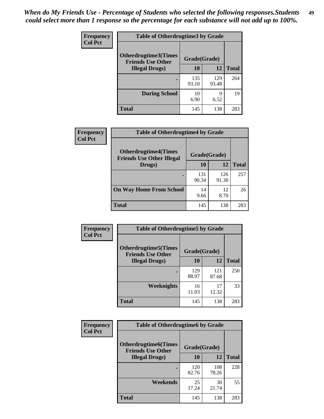| <b>Frequency</b> | <b>Table of Otherdrugtime3 by Grade</b>          |              |              |              |
|------------------|--------------------------------------------------|--------------|--------------|--------------|
| <b>Col Pct</b>   | Otherdrugtime3(Times<br><b>Friends Use Other</b> | Grade(Grade) |              |              |
|                  | <b>Illegal Drugs</b> )                           | 10           | 12           | <b>Total</b> |
|                  |                                                  | 135<br>93.10 | 129<br>93.48 | 264          |
|                  | <b>During School</b>                             | 10<br>6.90   | 9<br>6.52    | 19           |
|                  | <b>Total</b>                                     | 145          | 138          | 283          |

| Frequency      | <b>Table of Otherdrugtime4 by Grade</b>                         |              |              |              |
|----------------|-----------------------------------------------------------------|--------------|--------------|--------------|
| <b>Col Pct</b> | <b>Otherdrugtime4(Times</b><br><b>Friends Use Other Illegal</b> | Grade(Grade) |              |              |
|                | Drugs)                                                          | 10           | 12           | <b>Total</b> |
|                | ٠                                                               | 131<br>90.34 | 126<br>91.30 | 257          |
|                | <b>On Way Home From School</b>                                  | 14<br>9.66   | 12<br>8.70   | 26           |
|                | Total                                                           | 145          | 138          | 283          |

| Frequency      | <b>Table of Otherdrugtime5 by Grade</b>                  |              |              |              |  |  |
|----------------|----------------------------------------------------------|--------------|--------------|--------------|--|--|
| <b>Col Pct</b> | <b>Otherdrugtime5</b> (Times<br><b>Friends Use Other</b> | Grade(Grade) |              |              |  |  |
|                | <b>Illegal Drugs</b> )                                   | 10           | 12           | <b>Total</b> |  |  |
|                |                                                          | 129<br>88.97 | 121<br>87.68 | 250          |  |  |
|                | Weeknights                                               | 16<br>11.03  | 17<br>12.32  | 33           |  |  |
|                | <b>Total</b>                                             | 145          | 138          | 283          |  |  |

| <b>Frequency</b> | <b>Table of Otherdrugtime6 by Grade</b>                 |              |              |              |  |
|------------------|---------------------------------------------------------|--------------|--------------|--------------|--|
| <b>Col Pct</b>   | <b>Otherdrugtime6(Times</b><br><b>Friends Use Other</b> | Grade(Grade) |              |              |  |
|                  | <b>Illegal Drugs</b> )                                  | 10           | 12           | <b>Total</b> |  |
|                  |                                                         | 120<br>82.76 | 108<br>78.26 | 228          |  |
|                  | Weekends                                                | 25<br>17.24  | 30<br>21.74  | 55           |  |
|                  | <b>Total</b>                                            | 145          | 138          | 283          |  |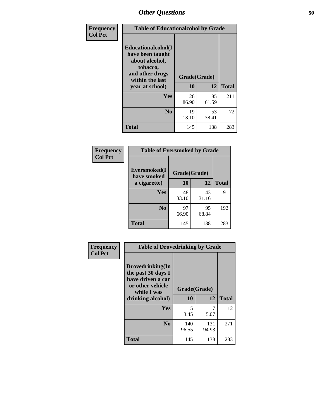| Frequency      | <b>Table of Educationalcohol by Grade</b>                                                                  |              |             |              |
|----------------|------------------------------------------------------------------------------------------------------------|--------------|-------------|--------------|
| <b>Col Pct</b> | Educationalcohol(I<br>have been taught<br>about alcohol,<br>tobacco,<br>and other drugs<br>within the last | Grade(Grade) |             |              |
|                | year at school)                                                                                            | 10           | 12          | <b>Total</b> |
|                | Yes                                                                                                        | 126<br>86.90 | 85<br>61.59 | 211          |
|                | N <sub>0</sub>                                                                                             | 19<br>13.10  | 53<br>38.41 | 72           |
|                | <b>Total</b>                                                                                               | 145          | 138         | 283          |

| Frequency      | <b>Table of Eversmoked by Grade</b> |              |             |              |  |  |
|----------------|-------------------------------------|--------------|-------------|--------------|--|--|
| <b>Col Pct</b> | Eversmoked(I<br>have smoked         | Grade(Grade) |             |              |  |  |
|                | a cigarette)                        | 10           | 12          | <b>Total</b> |  |  |
|                | <b>Yes</b>                          | 48<br>33.10  | 43<br>31.16 | 91           |  |  |
|                | N <sub>0</sub>                      | 97<br>66.90  | 95<br>68.84 | 192          |  |  |
|                | <b>Total</b>                        | 145          | 138         | 283          |  |  |

| Frequency<br><b>Col Pct</b> | <b>Table of Drovedrinking by Grade</b>                                                                              |                    |              |              |
|-----------------------------|---------------------------------------------------------------------------------------------------------------------|--------------------|--------------|--------------|
|                             | Drovedrinking(In<br>the past 30 days I<br>have driven a car<br>or other vehicle<br>while I was<br>drinking alcohol) | Grade(Grade)<br>10 | 12           | <b>Total</b> |
|                             | <b>Yes</b>                                                                                                          | 5<br>3.45          | 5.07         | 12           |
|                             | N <sub>0</sub>                                                                                                      | 140<br>96.55       | 131<br>94.93 | 271          |
|                             | <b>Total</b>                                                                                                        | 145                | 138          | 283          |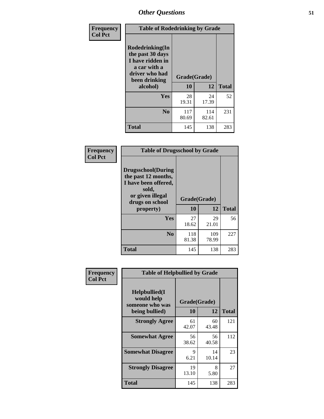| Frequency<br><b>Col Pct</b> | <b>Table of Rodedrinking by Grade</b>                                                                      |              |              |              |
|-----------------------------|------------------------------------------------------------------------------------------------------------|--------------|--------------|--------------|
|                             | Rodedrinking(In<br>the past 30 days<br>I have ridden in<br>a car with a<br>driver who had<br>been drinking |              | Grade(Grade) |              |
|                             | alcohol)                                                                                                   | 10           | 12           | <b>Total</b> |
|                             | Yes                                                                                                        | 28<br>19.31  | 24<br>17.39  | 52           |
|                             | N <sub>0</sub>                                                                                             | 117<br>80.69 | 114<br>82.61 | 231          |
|                             | <b>Total</b>                                                                                               | 145          | 138          | 283          |

#### **Frequency Col Pct**

| <b>Table of Drugsschool by Grade</b>                                                                                      |              |       |              |  |  |  |
|---------------------------------------------------------------------------------------------------------------------------|--------------|-------|--------------|--|--|--|
| <b>Drugsschool</b> (During<br>the past 12 months,<br>I have been offered,<br>sold,<br>or given illegal<br>drugs on school | Grade(Grade) |       |              |  |  |  |
| property)                                                                                                                 | 10           | 12    | <b>Total</b> |  |  |  |
| Yes                                                                                                                       | 27           | 29    | 56           |  |  |  |
|                                                                                                                           |              |       |              |  |  |  |
|                                                                                                                           | 18.62        | 21.01 |              |  |  |  |
| $\bf N_0$                                                                                                                 | 118          | 109   | 227          |  |  |  |
|                                                                                                                           | 81.38        | 78.99 |              |  |  |  |

| Frequency      | <b>Table of Helpbullied by Grade</b>                                   |                    |              |     |  |  |  |
|----------------|------------------------------------------------------------------------|--------------------|--------------|-----|--|--|--|
| <b>Col Pct</b> | $Helpb$ ullied $(I$<br>would help<br>someone who was<br>being bullied) | Grade(Grade)<br>10 | <b>Total</b> |     |  |  |  |
|                |                                                                        |                    | 12           |     |  |  |  |
|                | <b>Strongly Agree</b>                                                  | 61<br>42.07        | 60<br>43.48  | 121 |  |  |  |
|                | <b>Somewhat Agree</b>                                                  | 56<br>38.62        | 56<br>40.58  | 112 |  |  |  |
|                | <b>Somewhat Disagree</b>                                               | 9<br>6.21          | 14<br>10.14  | 23  |  |  |  |
|                | <b>Strongly Disagree</b>                                               | 19<br>13.10        | 8<br>5.80    | 27  |  |  |  |
|                | <b>Total</b>                                                           | 145                | 138          | 283 |  |  |  |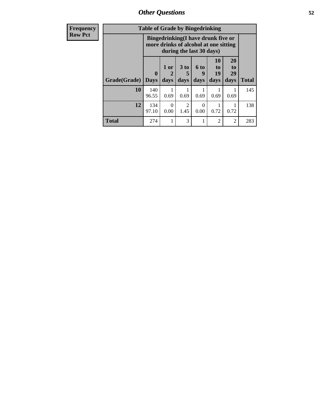*Other Questions* **52**

| <b>Frequency</b> | <b>Table of Grade by Bingedrinking</b> |                         |              |                         |                                                                                                         |                          |                        |              |
|------------------|----------------------------------------|-------------------------|--------------|-------------------------|---------------------------------------------------------------------------------------------------------|--------------------------|------------------------|--------------|
| <b>Row Pct</b>   |                                        |                         |              |                         | Bingedrinking(I have drunk five or<br>more drinks of alcohol at one sitting<br>during the last 30 days) |                          |                        |              |
|                  | Grade(Grade)                           | $\bf{0}$<br><b>Days</b> | 1 or<br>days | 3 <sub>to</sub><br>days | 6 to<br>9<br>days                                                                                       | 10<br>to  <br>19<br>days | 20<br>to<br>29<br>days | <b>Total</b> |
|                  | 10                                     | 140<br>96.55            | 0.69         | 0.69                    | 0.69                                                                                                    | 0.69                     | 0.69                   | 145          |
|                  | 12                                     | 134<br>97.10            | 0.00         | $\mathfrak{D}$<br>1.45  | 0<br>0.00                                                                                               | 0.72                     | 0.72                   | 138          |
|                  | <b>Total</b>                           | 274                     |              | 3                       |                                                                                                         | 2                        | 2                      | 283          |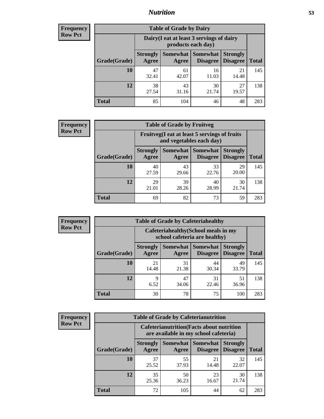## *Nutrition* **53**

| <b>Frequency</b><br>Row Pct |
|-----------------------------|
|                             |

| <b>Table of Grade by Dairy</b> |                          |                                                                 |                                    |                                    |              |  |  |
|--------------------------------|--------------------------|-----------------------------------------------------------------|------------------------------------|------------------------------------|--------------|--|--|
|                                |                          | Dairy (I eat at least 3 servings of dairy<br>products each day) |                                    |                                    |              |  |  |
| Grade(Grade)                   | <b>Strongly</b><br>Agree | Somewhat<br>Agree                                               | <b>Somewhat</b><br><b>Disagree</b> | <b>Strongly</b><br><b>Disagree</b> | <b>Total</b> |  |  |
| 10                             | 47<br>32.41              | 61<br>42.07                                                     | 16<br>11.03                        | 21<br>14.48                        | 145          |  |  |
| 12                             | 38<br>27.54              | 43<br>31.16                                                     | 30<br>21.74                        | 27<br>19.57                        | 138          |  |  |
| <b>Total</b>                   | 85                       | 104                                                             | 46                                 | 48                                 | 283          |  |  |

| <b>Frequency</b> |  |
|------------------|--|
| <b>Row Pct</b>   |  |

| <b>Table of Grade by Fruitveg</b> |                                                                          |                     |             |                                             |              |
|-----------------------------------|--------------------------------------------------------------------------|---------------------|-------------|---------------------------------------------|--------------|
|                                   | Fruitveg(I eat at least 5 servings of fruits<br>and vegetables each day) |                     |             |                                             |              |
| Grade(Grade)                      | <b>Strongly</b><br>Agree                                                 | Somewhat  <br>Agree | Somewhat    | <b>Strongly</b><br><b>Disagree</b> Disagree | <b>Total</b> |
| 10                                | 40<br>27.59                                                              | 43<br>29.66         | 33<br>22.76 | 29<br>20.00                                 | 145          |
| 12                                | 29<br>21.01                                                              | 39<br>28.26         | 40<br>28.99 | 30<br>21.74                                 | 138          |
| <b>Total</b>                      | 69                                                                       | 82                  | 73          | 59                                          | 283          |

| <b>Frequency</b> |
|------------------|
| <b>Row Pct</b>   |

| <b>Table of Grade by Cafeteriahealthy</b> |                          |                                                                       |                                    |                                    |              |  |  |
|-------------------------------------------|--------------------------|-----------------------------------------------------------------------|------------------------------------|------------------------------------|--------------|--|--|
|                                           |                          | Cafeteriahealthy (School meals in my<br>school cafeteria are healthy) |                                    |                                    |              |  |  |
| Grade(Grade)                              | <b>Strongly</b><br>Agree | Somewhat<br>Agree                                                     | <b>Somewhat</b><br><b>Disagree</b> | <b>Strongly</b><br><b>Disagree</b> | <b>Total</b> |  |  |
| 10                                        | 21<br>14.48              | 31<br>21.38                                                           | 44<br>30.34                        | 49<br>33.79                        | 145          |  |  |
| 12                                        | 9<br>6.52                | 47<br>34.06                                                           | 31<br>22.46                        | 51<br>36.96                        | 138          |  |  |
| Total                                     | 30                       | 78                                                                    | 75                                 | 100                                | 283          |  |  |

**Frequency Row Pct**

| <b>Table of Grade by Cafeterianutrition</b>                                               |                          |                          |                      |                                    |              |  |
|-------------------------------------------------------------------------------------------|--------------------------|--------------------------|----------------------|------------------------------------|--------------|--|
| <b>Cafeterianutrition</b> (Facts about nutrition<br>are available in my school cafeteria) |                          |                          |                      |                                    |              |  |
| Grade(Grade)                                                                              | <b>Strongly</b><br>Agree | <b>Somewhat</b><br>Agree | Somewhat<br>Disagree | <b>Strongly</b><br><b>Disagree</b> | <b>Total</b> |  |
| 10                                                                                        | 37<br>25.52              | 55<br>37.93              | 21<br>14.48          | 32<br>22.07                        | 145          |  |
| 12                                                                                        | 35<br>25.36              | 50<br>36.23              | 23<br>16.67          | 30<br>21.74                        | 138          |  |
| <b>Total</b>                                                                              | 72                       | 105                      | 44                   | 62                                 | 283          |  |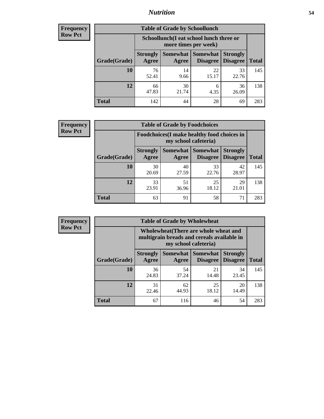## *Nutrition* **54**

| <b>Frequency</b> |
|------------------|
| <b>Row Pct</b>   |

| <b>Table of Grade by Schoollunch</b> |                          |                                                                 |                             |                                    |              |  |  |
|--------------------------------------|--------------------------|-----------------------------------------------------------------|-----------------------------|------------------------------------|--------------|--|--|
|                                      |                          | Schoollunch(I eat school lunch three or<br>more times per week) |                             |                                    |              |  |  |
| Grade(Grade)                         | <b>Strongly</b><br>Agree | Somewhat  <br>Agree                                             | <b>Somewhat</b><br>Disagree | <b>Strongly</b><br><b>Disagree</b> | <b>Total</b> |  |  |
| 10                                   | 76<br>52.41              | 14<br>9.66                                                      | 22<br>15.17                 | 33<br>22.76                        | 145          |  |  |
| 12                                   | 66<br>47.83              | 30<br>21.74                                                     | 6<br>4.35                   | 36<br>26.09                        | 138          |  |  |
| <b>Total</b>                         | 142                      | 44                                                              | 28                          | 69                                 | 283          |  |  |

| <b>Frequency</b> |  |
|------------------|--|
| <b>Row Pct</b>   |  |

| <b>Table of Grade by Foodchoices</b>                                |                          |             |                     |                                             |              |  |
|---------------------------------------------------------------------|--------------------------|-------------|---------------------|---------------------------------------------|--------------|--|
| Foodchoices (I make healthy food choices in<br>my school cafeteria) |                          |             |                     |                                             |              |  |
| Grade(Grade)                                                        | <b>Strongly</b><br>Agree | Agree       | Somewhat   Somewhat | <b>Strongly</b><br><b>Disagree</b> Disagree | <b>Total</b> |  |
| 10                                                                  | 30<br>20.69              | 40<br>27.59 | 33<br>22.76         | 42<br>28.97                                 | 145          |  |
| 12                                                                  | 33<br>23.91              | 51<br>36.96 | 25<br>18.12         | 29<br>21.01                                 | 138          |  |
| <b>Total</b>                                                        | 63                       | 91          | 58                  | 71                                          | 283          |  |

| <b>Frequency</b><br><b>Row Pct</b> |  |
|------------------------------------|--|
|------------------------------------|--|

| <b>Table of Grade by Wholewheat</b> |                                                                                                             |             |                                        |                                    |              |  |  |
|-------------------------------------|-------------------------------------------------------------------------------------------------------------|-------------|----------------------------------------|------------------------------------|--------------|--|--|
|                                     | Wholewheat (There are whole wheat and<br>multigrain breads and cereals available in<br>my school cafeteria) |             |                                        |                                    |              |  |  |
| Grade(Grade)                        | <b>Strongly</b><br>Agree                                                                                    | Agree       | Somewhat   Somewhat<br><b>Disagree</b> | <b>Strongly</b><br><b>Disagree</b> | <b>Total</b> |  |  |
| 10                                  | 36<br>24.83                                                                                                 | 54<br>37.24 | 21<br>14.48                            | 34<br>23.45                        | 145          |  |  |
| 12                                  | 31<br>22.46                                                                                                 | 62<br>44.93 | 25<br>18.12                            | 20<br>14.49                        | 138          |  |  |
| Total                               | 67                                                                                                          | 116         | 46                                     | 54                                 | 283          |  |  |

Ē.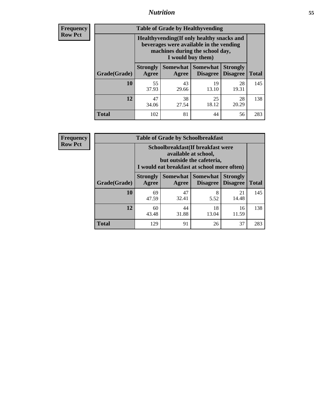## *Nutrition* **55**

**Frequency Row Pct**

| <b>Table of Grade by Healthyvending</b> |                                                                                                                                               |                          |                                    |                                    |              |  |  |
|-----------------------------------------|-----------------------------------------------------------------------------------------------------------------------------------------------|--------------------------|------------------------------------|------------------------------------|--------------|--|--|
|                                         | Healthyvending (If only healthy snacks and<br>beverages were available in the vending<br>machines during the school day,<br>I would buy them) |                          |                                    |                                    |              |  |  |
| Grade(Grade)                            | <b>Strongly</b><br>Agree                                                                                                                      | <b>Somewhat</b><br>Agree | <b>Somewhat</b><br><b>Disagree</b> | <b>Strongly</b><br><b>Disagree</b> | <b>Total</b> |  |  |
| 10                                      | 55<br>37.93                                                                                                                                   | 43<br>29.66              | 19<br>13.10                        | 28<br>19.31                        | 145          |  |  |
| 12                                      | 47<br>34.06                                                                                                                                   | 38<br>27.54              | 25<br>18.12                        | 28<br>20.29                        | 138          |  |  |
| Total                                   | 102                                                                                                                                           | 81                       | 44                                 | 56                                 | 283          |  |  |

**Frequency Row Pct**

| <b>Table of Grade by Schoolbreakfast</b> |                                                                                                                                         |             |                                 |                                    |              |  |  |
|------------------------------------------|-----------------------------------------------------------------------------------------------------------------------------------------|-------------|---------------------------------|------------------------------------|--------------|--|--|
|                                          | Schoolbreakfast (If breakfast were<br>available at school,<br>but outside the cafeteria,<br>I would eat breakfast at school more often) |             |                                 |                                    |              |  |  |
| Grade(Grade)                             | <b>Strongly</b><br>Agree                                                                                                                | Agree       | Somewhat   Somewhat<br>Disagree | <b>Strongly</b><br><b>Disagree</b> | <b>Total</b> |  |  |
| 10                                       | 69<br>47.59                                                                                                                             | 47<br>32.41 | 8<br>5.52                       | 21<br>14.48                        | 145          |  |  |
| 12                                       | 60<br>43.48                                                                                                                             | 44<br>31.88 | 18<br>13.04                     | 16<br>11.59                        | 138          |  |  |
| <b>Total</b>                             | 129                                                                                                                                     | 91          | 26                              | 37                                 | 283          |  |  |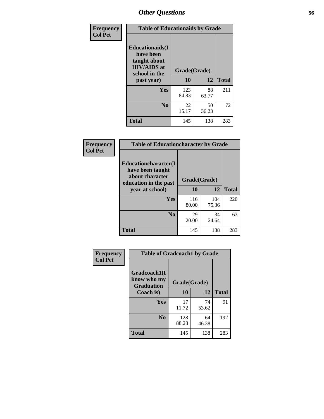| Frequency<br><b>Col Pct</b> | <b>Table of Educationaids by Grade</b>                                                                    |                    |             |              |
|-----------------------------|-----------------------------------------------------------------------------------------------------------|--------------------|-------------|--------------|
|                             | <b>Educationaids</b> (I<br>have been<br>taught about<br><b>HIV/AIDS</b> at<br>school in the<br>past year) | Grade(Grade)<br>10 | 12          | <b>Total</b> |
|                             | Yes                                                                                                       | 123<br>84.83       | 88<br>63.77 | 211          |
|                             | N <sub>0</sub>                                                                                            | 22<br>15.17        | 50<br>36.23 | 72           |
|                             | <b>Total</b>                                                                                              | 145                | 138         | 283          |

| <b>Frequency</b> | <b>Table of Educationcharacter by Grade</b>                                                 |              |              |              |
|------------------|---------------------------------------------------------------------------------------------|--------------|--------------|--------------|
| <b>Col Pct</b>   | <b>Educationcharacter(I</b><br>have been taught<br>about character<br>education in the past | Grade(Grade) |              |              |
|                  | year at school)                                                                             | 10           | 12           | <b>Total</b> |
|                  | <b>Yes</b>                                                                                  | 116<br>80.00 | 104<br>75.36 | 220          |
|                  | N <sub>0</sub>                                                                              | 29<br>20.00  | 34<br>24.64  | 63           |
|                  | <b>Total</b>                                                                                | 145          | 138          | 283          |

| Frequency      | <b>Table of Gradcoach1 by Grade</b>              |              |             |              |
|----------------|--------------------------------------------------|--------------|-------------|--------------|
| <b>Col Pct</b> | Gradcoach1(I<br>know who my<br><b>Graduation</b> | Grade(Grade) |             |              |
|                | Coach is)                                        | 10           | 12          | <b>Total</b> |
|                | Yes                                              | 17<br>11.72  | 74<br>53.62 | 91           |
|                | N <sub>0</sub>                                   | 128<br>88.28 | 64<br>46.38 | 192          |
|                | <b>Total</b>                                     | 145          | 138         | 283          |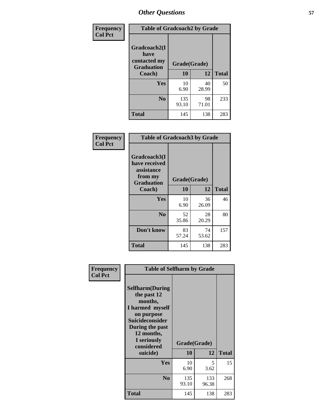| <b>Frequency</b> | <b>Table of Gradcoach2 by Grade</b>               |              |             |              |
|------------------|---------------------------------------------------|--------------|-------------|--------------|
| <b>Col Pct</b>   | Gradcoach2(I<br>have                              |              |             |              |
|                  | contacted my<br>Grade(Grade)<br><b>Graduation</b> |              |             |              |
|                  | Coach)                                            | 10           | 12          | <b>Total</b> |
|                  | Yes                                               | 10<br>6.90   | 40<br>28.99 | 50           |
|                  | N <sub>0</sub>                                    | 135<br>93.10 | 98<br>71.01 | 233          |
|                  | <b>Total</b>                                      | 145          | 138         | 283          |

| <b>Frequency</b><br><b>Col Pct</b> | <b>Table of Gradcoach3 by Grade</b>                                         |              |             |              |
|------------------------------------|-----------------------------------------------------------------------------|--------------|-------------|--------------|
|                                    | Gradcoach3(I<br>have received<br>assistance<br>from my<br><b>Graduation</b> | Grade(Grade) |             |              |
|                                    | Coach)                                                                      | 10           | 12          | <b>Total</b> |
|                                    | Yes                                                                         | 10<br>6.90   | 36<br>26.09 | 46           |
|                                    | N <sub>0</sub>                                                              | 52<br>35.86  | 28<br>20.29 | 80           |
|                                    | Don't know                                                                  | 83<br>57.24  | 74<br>53.62 | 157          |
|                                    | <b>Total</b>                                                                | 145          | 138         | 283          |

| Frequency      | <b>Table of Selfharm by Grade</b>                                                                                                                                                      |                    |              |              |  |
|----------------|----------------------------------------------------------------------------------------------------------------------------------------------------------------------------------------|--------------------|--------------|--------------|--|
| <b>Col Pct</b> | <b>Selfharm</b> (During<br>the past 12<br>months,<br>I harmed myself<br>on purpose<br><b>Suicideconsider</b><br>During the past<br>12 months,<br>I seriously<br>considered<br>suicide) | Grade(Grade)<br>10 | 12           | <b>Total</b> |  |
|                | Yes                                                                                                                                                                                    | 10<br>6.90         | 5<br>3.62    | 15           |  |
|                | N <sub>0</sub>                                                                                                                                                                         | 135<br>93.10       | 133<br>96.38 | 268          |  |
|                | <b>Total</b>                                                                                                                                                                           | 145                | 138          | 283          |  |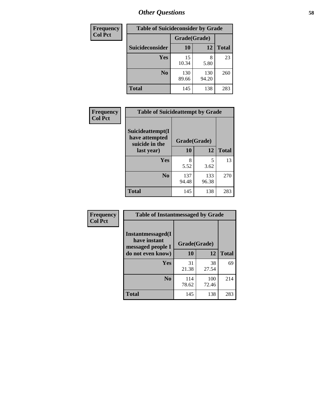| <b>Frequency</b> | <b>Table of Suicideconsider by Grade</b> |              |              |              |
|------------------|------------------------------------------|--------------|--------------|--------------|
| <b>Col Pct</b>   |                                          | Grade(Grade) |              |              |
|                  | <b>Suicideconsider</b>                   | <b>10</b>    | 12           | <b>Total</b> |
|                  | <b>Yes</b>                               | 15<br>10.34  | 8<br>5.80    | 23           |
|                  | N <sub>0</sub>                           | 130<br>89.66 | 130<br>94.20 | 260          |
|                  | <b>Total</b>                             | 145          | 138          | 283          |

| Frequency      | <b>Table of Suicideattempt by Grade</b>              |              |              |              |
|----------------|------------------------------------------------------|--------------|--------------|--------------|
| <b>Col Pct</b> | Suicideattempt(I<br>have attempted<br>suicide in the | Grade(Grade) |              |              |
|                | last year)                                           | 10           | 12           | <b>Total</b> |
|                | Yes                                                  | 8<br>5.52    | 5<br>3.62    | 13           |
|                | $\bf No$                                             | 137<br>94.48 | 133<br>96.38 | 270          |
|                | <b>Total</b>                                         | 145          | 138          | 283          |

| Frequency      | <b>Table of Instantmessaged by Grade</b>                |              |              |              |
|----------------|---------------------------------------------------------|--------------|--------------|--------------|
| <b>Col Pct</b> | Instantmessaged(I)<br>have instant<br>messaged people I | Grade(Grade) |              |              |
|                | do not even know)                                       | 10           | 12           | <b>Total</b> |
|                | Yes                                                     | 31<br>21.38  | 38<br>27.54  | 69           |
|                | N <sub>0</sub>                                          | 114<br>78.62 | 100<br>72.46 | 214          |
|                | <b>Total</b>                                            | 145          | 138          | 283          |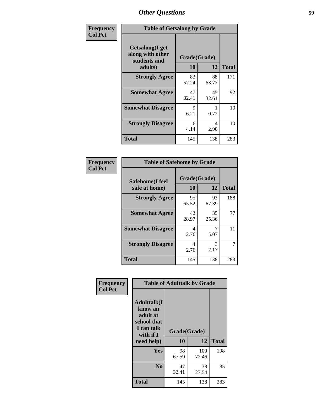| Frequency      | <b>Table of Getsalong by Grade</b>                             |                    |             |              |
|----------------|----------------------------------------------------------------|--------------------|-------------|--------------|
| <b>Col Pct</b> | Getsalong(I get<br>along with other<br>students and<br>adults) | Grade(Grade)<br>10 | 12          | <b>Total</b> |
|                | <b>Strongly Agree</b>                                          | 83<br>57.24        | 88<br>63.77 | 171          |
|                | <b>Somewhat Agree</b>                                          | 47<br>32.41        | 45<br>32.61 | 92           |
|                | <b>Somewhat Disagree</b>                                       | 9<br>6.21          | 0.72        | 10           |
|                | <b>Strongly Disagree</b>                                       | 6<br>4.14          | 4<br>2.90   | 10           |
|                | <b>Total</b>                                                   | 145                | 138         | 283          |

| Frequency      | <b>Table of Safehome by Grade</b> |                    |             |              |  |
|----------------|-----------------------------------|--------------------|-------------|--------------|--|
| <b>Col Pct</b> | Safehome(I feel<br>safe at home)  | Grade(Grade)<br>10 | 12          | <b>Total</b> |  |
|                | <b>Strongly Agree</b>             | 95<br>65.52        | 93<br>67.39 | 188          |  |
|                | <b>Somewhat Agree</b>             | 42<br>28.97        | 35<br>25.36 | 77           |  |
|                | <b>Somewhat Disagree</b>          | 4<br>2.76          | 7<br>5.07   | 11           |  |
|                | <b>Strongly Disagree</b>          | 4<br>2.76          | 3<br>2.17   | 7            |  |
|                | <b>Total</b>                      | 145                | 138         | 283          |  |

| Frequency      | <b>Table of Adulttalk by Grade</b>                                                  |              |              |              |
|----------------|-------------------------------------------------------------------------------------|--------------|--------------|--------------|
| <b>Col Pct</b> | <b>Adulttalk(I</b><br>know an<br>adult at<br>school that<br>I can talk<br>with if I | Grade(Grade) |              |              |
|                | need help)                                                                          | 10           | 12           | <b>Total</b> |
|                | <b>Yes</b>                                                                          | 98<br>67.59  | 100<br>72.46 | 198          |
|                | N <sub>0</sub>                                                                      | 47<br>32.41  | 38<br>27.54  | 85           |
|                | <b>Total</b>                                                                        | 145          | 138          | 283          |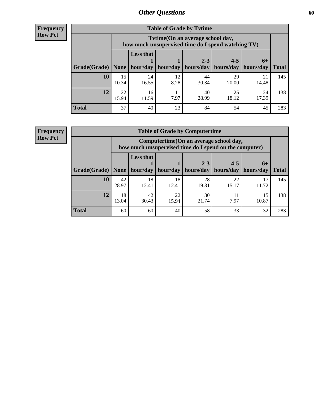**Frequency Row Pct**

| <b>Table of Grade by Tytime</b> |             |                                                                                                                   |            |             |             |             |                     |  |  |
|---------------------------------|-------------|-------------------------------------------------------------------------------------------------------------------|------------|-------------|-------------|-------------|---------------------|--|--|
|                                 |             | Tvtime(On an average school day,<br>how much unsupervised time do I spend watching TV)                            |            |             |             |             |                     |  |  |
| Grade(Grade)   None             |             | <b>Less that</b><br>$2 - 3$<br>$4 - 5$<br>$6+$<br>hour/day<br>  hours/day<br>hours/day<br>hour/day<br>  hours/day |            |             |             |             |                     |  |  |
| 10                              | 15          | 24                                                                                                                | 12         | 44          | 29          | 21          | <b>Total</b><br>145 |  |  |
|                                 | 10.34       | 16.55                                                                                                             | 8.28       | 30.34       | 20.00       | 14.48       |                     |  |  |
| 12                              | 22<br>15.94 | 16<br>11.59                                                                                                       | 11<br>7.97 | 40<br>28.99 | 25<br>18.12 | 24<br>17.39 | 138                 |  |  |
| <b>Total</b>                    | 37          | 40                                                                                                                | 23         | 84          | 54          | 45          | 283                 |  |  |

**Frequency Row Pct**

| <b>Table of Grade by Computertime</b> |             |                                                                                                                               |             |             |             |             |     |  |  |  |
|---------------------------------------|-------------|-------------------------------------------------------------------------------------------------------------------------------|-------------|-------------|-------------|-------------|-----|--|--|--|
|                                       |             | Computertime (On an average school day,<br>how much unsupervised time do I spend on the computer)                             |             |             |             |             |     |  |  |  |
| Grade(Grade)                          | None        | <b>Less that</b><br>$4 - 5$<br>$2 - 3$<br>$6+$<br>hour/day<br>hours/day<br>hours/day<br>hour/day<br>hours/day<br><b>Total</b> |             |             |             |             |     |  |  |  |
| 10                                    | 42<br>28.97 | 18<br>12.41                                                                                                                   | 18<br>12.41 | 28<br>19.31 | 22<br>15.17 | 17<br>11.72 | 145 |  |  |  |
| 12                                    | 18<br>13.04 | 42<br>22<br>30<br>15<br>11<br>7.97<br>30.43<br>21.74<br>10.87<br>15.94                                                        |             |             |             |             |     |  |  |  |
| <b>Total</b>                          | 60          | 60                                                                                                                            | 40          | 58          | 33          | 32          | 283 |  |  |  |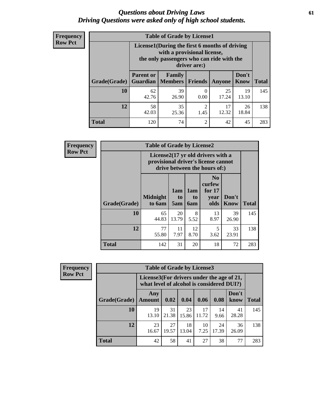### *Questions about Driving Laws* **61** *Driving Questions were asked only of high school students.*

| <b>Frequency</b> |
|------------------|
| <b>Row Pct</b>   |

| <b>Table of Grade by License1</b> |                                                                                                                                           |                            |                |             |               |              |  |  |
|-----------------------------------|-------------------------------------------------------------------------------------------------------------------------------------------|----------------------------|----------------|-------------|---------------|--------------|--|--|
|                                   | License1(During the first 6 months of driving<br>with a provisional license,<br>the only passengers who can ride with the<br>driver are:) |                            |                |             |               |              |  |  |
| <b>Grade</b> (Grade)              | <b>Parent or</b><br><b>Guardian</b>                                                                                                       | <b>Family</b><br>  Members | Friends        | Anyone      | Don't<br>Know | <b>Total</b> |  |  |
| 10                                | 62<br>42.76                                                                                                                               | 39<br>26.90                | 0<br>0.00      | 25<br>17.24 | 19<br>13.10   | 145          |  |  |
| 12                                | $\mathfrak{D}$<br>58<br>35<br>17<br>26<br>12.32<br>18.84<br>42.03<br>25.36<br>1.45                                                        |                            |                |             |               |              |  |  |
| <b>Total</b>                      | 120                                                                                                                                       | 74                         | $\overline{c}$ | 42          | 45            | 283          |  |  |

| Frequency      | <b>Table of Grade by License2</b> |                                                                                                          |                  |                  |                                                      |                      |              |  |  |
|----------------|-----------------------------------|----------------------------------------------------------------------------------------------------------|------------------|------------------|------------------------------------------------------|----------------------|--------------|--|--|
| <b>Row Pct</b> |                                   | License2(17 yr old drivers with a<br>provisional driver's license cannot<br>drive between the hours of:) |                  |                  |                                                      |                      |              |  |  |
|                | Grade(Grade)                      | <b>Midnight</b><br>to 6am                                                                                | 1am<br>to<br>5am | 1am<br>to<br>6am | N <sub>0</sub><br>curfew<br>for $17$<br>year<br>olds | Don't<br><b>Know</b> | <b>Total</b> |  |  |
|                | 10                                | 65<br>44.83                                                                                              | 20<br>13.79      | 8<br>5.52        | 13<br>8.97                                           | 39<br>26.90          | 145          |  |  |
|                | 12                                | 77<br>55.80                                                                                              | 11<br>7.97       | 12<br>8.70       | 5<br>3.62                                            | 33<br>23.91          | 138          |  |  |
|                | <b>Total</b>                      | 142                                                                                                      | 31               | 20               | 18                                                   | 72                   | 283          |  |  |

| <b>Frequency</b> | <b>Table of Grade by License3</b> |                      |                                                                                        |              |             |             |               |              |  |
|------------------|-----------------------------------|----------------------|----------------------------------------------------------------------------------------|--------------|-------------|-------------|---------------|--------------|--|
| <b>Row Pct</b>   |                                   |                      | License3(For drivers under the age of 21,<br>what level of alcohol is considered DUI?) |              |             |             |               |              |  |
|                  | Grade(Grade)                      | Any<br><b>Amount</b> | 0.02                                                                                   | 0.04         | 0.06        | 0.08        | Don't<br>know | <b>Total</b> |  |
|                  | 10                                | 19<br>13.10          | 31<br>21.38                                                                            | 23<br>15.86  | 17<br>11.72 | 14<br>9.66  | 41<br>28.28   | 145          |  |
|                  | 12                                | 23<br>16.67          | 27<br>19.57                                                                            | 18.<br>13.04 | 10<br>7.25  | 24<br>17.39 | 36<br>26.09   | 138          |  |
|                  | <b>Total</b>                      | 42                   | 58                                                                                     | 41           | 27          | 38          | 77            | 283          |  |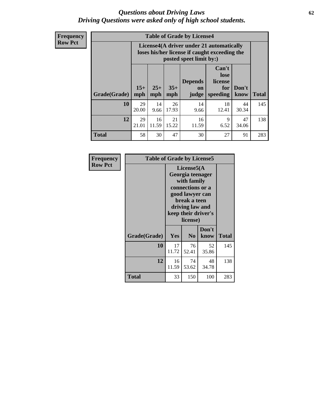### *Questions about Driving Laws* **62** *Driving Questions were asked only of high school students.*

**Frequency Row Pct**

|              |              |                                                                                                                                                      |             | <b>Table of Grade by License4</b> |             |             |     |  |
|--------------|--------------|------------------------------------------------------------------------------------------------------------------------------------------------------|-------------|-----------------------------------|-------------|-------------|-----|--|
|              |              | License4(A driver under 21 automatically<br>loses his/her license if caught exceeding the<br>posted speet limit by:)                                 |             |                                   |             |             |     |  |
| Grade(Grade) | $15+$<br>mph | Can't<br>lose<br><b>Depends</b><br>license<br>$25+$<br>$35+$<br>Don't<br>for<br><b>on</b><br>mph<br>speeding<br><b>Total</b><br>know<br>mph<br>judge |             |                                   |             |             |     |  |
| 10           | 29<br>20.00  | 14<br>9.66                                                                                                                                           | 26<br>17.93 | 14<br>9.66                        | 18<br>12.41 | 44<br>30.34 | 145 |  |
| 12           | 29<br>21.01  | 16<br>11.59                                                                                                                                          | 21<br>15.22 | 16<br>11.59                       | 9<br>6.52   | 47<br>34.06 | 138 |  |
| <b>Total</b> | 58           | 30                                                                                                                                                   | 47          | 30                                | 27          | 91          | 283 |  |

| Frequency<br><b>Row Pct</b> | <b>Table of Grade by License5</b> |             |                                                                                                                                     |                     |       |
|-----------------------------|-----------------------------------|-------------|-------------------------------------------------------------------------------------------------------------------------------------|---------------------|-------|
|                             |                                   |             | License5(A<br>Georgia teenager<br>with family<br>connections or a<br>good lawyer can<br>break a teen<br>driving law and<br>license) | keep their driver's |       |
|                             | Grade(Grade)                      | <b>Yes</b>  | N <sub>0</sub>                                                                                                                      | Don't<br>know       | Total |
|                             | 10                                | 17<br>11.72 | 76<br>52.41                                                                                                                         | 52<br>35.86         | 145   |
|                             | 12                                | 16<br>11.59 | 74<br>53.62                                                                                                                         | 48<br>34.78         | 138   |
|                             | Total                             | 33          | 150                                                                                                                                 | 100                 | 283   |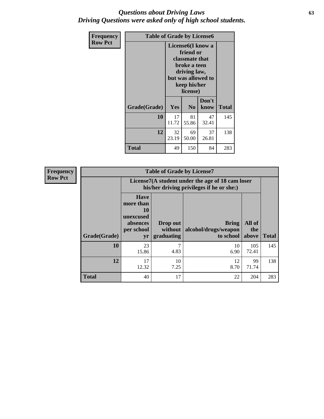### *Questions about Driving Laws* **63** *Driving Questions were asked only of high school students.*

| <b>Frequency</b> | <b>Table of Grade by License6</b> |             |                                                                                                                           |                    |              |
|------------------|-----------------------------------|-------------|---------------------------------------------------------------------------------------------------------------------------|--------------------|--------------|
| <b>Row Pct</b>   |                                   |             | License <sub>6</sub> (I know a<br>friend or<br>classmate that<br>broke a teen<br>driving law,<br>keep his/her<br>license) | but was allowed to |              |
|                  | Grade(Grade)                      | <b>Yes</b>  | N <sub>0</sub>                                                                                                            | Don't<br>know      | <b>Total</b> |
|                  | 10                                | 17<br>11.72 | 81<br>55.86                                                                                                               | 47<br>32.41        | 145          |
|                  | 12                                | 32<br>23.19 | 69<br>50.00                                                                                                               | 37<br>26.81        | 138          |
|                  | <b>Total</b>                      | 49          | 150                                                                                                                       | 84                 | 283          |

| <b>Frequency</b> | <b>Table of Grade by License7</b> |                                                                                               |                                   |                                            |                        |              |  |  |  |
|------------------|-----------------------------------|-----------------------------------------------------------------------------------------------|-----------------------------------|--------------------------------------------|------------------------|--------------|--|--|--|
| <b>Row Pct</b>   |                                   | License7(A student under the age of 18 cam loser<br>his/her driving privileges if he or she:) |                                   |                                            |                        |              |  |  |  |
|                  | Grade(Grade)                      | <b>Have</b><br>more than<br>10<br>unexcused<br>absences<br>per school<br>yr                   | Drop out<br>without<br>graduating | Bring<br>alcohol/drugs/weapon<br>to school | All of<br>the<br>above | <b>Total</b> |  |  |  |
|                  | 10                                | 23<br>15.86                                                                                   | ⇁<br>4.83                         | 10<br>6.90                                 | 105<br>72.41           | 145          |  |  |  |
|                  | 12                                | 17<br>12.32                                                                                   | 10<br>7.25                        | 12<br>8.70                                 | 99<br>71.74            | 138          |  |  |  |
|                  | <b>Total</b>                      | 40                                                                                            | 17                                | 22                                         | 204                    | 283          |  |  |  |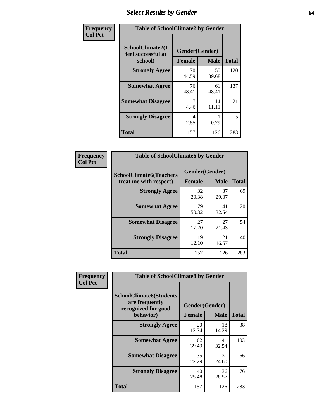# *Select Results by Gender* **64**

| Frequency      |                                                   | <b>Table of SchoolClimate2 by Gender</b> |             |              |  |  |  |
|----------------|---------------------------------------------------|------------------------------------------|-------------|--------------|--|--|--|
| <b>Col Pct</b> | SchoolClimate2(I<br>feel successful at<br>school) | Gender(Gender)<br><b>Female</b>          | <b>Male</b> | <b>Total</b> |  |  |  |
|                | <b>Strongly Agree</b>                             | 70<br>44.59                              | 50<br>39.68 | 120          |  |  |  |
|                | <b>Somewhat Agree</b>                             | 76<br>48.41                              | 61<br>48.41 | 137          |  |  |  |
|                | <b>Somewhat Disagree</b>                          | 4.46                                     | 14<br>11.11 | 21           |  |  |  |
|                | <b>Strongly Disagree</b>                          | 4<br>2.55                                | 0.79        | 5            |  |  |  |
|                | <b>Total</b>                                      | 157                                      | 126         | 283          |  |  |  |

| Frequency      | <b>Table of SchoolClimate6 by Gender</b>                 |                                 |             |              |  |  |  |
|----------------|----------------------------------------------------------|---------------------------------|-------------|--------------|--|--|--|
| <b>Col Pct</b> | <b>SchoolClimate6(Teachers</b><br>treat me with respect) | Gender(Gender)<br><b>Female</b> | <b>Male</b> | <b>Total</b> |  |  |  |
|                | <b>Strongly Agree</b>                                    | 32<br>20.38                     | 37<br>29.37 | 69           |  |  |  |
|                | <b>Somewhat Agree</b>                                    | 79<br>50.32                     | 41<br>32.54 | 120          |  |  |  |
|                | <b>Somewhat Disagree</b>                                 | 27<br>17.20                     | 27<br>21.43 | 54           |  |  |  |
|                | <b>Strongly Disagree</b>                                 | 19<br>12.10                     | 21<br>16.67 | 40           |  |  |  |
|                | <b>Total</b>                                             | 157                             | 126         | 283          |  |  |  |

| Frequency      | <b>Table of SchoolClimate8 by Gender</b>                                             |                                 |             |              |  |
|----------------|--------------------------------------------------------------------------------------|---------------------------------|-------------|--------------|--|
| <b>Col Pct</b> | <b>SchoolClimate8(Students</b><br>are frequently<br>recognized for good<br>behavior) | Gender(Gender)<br><b>Female</b> | <b>Male</b> | <b>Total</b> |  |
|                | <b>Strongly Agree</b>                                                                | 20<br>12.74                     | 18<br>14.29 | 38           |  |
|                | <b>Somewhat Agree</b>                                                                | 62<br>39.49                     | 41<br>32.54 | 103          |  |
|                | <b>Somewhat Disagree</b>                                                             | 35<br>22.29                     | 31<br>24.60 | 66           |  |
|                | <b>Strongly Disagree</b>                                                             | 40<br>25.48                     | 36<br>28.57 | 76           |  |
|                | Total                                                                                | 157                             | 126         | 283          |  |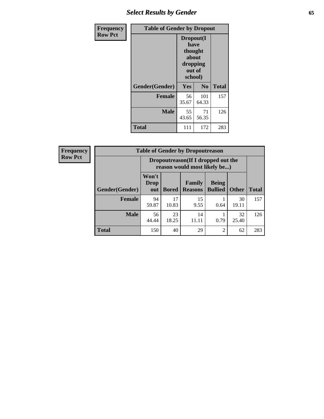# *Select Results by Gender* **65**

| <b>Frequency</b> | <b>Table of Gender by Dropout</b> |                                                                        |                |              |
|------------------|-----------------------------------|------------------------------------------------------------------------|----------------|--------------|
| <b>Row Pct</b>   |                                   | Dropout(I<br>have<br>thought<br>about<br>dropping<br>out of<br>school) |                |              |
|                  | Gender(Gender)                    | Yes                                                                    | N <sub>0</sub> | <b>Total</b> |
|                  | <b>Female</b>                     | 56<br>35.67                                                            | 101<br>64.33   | 157          |
|                  | <b>Male</b>                       | 55<br>43.65                                                            | 71<br>56.35    | 126          |
|                  | <b>Total</b>                      | 111                                                                    | 172            | 283          |

| <b>Frequency</b> | <b>Table of Gender by Dropoutreason</b> |                                                                     |              |                          |                                |              |              |
|------------------|-----------------------------------------|---------------------------------------------------------------------|--------------|--------------------------|--------------------------------|--------------|--------------|
| <b>Row Pct</b>   |                                         | Dropoutreason (If I dropped out the<br>reason would most likely be) |              |                          |                                |              |              |
|                  | Gender(Gender)                          | Won't<br><b>Drop</b><br>out                                         | <b>Bored</b> | Family<br><b>Reasons</b> | <b>Being</b><br><b>Bullied</b> | <b>Other</b> | <b>Total</b> |
|                  | <b>Female</b>                           | 94<br>59.87                                                         | 17<br>10.83  | 15<br>9.55               | 0.64                           | 30<br>19.11  | 157          |
|                  | <b>Male</b>                             | 56<br>44.44                                                         | 23<br>18.25  | 14<br>11.11              | 0.79                           | 32<br>25.40  | 126          |
|                  | <b>Total</b>                            | 150                                                                 | 40           | 29                       | $\overline{2}$                 | 62           | 283          |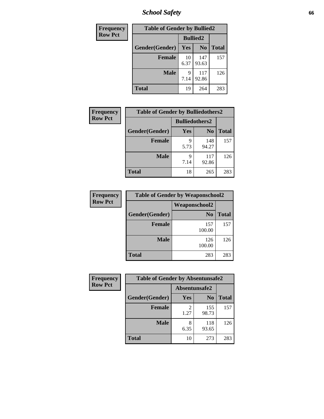*School Safety* **66**

| Frequency      | <b>Table of Gender by Bullied2</b> |                 |                |              |
|----------------|------------------------------------|-----------------|----------------|--------------|
| <b>Row Pct</b> |                                    | <b>Bullied2</b> |                |              |
|                | Gender(Gender)                     | Yes             | N <sub>0</sub> | <b>Total</b> |
|                | <b>Female</b>                      | 10<br>6.37      | 147<br>93.63   | 157          |
|                | <b>Male</b>                        | 9<br>7.14       | 117<br>92.86   | 126          |
|                | <b>Total</b>                       | 19              | 264            | 283          |

| <b>Frequency</b> | <b>Table of Gender by Bulliedothers2</b> |                       |                |              |
|------------------|------------------------------------------|-----------------------|----------------|--------------|
| <b>Row Pct</b>   |                                          | <b>Bulliedothers2</b> |                |              |
|                  | Gender(Gender)                           | Yes                   | N <sub>0</sub> | <b>Total</b> |
|                  | <b>Female</b>                            | q<br>5.73             | 148<br>94.27   | 157          |
|                  | <b>Male</b>                              | Q<br>7.14             | 117<br>92.86   | 126          |
|                  | Total                                    | 18                    | 265            | 283          |

| Frequency      | <b>Table of Gender by Weaponschool2</b> |                      |              |  |  |
|----------------|-----------------------------------------|----------------------|--------------|--|--|
| <b>Row Pct</b> |                                         | <b>Weaponschool2</b> |              |  |  |
|                | Gender(Gender)                          | N <sub>0</sub>       | <b>Total</b> |  |  |
|                | <b>Female</b>                           | 157<br>100.00        | 157          |  |  |
|                | <b>Male</b>                             | 126<br>100.00        | 126          |  |  |
|                | <b>Total</b>                            | 283                  | 283          |  |  |

| Frequency      | <b>Table of Gender by Absentunsafe2</b> |               |                |              |  |
|----------------|-----------------------------------------|---------------|----------------|--------------|--|
| <b>Row Pct</b> |                                         | Absentunsafe2 |                |              |  |
|                | Gender(Gender)                          | Yes           | N <sub>0</sub> | <b>Total</b> |  |
|                | <b>Female</b>                           | 1.27          | 155<br>98.73   | 157          |  |
|                | <b>Male</b>                             | 8<br>6.35     | 118<br>93.65   | 126          |  |
|                | <b>Total</b>                            | 10            | 273            | 283          |  |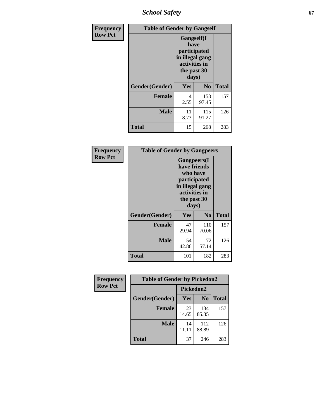*School Safety* **67**

| Frequency      | <b>Table of Gender by Gangself</b> |                                                                                                        |                |              |
|----------------|------------------------------------|--------------------------------------------------------------------------------------------------------|----------------|--------------|
| <b>Row Pct</b> |                                    | <b>Gangself</b> (I<br>have<br>participated<br>in illegal gang<br>activities in<br>the past 30<br>days) |                |              |
|                | Gender(Gender)                     | Yes                                                                                                    | N <sub>0</sub> | <b>Total</b> |
|                | <b>Female</b>                      | 4<br>2.55                                                                                              | 153<br>97.45   | 157          |
|                | <b>Male</b>                        | 11<br>8.73                                                                                             | 115<br>91.27   | 126          |
|                | <b>Total</b>                       | 15                                                                                                     | 268            | 283          |

| Frequency      | <b>Table of Gender by Gangpeers</b> |                                                                                                                             |                |              |
|----------------|-------------------------------------|-----------------------------------------------------------------------------------------------------------------------------|----------------|--------------|
| <b>Row Pct</b> |                                     | <b>Gangpeers</b> (I<br>have friends<br>who have<br>participated<br>in illegal gang<br>activities in<br>the past 30<br>days) |                |              |
|                | Gender(Gender)                      | Yes                                                                                                                         | N <sub>0</sub> | <b>Total</b> |
|                | <b>Female</b>                       | 47<br>29.94                                                                                                                 | 110<br>70.06   | 157          |
|                | <b>Male</b>                         | 54<br>42.86                                                                                                                 | 72<br>57.14    | 126          |
|                | <b>Total</b>                        | 101                                                                                                                         | 182            | 283          |

| Frequency      | <b>Table of Gender by Pickedon2</b> |             |                |              |
|----------------|-------------------------------------|-------------|----------------|--------------|
| <b>Row Pct</b> |                                     | Pickedon2   |                |              |
|                | Gender(Gender)                      | Yes         | N <sub>0</sub> | <b>Total</b> |
|                | <b>Female</b>                       | 23<br>14.65 | 134<br>85.35   | 157          |
|                | <b>Male</b>                         | 14<br>11.11 | 112<br>88.89   | 126          |
|                | <b>Total</b>                        | 37          | 246            | 283          |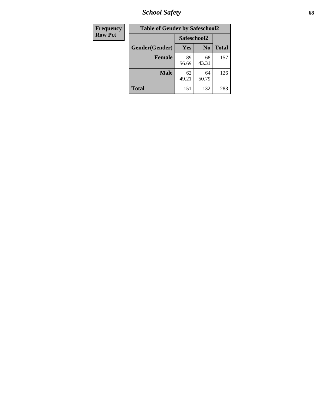*School Safety* **68**

| Frequency      | <b>Table of Gender by Safeschool2</b> |             |                |              |
|----------------|---------------------------------------|-------------|----------------|--------------|
| <b>Row Pct</b> |                                       | Safeschool2 |                |              |
|                | Gender(Gender)                        | Yes         | N <sub>0</sub> | <b>Total</b> |
|                | <b>Female</b>                         | 89<br>56.69 | 68<br>43.31    | 157          |
|                | <b>Male</b>                           | 62<br>49.21 | 64<br>50.79    | 126          |
|                | <b>Total</b>                          | 151         | 132            | 283          |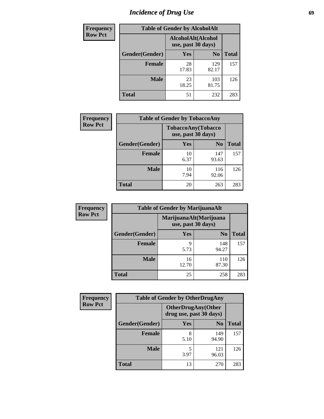# *Incidence of Drug Use* 69

| <b>Frequency</b> | <b>Table of Gender by AlcoholAlt</b> |                                          |                |              |  |
|------------------|--------------------------------------|------------------------------------------|----------------|--------------|--|
| <b>Row Pct</b>   |                                      | AlcoholAlt(Alcohol<br>use, past 30 days) |                |              |  |
|                  | Gender(Gender)                       | Yes                                      | N <sub>0</sub> | <b>Total</b> |  |
|                  | <b>Female</b>                        | 28<br>17.83                              | 129<br>82.17   | 157          |  |
|                  | <b>Male</b>                          | 23<br>18.25                              | 103<br>81.75   | 126          |  |
|                  | <b>Total</b>                         | 51                                       | 232            | 283          |  |

| <b>Frequency</b> | <b>Table of Gender by TobaccoAny</b> |                                          |                |              |
|------------------|--------------------------------------|------------------------------------------|----------------|--------------|
| <b>Row Pct</b>   |                                      | TobaccoAny(Tobacco<br>use, past 30 days) |                |              |
|                  | Gender(Gender)                       | Yes                                      | N <sub>0</sub> | <b>Total</b> |
|                  | <b>Female</b>                        | 10<br>6.37                               | 147<br>93.63   | 157          |
|                  | <b>Male</b>                          | 10<br>7.94                               | 116<br>92.06   | 126          |
|                  | <b>Total</b>                         | 20                                       | 263            | 283          |

| <b>Frequency</b> | <b>Table of Gender by MarijuanaAlt</b> |             |                                              |       |
|------------------|----------------------------------------|-------------|----------------------------------------------|-------|
| <b>Row Pct</b>   |                                        |             | MarijuanaAlt(Marijuana<br>use, past 30 days) |       |
|                  | Gender(Gender)                         | <b>Yes</b>  | N <sub>0</sub>                               | Total |
|                  | <b>Female</b>                          | 9<br>5.73   | 148<br>94.27                                 | 157   |
|                  | <b>Male</b>                            | 16<br>12.70 | 110<br>87.30                                 | 126   |
|                  | <b>Total</b>                           | 25          | 258                                          | 283   |

| <b>Frequency</b> | <b>Table of Gender by OtherDrugAny</b> |                         |                           |              |
|------------------|----------------------------------------|-------------------------|---------------------------|--------------|
| <b>Row Pct</b>   |                                        | drug use, past 30 days) | <b>OtherDrugAny(Other</b> |              |
|                  | Gender(Gender)                         | <b>Yes</b>              | N <sub>0</sub>            | <b>Total</b> |
|                  | <b>Female</b>                          | 8<br>5.10               | 149<br>94.90              | 157          |
|                  | <b>Male</b>                            | 5<br>3.97               | 121<br>96.03              | 126          |
|                  | <b>Total</b>                           | 13                      | 270                       | 283          |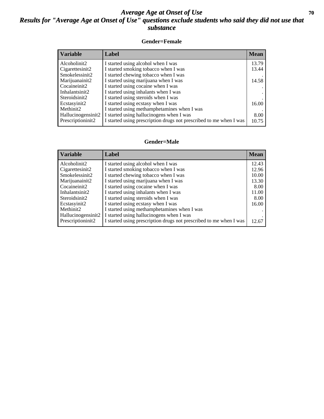### *Average Age at Onset of Use* **70** *Results for "Average Age at Onset of Use" questions exclude students who said they did not use that substance*

#### **Gender=Female**

| Variable           | <b>Label</b>                                                       | <b>Mean</b> |
|--------------------|--------------------------------------------------------------------|-------------|
| Alcoholinit2       | I started using alcohol when I was                                 | 13.79       |
| Cigarettesinit2    | I started smoking tobacco when I was                               | 13.44       |
| Smokelessinit2     | I started chewing tobacco when I was                               |             |
| Marijuanainit2     | I started using marijuana when I was                               | 14.58       |
| Cocaineinit2       | I started using cocaine when I was                                 |             |
| Inhalantsinit2     | I started using inhalants when I was                               |             |
| Steroidsinit2      | I started using steroids when I was                                |             |
| Ecstasyinit2       | I started using ecstasy when I was                                 | 16.00       |
| Methinit2          | I started using methamphetamines when I was                        |             |
| Hallucinogensinit2 | I started using hallucinogens when I was                           | 8.00        |
| Prescription in t2 | I started using prescription drugs not prescribed to me when I was | 10.75       |

#### **Gender=Male**

| <b>Variable</b>                 | Label                                                              | <b>Mean</b> |
|---------------------------------|--------------------------------------------------------------------|-------------|
| Alcoholinit2                    | I started using alcohol when I was                                 | 12.43       |
| Cigarettesinit2                 | I started smoking tobacco when I was                               | 12.96       |
| Smokelessinit2                  | I started chewing tobacco when I was                               | 10.00       |
| Marijuanainit2                  | I started using marijuana when I was                               | 13.30       |
| Cocaineinit2                    | I started using cocaine when I was                                 | 8.00        |
| Inhalantsinit2                  | I started using inhalants when I was                               | 11.00       |
| Steroidsinit2                   | I started using steroids when I was                                | 8.00        |
| Ecstasyinit2                    | I started using ecstasy when I was                                 | 16.00       |
| Methinit2                       | I started using methamphetamines when I was                        |             |
| Hallucinogensinit2              | I started using hallucinogens when I was                           |             |
| Prescription in it <sub>2</sub> | I started using prescription drugs not prescribed to me when I was | 12.67       |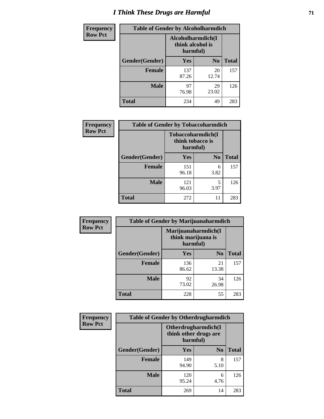# *I Think These Drugs are Harmful* **71**

| <b>Frequency</b> | <b>Table of Gender by Alcoholharmdich</b> |                                                   |                |              |
|------------------|-------------------------------------------|---------------------------------------------------|----------------|--------------|
| <b>Row Pct</b>   |                                           | Alcoholharmdich(I<br>think alcohol is<br>harmful) |                |              |
|                  | Gender(Gender)                            | <b>Yes</b>                                        | N <sub>0</sub> | <b>Total</b> |
|                  | <b>Female</b>                             | 137<br>87.26                                      | 20<br>12.74    | 157          |
|                  | <b>Male</b>                               | 97<br>76.98                                       | 29<br>23.02    | 126          |
|                  | <b>Total</b>                              | 234                                               | 49             | 283          |

| Frequency      | <b>Table of Gender by Tobaccoharmdich</b> |                  |                               |              |
|----------------|-------------------------------------------|------------------|-------------------------------|--------------|
| <b>Row Pct</b> |                                           | think tobacco is | Tobaccoharmdich(I<br>harmful) |              |
|                | Gender(Gender)                            | <b>Yes</b>       | N <sub>0</sub>                | <b>Total</b> |
|                | <b>Female</b>                             | 151<br>96.18     | 6<br>3.82                     | 157          |
|                | <b>Male</b>                               | 121<br>96.03     | 5<br>3.97                     | 126          |
|                | <b>Total</b>                              | 272              | 11                            | 283          |

| Frequency      | <b>Table of Gender by Marijuanaharmdich</b> |                                |                     |              |  |
|----------------|---------------------------------------------|--------------------------------|---------------------|--------------|--|
| <b>Row Pct</b> |                                             | think marijuana is<br>harmful) | Marijuanaharmdich(I |              |  |
|                | Gender(Gender)                              | <b>Yes</b>                     | N <sub>0</sub>      | <b>Total</b> |  |
|                | <b>Female</b>                               | 136<br>86.62                   | 21<br>13.38         | 157          |  |
|                | <b>Male</b>                                 | 92<br>73.02                    | 34<br>26.98         | 126          |  |
|                | <b>Total</b>                                | 228                            | 55                  | 283          |  |

| Frequency      | <b>Table of Gender by Otherdrugharmdich</b> |                                                          |                |              |  |
|----------------|---------------------------------------------|----------------------------------------------------------|----------------|--------------|--|
| <b>Row Pct</b> |                                             | Otherdrugharmdich(I<br>think other drugs are<br>harmful) |                |              |  |
|                | Gender(Gender)                              | <b>Yes</b>                                               | N <sub>0</sub> | <b>Total</b> |  |
|                | <b>Female</b>                               | 149<br>94.90                                             | 8<br>5.10      | 157          |  |
|                | <b>Male</b>                                 | 120<br>95.24                                             | 6<br>4.76      | 126          |  |
|                | <b>Total</b>                                | 269                                                      | 14             | 283          |  |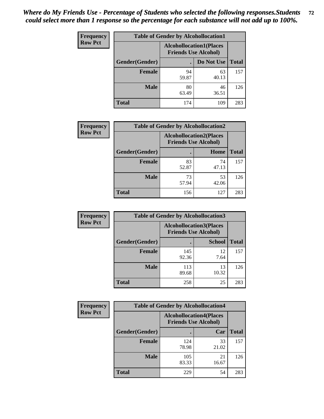| <b>Frequency</b> | <b>Table of Gender by Alcohollocation1</b> |                                                               |             |              |
|------------------|--------------------------------------------|---------------------------------------------------------------|-------------|--------------|
| <b>Row Pct</b>   |                                            | <b>Alcohollocation1(Places</b><br><b>Friends Use Alcohol)</b> |             |              |
|                  | Gender(Gender)                             |                                                               | Do Not Use  | <b>Total</b> |
|                  | <b>Female</b>                              | 94<br>59.87                                                   | 63<br>40.13 | 157          |
|                  | <b>Male</b>                                | 80<br>63.49                                                   | 46<br>36.51 | 126          |
|                  | <b>Total</b>                               | 174                                                           | 109         | 283          |

| <b>Frequency</b> | <b>Table of Gender by Alcohollocation2</b> |                                                               |             |              |
|------------------|--------------------------------------------|---------------------------------------------------------------|-------------|--------------|
| <b>Row Pct</b>   |                                            | <b>Alcohollocation2(Places</b><br><b>Friends Use Alcohol)</b> |             |              |
|                  | Gender(Gender)                             |                                                               | Home        | <b>Total</b> |
|                  | <b>Female</b>                              | 83<br>52.87                                                   | 74<br>47.13 | 157          |
|                  | <b>Male</b>                                | 73<br>57.94                                                   | 53<br>42.06 | 126          |
|                  | <b>Total</b>                               | 156                                                           | 127         | 283          |

| Frequency      | <b>Table of Gender by Alcohollocation3</b> |                                                               |               |              |
|----------------|--------------------------------------------|---------------------------------------------------------------|---------------|--------------|
| <b>Row Pct</b> |                                            | <b>Alcohollocation3(Places</b><br><b>Friends Use Alcohol)</b> |               |              |
|                | Gender(Gender)                             |                                                               | <b>School</b> | <b>Total</b> |
|                | <b>Female</b>                              | 145<br>92.36                                                  | 12<br>7.64    | 157          |
|                | <b>Male</b>                                | 113<br>89.68                                                  | 13<br>10.32   | 126          |
|                | <b>Total</b>                               | 258                                                           | 25            | 283          |

| Frequency      | <b>Table of Gender by Alcohollocation4</b> |                                                               |             |              |
|----------------|--------------------------------------------|---------------------------------------------------------------|-------------|--------------|
| <b>Row Pct</b> |                                            | <b>Alcohollocation4(Places</b><br><b>Friends Use Alcohol)</b> |             |              |
|                | Gender(Gender)                             |                                                               | Car         | <b>Total</b> |
|                | <b>Female</b>                              | 124<br>78.98                                                  | 33<br>21.02 | 157          |
|                | <b>Male</b>                                | 105<br>83.33                                                  | 21<br>16.67 | 126          |
|                | <b>Total</b>                               | 229                                                           | 54          | 283          |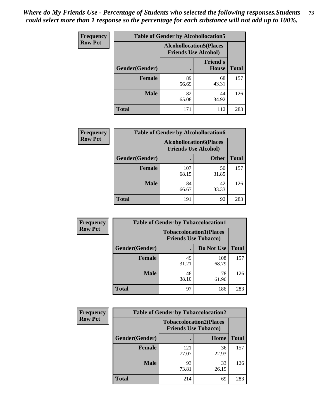| <b>Frequency</b> |                | <b>Table of Gender by Alcohollocation5</b>                    |                          |              |
|------------------|----------------|---------------------------------------------------------------|--------------------------|--------------|
| <b>Row Pct</b>   |                | <b>Alcohollocation5(Places</b><br><b>Friends Use Alcohol)</b> |                          |              |
|                  | Gender(Gender) | ٠                                                             | <b>Friend's</b><br>House | <b>Total</b> |
|                  | <b>Female</b>  | 89<br>56.69                                                   | 68<br>43.31              | 157          |
|                  | <b>Male</b>    | 82<br>65.08                                                   | 44<br>34.92              | 126          |
|                  | <b>Total</b>   | 171                                                           | 112                      | 283          |

| <b>Frequency</b> | <b>Table of Gender by Alcohollocation6</b> |                                                               |              |              |
|------------------|--------------------------------------------|---------------------------------------------------------------|--------------|--------------|
| <b>Row Pct</b>   |                                            | <b>Alcohollocation6(Places</b><br><b>Friends Use Alcohol)</b> |              |              |
|                  | <b>Gender</b> (Gender)                     |                                                               | <b>Other</b> | <b>Total</b> |
|                  | <b>Female</b>                              | 107<br>68.15                                                  | 50<br>31.85  | 157          |
|                  | <b>Male</b>                                | 84<br>66.67                                                   | 42<br>33.33  | 126          |
|                  | <b>Total</b>                               | 191                                                           | 92           | 283          |

| Frequency      | <b>Table of Gender by Tobaccolocation1</b> |             |                                                               |              |
|----------------|--------------------------------------------|-------------|---------------------------------------------------------------|--------------|
| <b>Row Pct</b> |                                            |             | <b>Tobaccolocation1(Places</b><br><b>Friends Use Tobacco)</b> |              |
|                | Gender(Gender)                             |             | Do Not Use                                                    | <b>Total</b> |
|                | <b>Female</b>                              | 49<br>31.21 | 108<br>68.79                                                  | 157          |
|                | <b>Male</b>                                | 48<br>38.10 | 78<br>61.90                                                   | 126          |
|                | <b>Total</b>                               | 97          | 186                                                           | 283          |

| Frequency      | <b>Table of Gender by Tobaccolocation2</b> |                             |                                |              |  |
|----------------|--------------------------------------------|-----------------------------|--------------------------------|--------------|--|
| <b>Row Pct</b> |                                            | <b>Friends Use Tobacco)</b> | <b>Tobaccolocation2(Places</b> |              |  |
|                | Gender(Gender)                             |                             | Home                           | <b>Total</b> |  |
|                | Female                                     | 121<br>77.07                | 36<br>22.93                    | 157          |  |
|                | <b>Male</b>                                | 93<br>73.81                 | 33<br>26.19                    | 126          |  |
|                | <b>Total</b>                               | 214                         | 69                             | 283          |  |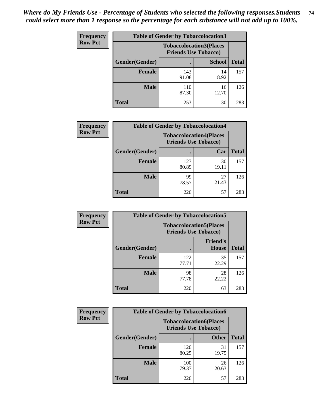| <b>Frequency</b> |                | <b>Table of Gender by Tobaccolocation3</b> |                                                               |              |
|------------------|----------------|--------------------------------------------|---------------------------------------------------------------|--------------|
| <b>Row Pct</b>   |                |                                            | <b>Tobaccolocation3(Places</b><br><b>Friends Use Tobacco)</b> |              |
|                  | Gender(Gender) |                                            | <b>School</b>                                                 | <b>Total</b> |
|                  | Female         | 143<br>91.08                               | 14<br>8.92                                                    | 157          |
|                  | <b>Male</b>    | 110<br>87.30                               | 16<br>12.70                                                   | 126          |
|                  | <b>Total</b>   | 253                                        | 30                                                            | 283          |

| <b>Frequency</b> | <b>Table of Gender by Tobaccolocation4</b> |                                                               |             |              |
|------------------|--------------------------------------------|---------------------------------------------------------------|-------------|--------------|
| <b>Row Pct</b>   |                                            | <b>Tobaccolocation4(Places</b><br><b>Friends Use Tobacco)</b> |             |              |
|                  | Gender(Gender)                             |                                                               | Car         | <b>Total</b> |
|                  | <b>Female</b>                              | 127<br>80.89                                                  | 30<br>19.11 | 157          |
|                  | <b>Male</b>                                | 99<br>78.57                                                   | 27<br>21.43 | 126          |
|                  | <b>Total</b>                               | 226                                                           | 57          | 283          |

| <b>Frequency</b> | <b>Table of Gender by Tobaccolocation5</b>                    |              |                          |              |
|------------------|---------------------------------------------------------------|--------------|--------------------------|--------------|
| <b>Row Pct</b>   | <b>Tobaccolocation5(Places</b><br><b>Friends Use Tobacco)</b> |              |                          |              |
|                  | Gender(Gender)                                                |              | <b>Friend's</b><br>House | <b>Total</b> |
|                  | <b>Female</b>                                                 | 122<br>77.71 | 35<br>22.29              | 157          |
|                  | <b>Male</b>                                                   | 98<br>77.78  | 28<br>22.22              | 126          |
|                  | <b>Total</b>                                                  | 220          | 63                       | 283          |

| Frequency      |                | <b>Table of Gender by Tobaccolocation6</b> |                                                               |              |  |  |
|----------------|----------------|--------------------------------------------|---------------------------------------------------------------|--------------|--|--|
| <b>Row Pct</b> |                |                                            | <b>Tobaccolocation6(Places</b><br><b>Friends Use Tobacco)</b> |              |  |  |
|                | Gender(Gender) |                                            | <b>Other</b>                                                  | <b>Total</b> |  |  |
|                | Female         | 126<br>80.25                               | 31<br>19.75                                                   | 157          |  |  |
|                | <b>Male</b>    | 100<br>79.37                               | 26<br>20.63                                                   | 126          |  |  |
|                | <b>Total</b>   | 226                                        | 57                                                            | 283          |  |  |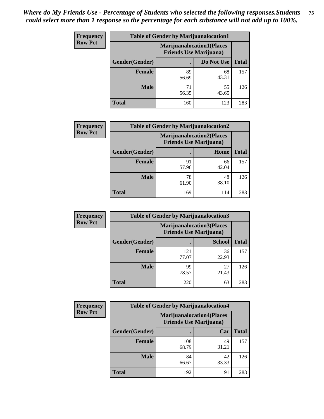| <b>Frequency</b> | <b>Table of Gender by Marijuanalocation1</b> |                                                                    |             |              |
|------------------|----------------------------------------------|--------------------------------------------------------------------|-------------|--------------|
| <b>Row Pct</b>   |                                              | <b>Marijuanalocation1(Places</b><br><b>Friends Use Marijuana</b> ) |             |              |
|                  | Gender(Gender)                               |                                                                    | Do Not Use  | <b>Total</b> |
|                  | <b>Female</b>                                | 89<br>56.69                                                        | 68<br>43.31 | 157          |
|                  | <b>Male</b>                                  | 71<br>56.35                                                        | 55<br>43.65 | 126          |
|                  | <b>Total</b>                                 | 160                                                                | 123         | 283          |

| <b>Frequency</b> | <b>Table of Gender by Marijuanalocation2</b> |                                                                    |             |              |  |
|------------------|----------------------------------------------|--------------------------------------------------------------------|-------------|--------------|--|
| <b>Row Pct</b>   |                                              | <b>Marijuanalocation2(Places</b><br><b>Friends Use Marijuana</b> ) |             |              |  |
|                  | Gender(Gender)                               |                                                                    | Home        | <b>Total</b> |  |
|                  | Female                                       | 91<br>57.96                                                        | 66<br>42.04 | 157          |  |
|                  | <b>Male</b>                                  | 78<br>61.90                                                        | 48<br>38.10 | 126          |  |
|                  | <b>Total</b>                                 | 169                                                                | 114         | 283          |  |

| Frequency      |                | <b>Table of Gender by Marijuanalocation3</b> |                                                                    |              |
|----------------|----------------|----------------------------------------------|--------------------------------------------------------------------|--------------|
| <b>Row Pct</b> |                |                                              | <b>Marijuanalocation3(Places</b><br><b>Friends Use Marijuana</b> ) |              |
|                | Gender(Gender) |                                              | <b>School</b>                                                      | <b>Total</b> |
|                | Female         | 121<br>77.07                                 | 36<br>22.93                                                        | 157          |
|                | <b>Male</b>    | 99<br>78.57                                  | 27<br>21.43                                                        | 126          |
|                | <b>Total</b>   | 220                                          | 63                                                                 | 283          |

| Frequency      | <b>Table of Gender by Marijuanalocation4</b> |                                |                                  |              |
|----------------|----------------------------------------------|--------------------------------|----------------------------------|--------------|
| <b>Row Pct</b> |                                              | <b>Friends Use Marijuana</b> ) | <b>Marijuanalocation4(Places</b> |              |
|                | <b>Gender</b> (Gender)                       |                                | Car                              | <b>Total</b> |
|                | <b>Female</b>                                | 108<br>68.79                   | 49<br>31.21                      | 157          |
|                | <b>Male</b>                                  | 84<br>66.67                    | 42<br>33.33                      | 126          |
|                | <b>Total</b>                                 | 192                            | 91                               | 283          |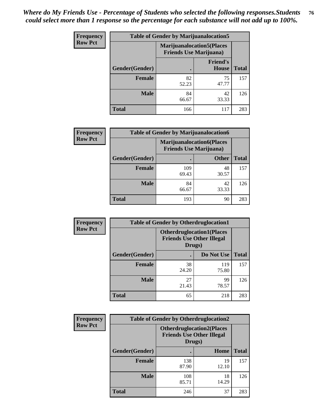| <b>Frequency</b> | <b>Table of Gender by Marijuanalocation5</b> |                                                                     |                                 |              |
|------------------|----------------------------------------------|---------------------------------------------------------------------|---------------------------------|--------------|
| <b>Row Pct</b>   |                                              | <b>Marijuanalocation5</b> (Places<br><b>Friends Use Marijuana</b> ) |                                 |              |
|                  | Gender(Gender)                               |                                                                     | <b>Friend's</b><br><b>House</b> | <b>Total</b> |
|                  | <b>Female</b>                                | 82<br>52.23                                                         | 75<br>47.77                     | 157          |
|                  | <b>Male</b>                                  | 84<br>66.67                                                         | 42<br>33.33                     | 126          |
|                  | <b>Total</b>                                 | 166                                                                 | 117                             | 283          |

| <b>Frequency</b> | <b>Table of Gender by Marijuanalocation6</b> |                                                                    |              |              |
|------------------|----------------------------------------------|--------------------------------------------------------------------|--------------|--------------|
| <b>Row Pct</b>   |                                              | <b>Marijuanalocation6(Places</b><br><b>Friends Use Marijuana</b> ) |              |              |
|                  | <b>Gender</b> (Gender)                       |                                                                    | <b>Other</b> | <b>Total</b> |
|                  | <b>Female</b>                                | 109<br>69.43                                                       | 48<br>30.57  | 157          |
|                  | <b>Male</b>                                  | 84<br>66.67                                                        | 42<br>33.33  | 126          |
|                  | Total                                        | 193                                                                | 90           | 283          |

| <b>Frequency</b> | <b>Table of Gender by Otherdruglocation1</b> |                                                                                |              |              |
|------------------|----------------------------------------------|--------------------------------------------------------------------------------|--------------|--------------|
| <b>Row Pct</b>   |                                              | <b>Otherdruglocation1(Places</b><br><b>Friends Use Other Illegal</b><br>Drugs) |              |              |
|                  | Gender(Gender)                               |                                                                                | Do Not Use   | <b>Total</b> |
|                  | <b>Female</b>                                | 38<br>24.20                                                                    | 119<br>75.80 | 157          |
|                  | <b>Male</b>                                  | 27<br>21.43                                                                    | 99<br>78.57  | 126          |
|                  | <b>Total</b>                                 | 65                                                                             | 218          | 283          |

| <b>Frequency</b> | <b>Table of Gender by Otherdruglocation2</b> |                                            |                                  |              |
|------------------|----------------------------------------------|--------------------------------------------|----------------------------------|--------------|
| <b>Row Pct</b>   |                                              | <b>Friends Use Other Illegal</b><br>Drugs) | <b>Otherdruglocation2(Places</b> |              |
|                  | Gender(Gender)                               |                                            | Home                             | <b>Total</b> |
|                  | Female                                       | 138<br>87.90                               | 19<br>12.10                      | 157          |
|                  | <b>Male</b>                                  | 108<br>85.71                               | 18<br>14.29                      | 126          |
|                  | <b>Total</b>                                 | 246                                        | 37                               | 283          |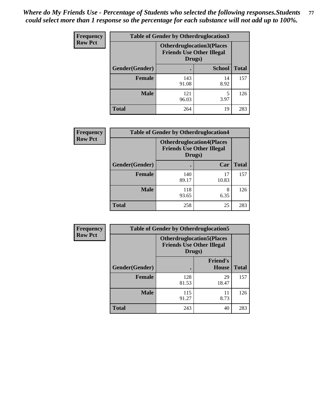| Frequency      | <b>Table of Gender by Otherdruglocation3</b> |                                                                                |               |              |
|----------------|----------------------------------------------|--------------------------------------------------------------------------------|---------------|--------------|
| <b>Row Pct</b> |                                              | <b>Otherdruglocation3(Places</b><br><b>Friends Use Other Illegal</b><br>Drugs) |               |              |
|                | Gender(Gender)                               |                                                                                | <b>School</b> | <b>Total</b> |
|                | <b>Female</b>                                | 143<br>91.08                                                                   | 14<br>8.92    | 157          |
|                | <b>Male</b>                                  | 121<br>96.03                                                                   | 3.97          | 126          |
|                | <b>Total</b>                                 | 264                                                                            | 19            | 283          |

| <b>Frequency</b> | <b>Table of Gender by Otherdruglocation4</b> |                                            |                                  |              |
|------------------|----------------------------------------------|--------------------------------------------|----------------------------------|--------------|
| <b>Row Pct</b>   |                                              | <b>Friends Use Other Illegal</b><br>Drugs) | <b>Otherdruglocation4(Places</b> |              |
|                  | Gender(Gender)                               |                                            | Car                              | <b>Total</b> |
|                  | Female                                       | 140<br>89.17                               | 17<br>10.83                      | 157          |
|                  | <b>Male</b>                                  | 118<br>93.65                               | 8<br>6.35                        | 126          |
|                  | <b>Total</b>                                 | 258                                        | 25                               | 283          |

| Frequency      | <b>Table of Gender by Otherdruglocation5</b> |                                                                                |                                 |              |
|----------------|----------------------------------------------|--------------------------------------------------------------------------------|---------------------------------|--------------|
| <b>Row Pct</b> |                                              | <b>Otherdruglocation5(Places</b><br><b>Friends Use Other Illegal</b><br>Drugs) |                                 |              |
|                | Gender(Gender)                               |                                                                                | <b>Friend's</b><br><b>House</b> | <b>Total</b> |
|                | <b>Female</b>                                | 128<br>81.53                                                                   | 29<br>18.47                     | 157          |
|                | <b>Male</b>                                  | 115<br>91.27                                                                   | 11<br>8.73                      | 126          |
|                | <b>Total</b>                                 | 243                                                                            | 40                              | 283          |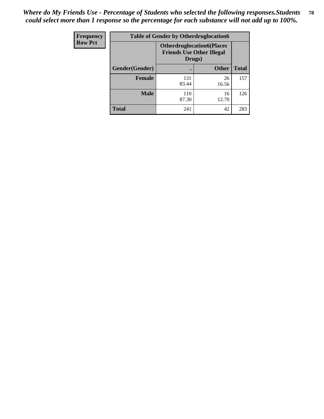| Frequency      | <b>Table of Gender by Otherdruglocation6</b> |                                            |                                  |              |
|----------------|----------------------------------------------|--------------------------------------------|----------------------------------|--------------|
| <b>Row Pct</b> |                                              | <b>Friends Use Other Illegal</b><br>Drugs) | <b>Otherdruglocation6(Places</b> |              |
|                | Gender(Gender)                               |                                            | <b>Other</b>                     | <b>Total</b> |
|                | <b>Female</b>                                | 131<br>83.44                               | 26<br>16.56                      | 157          |
|                | <b>Male</b>                                  | 110<br>87.30                               | 16<br>12.70                      | 126          |
|                | <b>Total</b>                                 | 241                                        | 42                               | 283          |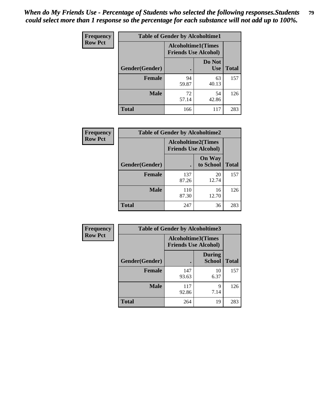| <b>Frequency</b> | <b>Table of Gender by Alcoholtime1</b> |                                                          |                      |              |
|------------------|----------------------------------------|----------------------------------------------------------|----------------------|--------------|
| <b>Row Pct</b>   |                                        | <b>Alcoholtime1(Times</b><br><b>Friends Use Alcohol)</b> |                      |              |
|                  | Gender(Gender)                         | $\bullet$                                                | Do Not<br><b>Use</b> | <b>Total</b> |
|                  | <b>Female</b>                          | 94<br>59.87                                              | 63<br>40.13          | 157          |
|                  | <b>Male</b>                            | 72<br>57.14                                              | 54<br>42.86          | 126          |
|                  | <b>Total</b>                           | 166                                                      | 117                  | 283          |

| Frequency      | <b>Table of Gender by Alcoholtime2</b> |                                                          |                            |              |
|----------------|----------------------------------------|----------------------------------------------------------|----------------------------|--------------|
| <b>Row Pct</b> |                                        | <b>Alcoholtime2(Times</b><br><b>Friends Use Alcohol)</b> |                            |              |
|                | Gender(Gender)                         |                                                          | <b>On Way</b><br>to School | <b>Total</b> |
|                | <b>Female</b>                          | 137<br>87.26                                             | 20<br>12.74                | 157          |
|                | <b>Male</b>                            | 110<br>87.30                                             | 16<br>12.70                | 126          |
|                | <b>Total</b>                           | 247                                                      | 36                         | 283          |

| Frequency      | <b>Table of Gender by Alcoholtime3</b> |                                                          |                                |              |
|----------------|----------------------------------------|----------------------------------------------------------|--------------------------------|--------------|
| <b>Row Pct</b> |                                        | <b>Alcoholtime3(Times</b><br><b>Friends Use Alcohol)</b> |                                |              |
|                | Gender(Gender)                         |                                                          | <b>During</b><br><b>School</b> | <b>Total</b> |
|                | <b>Female</b>                          | 147<br>93.63                                             | 10<br>6.37                     | 157          |
|                | <b>Male</b>                            | 117<br>92.86                                             | 9<br>7.14                      | 126          |
|                | <b>Total</b>                           | 264                                                      | 19                             | 283          |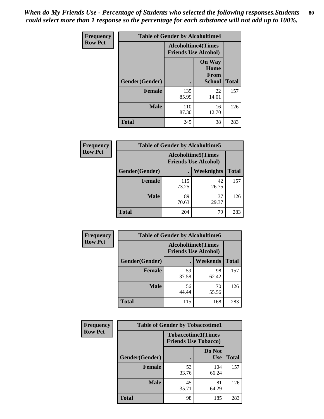*When do My Friends Use - Percentage of Students who selected the following responses.Students could select more than 1 response so the percentage for each substance will not add up to 100%.* **80**

| <b>Frequency</b> | <b>Table of Gender by Alcoholtime4</b> |                           |                                                |              |
|------------------|----------------------------------------|---------------------------|------------------------------------------------|--------------|
| <b>Row Pct</b>   |                                        | <b>Alcoholtime4(Times</b> | <b>Friends Use Alcohol)</b>                    |              |
|                  | Gender(Gender)                         |                           | <b>On Way</b><br>Home<br>From<br><b>School</b> | <b>Total</b> |
|                  | <b>Female</b>                          | 135<br>85.99              | 22<br>14.01                                    | 157          |
|                  | <b>Male</b>                            | 110<br>87.30              | 16<br>12.70                                    | 126          |
|                  | <b>Total</b>                           | 245                       | 38                                             | 283          |

| <b>Frequency</b> | <b>Table of Gender by Alcoholtime5</b> |                                                           |             |              |  |
|------------------|----------------------------------------|-----------------------------------------------------------|-------------|--------------|--|
| <b>Row Pct</b>   |                                        | <b>Alcoholtime5</b> (Times<br><b>Friends Use Alcohol)</b> |             |              |  |
|                  | Gender(Gender)                         |                                                           | Weeknights  | <b>Total</b> |  |
|                  | <b>Female</b>                          | 115<br>73.25                                              | 42<br>26.75 | 157          |  |
|                  | <b>Male</b>                            | 89<br>70.63                                               | 37<br>29.37 | 126          |  |
|                  | <b>Total</b>                           | 204                                                       | 79          | 283          |  |

| <b>Frequency</b> |                | <b>Table of Gender by Alcoholtime6</b> |                                                          |              |
|------------------|----------------|----------------------------------------|----------------------------------------------------------|--------------|
| <b>Row Pct</b>   |                |                                        | <b>Alcoholtime6(Times</b><br><b>Friends Use Alcohol)</b> |              |
|                  | Gender(Gender) |                                        | Weekends                                                 | <b>Total</b> |
|                  | Female         | 59<br>37.58                            | 98<br>62.42                                              | 157          |
|                  | <b>Male</b>    | 56<br>44.44                            | 70<br>55.56                                              | 126          |
|                  | <b>Total</b>   | 115                                    | 168                                                      | 283          |

| <b>Frequency</b> | <b>Table of Gender by Tobaccotime1</b> |                                                          |                      |              |
|------------------|----------------------------------------|----------------------------------------------------------|----------------------|--------------|
| <b>Row Pct</b>   |                                        | <b>Tobaccotime1(Times</b><br><b>Friends Use Tobacco)</b> |                      |              |
|                  | Gender(Gender)                         |                                                          | Do Not<br><b>Use</b> | <b>Total</b> |
|                  | <b>Female</b>                          | 53<br>33.76                                              | 104<br>66.24         | 157          |
|                  | <b>Male</b>                            | 45<br>35.71                                              | 81<br>64.29          | 126          |
|                  | <b>Total</b>                           | 98                                                       | 185                  | 283          |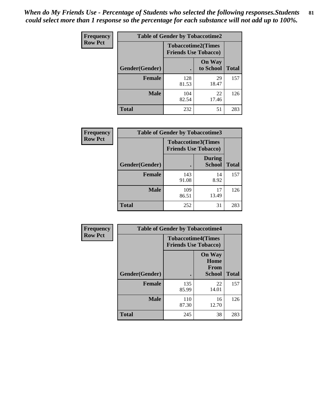*When do My Friends Use - Percentage of Students who selected the following responses.Students could select more than 1 response so the percentage for each substance will not add up to 100%.* **81**

| Frequency      | <b>Table of Gender by Tobaccotime2</b> |                                                          |                            |              |
|----------------|----------------------------------------|----------------------------------------------------------|----------------------------|--------------|
| <b>Row Pct</b> |                                        | <b>Tobaccotime2(Times</b><br><b>Friends Use Tobacco)</b> |                            |              |
|                | Gender(Gender)                         | $\bullet$                                                | <b>On Way</b><br>to School | <b>Total</b> |
|                | <b>Female</b>                          | 128<br>81.53                                             | 29<br>18.47                | 157          |
|                | <b>Male</b>                            | 104<br>82.54                                             | 22<br>17.46                | 126          |
|                | <b>Total</b>                           | 232                                                      | 51                         | 283          |

| Frequency      | <b>Table of Gender by Tobaccotime3</b> |                             |                                |              |
|----------------|----------------------------------------|-----------------------------|--------------------------------|--------------|
| <b>Row Pct</b> |                                        | <b>Friends Use Tobacco)</b> | <b>Tobaccotime3(Times</b>      |              |
|                | Gender(Gender)                         |                             | <b>During</b><br><b>School</b> | <b>Total</b> |
|                | <b>Female</b>                          | 143<br>91.08                | 14<br>8.92                     | 157          |
|                | <b>Male</b>                            | 109<br>86.51                | 17<br>13.49                    | 126          |
|                | <b>Total</b>                           | 252                         | 31                             | 283          |

| <b>Frequency</b> | <b>Table of Gender by Tobaccotime4</b> |                                                          |                                                |              |
|------------------|----------------------------------------|----------------------------------------------------------|------------------------------------------------|--------------|
| <b>Row Pct</b>   |                                        | <b>Tobaccotime4(Times</b><br><b>Friends Use Tobacco)</b> |                                                |              |
|                  | Gender(Gender)                         |                                                          | <b>On Way</b><br>Home<br><b>From</b><br>School | <b>Total</b> |
|                  | <b>Female</b>                          | 135                                                      | 22                                             | 157          |
|                  |                                        | 85.99                                                    | 14.01                                          |              |
|                  | <b>Male</b>                            | 110<br>87.30                                             | 16<br>12.70                                    | 126          |
|                  | <b>Total</b>                           | 245                                                      | 38                                             | 283          |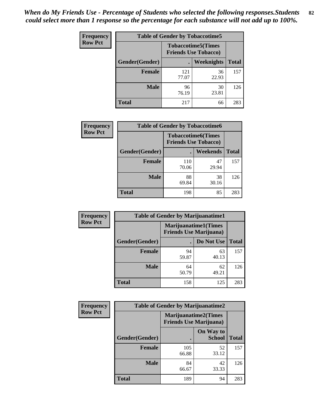*When do My Friends Use - Percentage of Students who selected the following responses.Students could select more than 1 response so the percentage for each substance will not add up to 100%.* **82**

| <b>Frequency</b> | <b>Table of Gender by Tobaccotime5</b> |                                                           |             |              |  |
|------------------|----------------------------------------|-----------------------------------------------------------|-------------|--------------|--|
| <b>Row Pct</b>   |                                        | <b>Tobaccotime5</b> (Times<br><b>Friends Use Tobacco)</b> |             |              |  |
|                  | Gender(Gender)                         |                                                           | Weeknights  | <b>Total</b> |  |
|                  | <b>Female</b>                          | 121<br>77.07                                              | 36<br>22.93 | 157          |  |
|                  | <b>Male</b>                            | 96<br>76.19                                               | 30<br>23.81 | 126          |  |
|                  | Total                                  | 217                                                       | 66          | 283          |  |

| Frequency      | <b>Table of Gender by Tobaccotime6</b> |                                                          |             |              |  |
|----------------|----------------------------------------|----------------------------------------------------------|-------------|--------------|--|
| <b>Row Pct</b> |                                        | <b>Tobaccotime6(Times</b><br><b>Friends Use Tobacco)</b> |             |              |  |
|                | Gender(Gender)                         |                                                          | Weekends    | <b>Total</b> |  |
|                | <b>Female</b>                          | 110<br>70.06                                             | 47<br>29.94 | 157          |  |
|                | <b>Male</b>                            | 88<br>69.84                                              | 38<br>30.16 | 126          |  |
|                | <b>Total</b>                           | 198                                                      | 85          | 283          |  |

| Frequency      | <b>Table of Gender by Marijuanatime1</b> |                                |                             |              |  |
|----------------|------------------------------------------|--------------------------------|-----------------------------|--------------|--|
| <b>Row Pct</b> |                                          | <b>Friends Use Marijuana</b> ) | <b>Marijuanatime1(Times</b> |              |  |
|                | Gender(Gender)                           |                                | Do Not Use                  | <b>Total</b> |  |
|                | <b>Female</b>                            | 94<br>59.87                    | 63<br>40.13                 | 157          |  |
|                | <b>Male</b>                              | 64<br>50.79                    | 62<br>49.21                 | 126          |  |
|                | <b>Total</b>                             | 158                            | 125                         | 283          |  |

| <b>Frequency</b> | <b>Table of Gender by Marijuanatime2</b> |                                                               |                            |              |
|------------------|------------------------------------------|---------------------------------------------------------------|----------------------------|--------------|
| <b>Row Pct</b>   |                                          | <b>Marijuanatime2(Times</b><br><b>Friends Use Marijuana</b> ) |                            |              |
|                  | Gender(Gender)                           |                                                               | On Way to<br><b>School</b> | <b>Total</b> |
|                  | <b>Female</b>                            | 105<br>66.88                                                  | 52<br>33.12                | 157          |
|                  | <b>Male</b>                              | 84<br>66.67                                                   | 42<br>33.33                | 126          |
|                  | <b>Total</b>                             | 189                                                           | 94                         | 283          |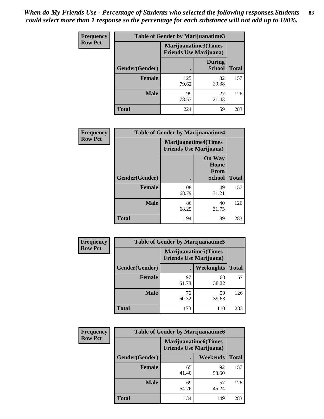| Frequency      | <b>Table of Gender by Marijuanatime3</b> |                                                        |                                |              |
|----------------|------------------------------------------|--------------------------------------------------------|--------------------------------|--------------|
| <b>Row Pct</b> |                                          | Marijuanatime3(Times<br><b>Friends Use Marijuana</b> ) |                                |              |
|                | Gender(Gender)                           |                                                        | <b>During</b><br><b>School</b> | <b>Total</b> |
|                | <b>Female</b>                            | 125<br>79.62                                           | 32<br>20.38                    | 157          |
|                | <b>Male</b>                              | 99<br>78.57                                            | 27<br>21.43                    | 126          |
|                | <b>Total</b>                             | 224                                                    | 59                             | 283          |

| Frequency      | <b>Table of Gender by Marijuanatime4</b> |                                                                |                                                |              |
|----------------|------------------------------------------|----------------------------------------------------------------|------------------------------------------------|--------------|
| <b>Row Pct</b> |                                          | <b>Marijuanatime4</b> (Times<br><b>Friends Use Marijuana</b> ) |                                                |              |
|                | Gender(Gender)                           |                                                                | <b>On Way</b><br>Home<br>From<br><b>School</b> | <b>Total</b> |
|                | <b>Female</b>                            | 108<br>68.79                                                   | 49<br>31.21                                    | 157          |
|                | <b>Male</b>                              | 86<br>68.25                                                    | 40<br>31.75                                    | 126          |
|                | <b>Total</b>                             | 194                                                            | 89                                             | 283          |

| Frequency      | <b>Table of Gender by Marijuanatime5</b> |                                                                |             |              |  |
|----------------|------------------------------------------|----------------------------------------------------------------|-------------|--------------|--|
| <b>Row Pct</b> |                                          | <b>Marijuanatime5</b> (Times<br><b>Friends Use Marijuana</b> ) |             |              |  |
|                | Gender(Gender)                           |                                                                | Weeknights  | <b>Total</b> |  |
|                | <b>Female</b>                            | 97<br>61.78                                                    | 60<br>38.22 | 157          |  |
|                | <b>Male</b>                              | 76<br>60.32                                                    | 50<br>39.68 | 126          |  |
|                | <b>Total</b>                             | 173                                                            | 110         | 283          |  |

| Frequency      | <b>Table of Gender by Marijuanatime6</b> |                                                                |             |              |  |
|----------------|------------------------------------------|----------------------------------------------------------------|-------------|--------------|--|
| <b>Row Pct</b> |                                          | <b>Marijuanatime6</b> (Times<br><b>Friends Use Marijuana</b> ) |             |              |  |
|                | <b>Gender</b> (Gender)                   |                                                                | Weekends    | <b>Total</b> |  |
|                | <b>Female</b>                            | 65<br>41.40                                                    | 92<br>58.60 | 157          |  |
|                | <b>Male</b>                              | 69<br>54.76                                                    | 57<br>45.24 | 126          |  |
|                | <b>Total</b>                             | 134                                                            | 149         | 283          |  |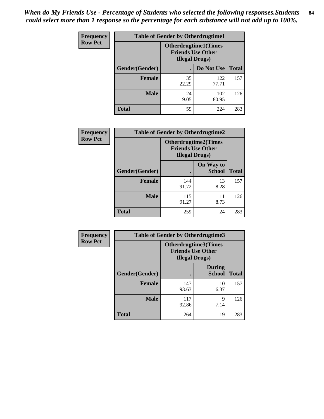*When do My Friends Use - Percentage of Students who selected the following responses.Students could select more than 1 response so the percentage for each substance will not add up to 100%.* **84**

| <b>Frequency</b> | <b>Table of Gender by Otherdrugtime1</b> |                                                                                    |              |              |
|------------------|------------------------------------------|------------------------------------------------------------------------------------|--------------|--------------|
| <b>Row Pct</b>   |                                          | <b>Otherdrugtime1</b> (Times<br><b>Friends Use Other</b><br><b>Illegal Drugs</b> ) |              |              |
|                  | Gender(Gender)                           |                                                                                    | Do Not Use   | <b>Total</b> |
|                  | <b>Female</b>                            | 35<br>22.29                                                                        | 122<br>77.71 | 157          |
|                  | <b>Male</b>                              | 24<br>19.05                                                                        | 102<br>80.95 | 126          |
|                  | Total                                    | 59                                                                                 | 224          | 283          |

| Frequency      | <b>Table of Gender by Otherdrugtime2</b> |                                                                                   |                            |              |  |
|----------------|------------------------------------------|-----------------------------------------------------------------------------------|----------------------------|--------------|--|
| <b>Row Pct</b> |                                          | <b>Otherdrugtime2(Times</b><br><b>Friends Use Other</b><br><b>Illegal Drugs</b> ) |                            |              |  |
|                | Gender(Gender)                           |                                                                                   | On Way to<br><b>School</b> | <b>Total</b> |  |
|                | <b>Female</b>                            | 144<br>91.72                                                                      | 13<br>8.28                 | 157          |  |
|                | <b>Male</b>                              | 115<br>91.27                                                                      | 11<br>8.73                 | 126          |  |
|                | <b>Total</b>                             | 259                                                                               | 24                         | 283          |  |

| Frequency      | <b>Table of Gender by Otherdrugtime3</b> |                        |                                                  |              |  |
|----------------|------------------------------------------|------------------------|--------------------------------------------------|--------------|--|
| <b>Row Pct</b> |                                          | <b>Illegal Drugs</b> ) | Otherdrugtime3(Times<br><b>Friends Use Other</b> |              |  |
|                | Gender(Gender)                           |                        | <b>During</b><br><b>School</b>                   | <b>Total</b> |  |
|                | <b>Female</b>                            | 147<br>93.63           | 10<br>6.37                                       | 157          |  |
|                | <b>Male</b>                              | 117<br>92.86           | 9<br>7.14                                        | 126          |  |
|                | <b>Total</b>                             | 264                    | 19                                               | 283          |  |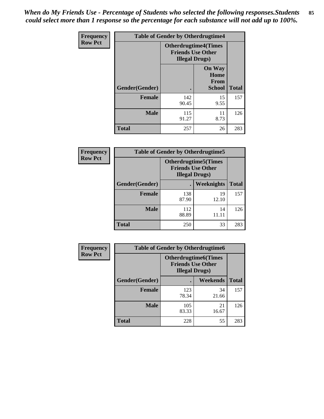*When do My Friends Use - Percentage of Students who selected the following responses.Students could select more than 1 response so the percentage for each substance will not add up to 100%.* **85**

| Frequency      | <b>Table of Gender by Otherdrugtime4</b> |                        |                                                         |              |  |
|----------------|------------------------------------------|------------------------|---------------------------------------------------------|--------------|--|
| <b>Row Pct</b> |                                          | <b>Illegal Drugs</b> ) | <b>Otherdrugtime4(Times</b><br><b>Friends Use Other</b> |              |  |
|                | <b>Gender</b> (Gender)                   |                        | <b>On Way</b><br>Home<br>From<br><b>School</b>          | <b>Total</b> |  |
|                | <b>Female</b>                            | 142<br>90.45           | 15<br>9.55                                              | 157          |  |
|                | <b>Male</b>                              | 115<br>91.27           | 11<br>8.73                                              | 126          |  |
|                | <b>Total</b>                             | 257                    | 26                                                      | 283          |  |

| Frequency      | <b>Table of Gender by Otherdrugtime5</b> |              |                                                                                    |              |  |
|----------------|------------------------------------------|--------------|------------------------------------------------------------------------------------|--------------|--|
| <b>Row Pct</b> |                                          |              | <b>Otherdrugtime5</b> (Times<br><b>Friends Use Other</b><br><b>Illegal Drugs</b> ) |              |  |
|                | Gender(Gender)                           |              | <b>Weeknights</b>                                                                  | <b>Total</b> |  |
|                | Female                                   | 138<br>87.90 | 19<br>12.10                                                                        | 157          |  |
|                | <b>Male</b>                              | 112<br>88.89 | 14<br>11.11                                                                        | 126          |  |
|                | <b>Total</b>                             | 250          | 33                                                                                 | 283          |  |

| <b>Frequency</b> | <b>Table of Gender by Otherdrugtime6</b> |                                                                                   |             |              |  |
|------------------|------------------------------------------|-----------------------------------------------------------------------------------|-------------|--------------|--|
| <b>Row Pct</b>   |                                          | <b>Otherdrugtime6(Times</b><br><b>Friends Use Other</b><br><b>Illegal Drugs</b> ) |             |              |  |
|                  | Gender(Gender)                           |                                                                                   | Weekends    | <b>Total</b> |  |
|                  | <b>Female</b>                            | 123<br>78.34                                                                      | 34<br>21.66 | 157          |  |
|                  | <b>Male</b>                              | 105<br>83.33                                                                      | 21<br>16.67 | 126          |  |
|                  | <b>Total</b>                             | 228                                                                               | 55          | 283          |  |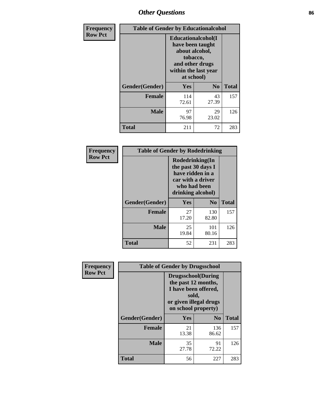# *Other Questions* **86**

| <b>Frequency</b> | <b>Table of Gender by Educationalcohol</b> |              |                                                                                                                                       |              |  |
|------------------|--------------------------------------------|--------------|---------------------------------------------------------------------------------------------------------------------------------------|--------------|--|
| <b>Row Pct</b>   |                                            |              | <b>Educationalcohol</b> (I<br>have been taught<br>about alcohol,<br>tobacco,<br>and other drugs<br>within the last year<br>at school) |              |  |
|                  | Gender(Gender)                             | <b>Yes</b>   | N <sub>0</sub>                                                                                                                        | <b>Total</b> |  |
|                  | <b>Female</b>                              | 114<br>72.61 | 43<br>27.39                                                                                                                           | 157          |  |
|                  | <b>Male</b>                                | 97<br>76.98  | 29<br>23.02                                                                                                                           | 126          |  |
|                  | <b>Total</b>                               | 211          | 72                                                                                                                                    | 283          |  |

| Frequency      | <b>Table of Gender by Rodedrinking</b> |                                                                                                                     |                |              |
|----------------|----------------------------------------|---------------------------------------------------------------------------------------------------------------------|----------------|--------------|
| <b>Row Pct</b> |                                        | Rodedrinking(In<br>the past 30 days I<br>have ridden in a<br>car with a driver<br>who had been<br>drinking alcohol) |                |              |
|                | Gender(Gender)                         | Yes                                                                                                                 | N <sub>0</sub> | <b>Total</b> |
|                | <b>Female</b>                          | 27<br>17.20                                                                                                         | 130<br>82.80   | 157          |
|                | <b>Male</b>                            | 25<br>19.84                                                                                                         | 101<br>80.16   | 126          |
|                | <b>Total</b>                           | 52                                                                                                                  | 231            | 283          |

| Frequency      | <b>Table of Gender by Drugsschool</b> |                                                                                                                                     |                |              |  |
|----------------|---------------------------------------|-------------------------------------------------------------------------------------------------------------------------------------|----------------|--------------|--|
| <b>Row Pct</b> |                                       | <b>Drugsschool</b> (During<br>the past 12 months,<br>I have been offered,<br>sold,<br>or given illegal drugs<br>on school property) |                |              |  |
|                | Gender(Gender)                        | Yes                                                                                                                                 | N <sub>0</sub> | <b>Total</b> |  |
|                | <b>Female</b>                         | 21<br>13.38                                                                                                                         | 136<br>86.62   | 157          |  |
|                | <b>Male</b>                           | 35<br>27.78                                                                                                                         | 91<br>72.22    | 126          |  |
|                | <b>Total</b>                          | 56                                                                                                                                  | 227            | 283          |  |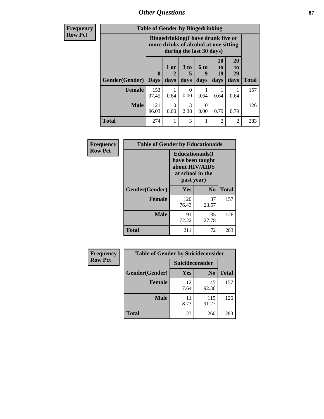*Other Questions* **87**

**Frequency Row Pct**

| <b>Table of Gender by Bingedrinking</b> |                         |                                                                                                         |                              |                   |                        |                |              |
|-----------------------------------------|-------------------------|---------------------------------------------------------------------------------------------------------|------------------------------|-------------------|------------------------|----------------|--------------|
|                                         |                         | Bingedrinking(I have drunk five or<br>more drinks of alcohol at one sitting<br>during the last 30 days) |                              |                   |                        |                |              |
| <b>Gender</b> (Gender)                  | $\bf{0}$<br><b>Days</b> | 1 or<br>2<br>days                                                                                       | 3 <sub>to</sub><br>5<br>days | 6 to<br>9<br>days | 10<br>to<br>19<br>days | 20<br>to<br>29 |              |
|                                         |                         |                                                                                                         |                              |                   |                        | days           | <b>Total</b> |
| <b>Female</b>                           | 153<br>97.45            | 0.64                                                                                                    | 0<br>0.00                    | 0.64              | 0.64                   | 0.64           | 157          |
| <b>Male</b>                             | 121<br>96.03            | $\Omega$<br>0.00                                                                                        | 3<br>2.38                    | 0.00              | 0.79                   | 0.79           | 126          |

| Frequency      | <b>Table of Gender by Educationaids</b> |                                                                                                 |             |              |
|----------------|-----------------------------------------|-------------------------------------------------------------------------------------------------|-------------|--------------|
| <b>Row Pct</b> |                                         | <b>Educationaids</b> (I<br>have been taught<br>about HIV/AIDS<br>at school in the<br>past year) |             |              |
|                | Gender(Gender)                          | Yes                                                                                             | $\bf N_0$   | <b>Total</b> |
|                | <b>Female</b>                           | 120<br>76.43                                                                                    | 37<br>23.57 | 157          |
|                | <b>Male</b>                             | 91<br>72.22                                                                                     | 35<br>27.78 | 126          |
|                | <b>Total</b>                            | 211                                                                                             | 72          | 283          |

| <b>Frequency</b> | <b>Table of Gender by Suicideconsider</b> |                        |                |              |
|------------------|-------------------------------------------|------------------------|----------------|--------------|
| <b>Row Pct</b>   |                                           | <b>Suicideconsider</b> |                |              |
|                  | Gender(Gender)                            | Yes                    | N <sub>0</sub> | <b>Total</b> |
|                  | <b>Female</b>                             | 12<br>7.64             | 145<br>92.36   | 157          |
|                  | <b>Male</b>                               | 11<br>8.73             | 115<br>91.27   | 126          |
|                  | <b>Total</b>                              | 23                     | 260            | 283          |